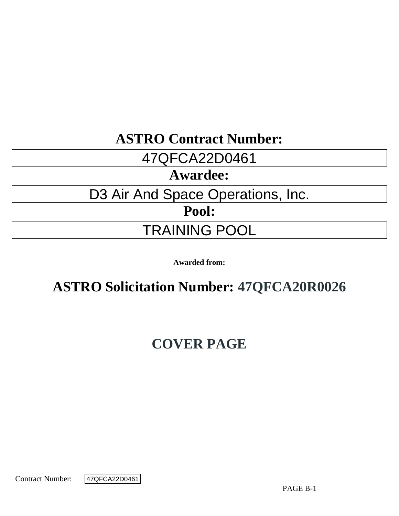# **ASTRO Contract Number:**

# 47QFCA22D0461

# **Awardee:**

# D3 Air And Space Operations, Inc.

**Pool:**

# TRAINING POOL

**Awarded from:**

# **ASTRO Solicitation Number: 47QFCA20R0026**

# **COVER PAGE**

Contract Number:

47QFCA22D0461

PAGE B-1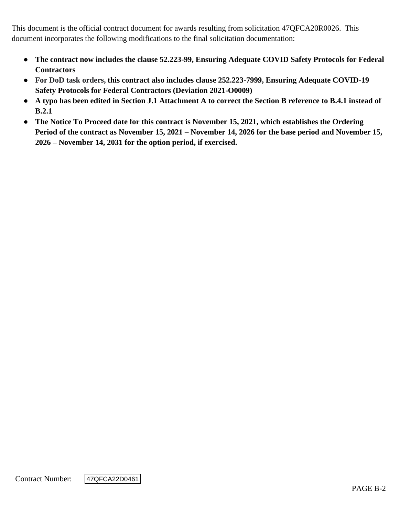This document is the official contract document for awards resulting from solicitation 47QFCA20R0026. This document incorporates the following modifications to the final solicitation documentation:

- **The contract now includes the clause 52.223-99, Ensuring Adequate COVID Safety Protocols for Federal Contractors**
- **For DoD task orders, this contract also includes clause 252.223-7999, Ensuring Adequate COVID-19 Safety Protocols for Federal Contractors (Deviation 2021-O0009)**
- **A typo has been edited in Section J.1 Attachment A to correct the Section B reference to B.4.1 instead of B.2.1**
- **The Notice To Proceed date for this contract is November 15, 2021, which establishes the Ordering Period of the contract as November 15, 2021 – November 14, 2026 for the base period and November 15, 2026 – November 14, 2031 for the option period, if exercised.**

Contract Number:

47QFCA22D0461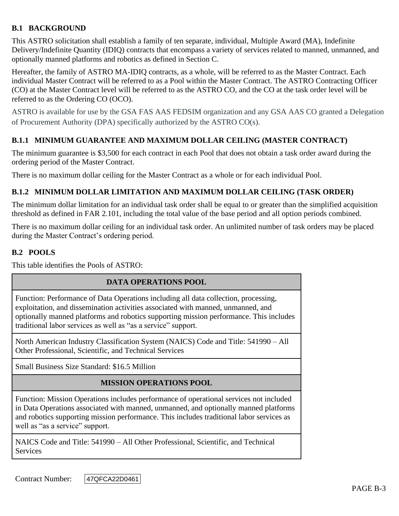# **B.1 BACKGROUND**

This ASTRO solicitation shall establish a family of ten separate, individual, Multiple Award (MA), Indefinite Delivery/Indefinite Quantity (IDIQ) contracts that encompass a variety of services related to manned, unmanned, and optionally manned platforms and robotics as defined in Section C.

Hereafter, the family of ASTRO MA-IDIQ contracts, as a whole, will be referred to as the Master Contract. Each individual Master Contract will be referred to as a Pool within the Master Contract. The ASTRO Contracting Officer (CO) at the Master Contract level will be referred to as the ASTRO CO, and the CO at the task order level will be referred to as the Ordering CO (OCO).

ASTRO is available for use by the GSA FAS AAS FEDSIM organization and any GSA AAS CO granted a Delegation of Procurement Authority (DPA) specifically authorized by the ASTRO CO(s).

## **B.1.1 MINIMUM GUARANTEE AND MAXIMUM DOLLAR CEILING (MASTER CONTRACT)**

The minimum guarantee is \$3,500 for each contract in each Pool that does not obtain a task order award during the ordering period of the Master Contract.

There is no maximum dollar ceiling for the Master Contract as a whole or for each individual Pool.

## **B.1.2 MINIMUM DOLLAR LIMITATION AND MAXIMUM DOLLAR CEILING (TASK ORDER)**

The minimum dollar limitation for an individual task order shall be equal to or greater than the simplified acquisition threshold as defined in FAR 2.101, including the total value of the base period and all option periods combined.

There is no maximum dollar ceiling for an individual task order. An unlimited number of task orders may be placed during the Master Contract's ordering period.

# **B.2 POOLS**

This table identifies the Pools of ASTRO:

#### **DATA OPERATIONS POOL**

Function: Performance of Data Operations including all data collection, processing, exploitation, and dissemination activities associated with manned, unmanned, and optionally manned platforms and robotics supporting mission performance. This includes traditional labor services as well as "as a service" support.

North American Industry Classification System (NAICS) Code and Title: 541990 – All Other Professional, Scientific, and Technical Services

Small Business Size Standard: \$16.5 Million

#### **MISSION OPERATIONS POOL**

Function: Mission Operations includes performance of operational services not included in Data Operations associated with manned, unmanned, and optionally manned platforms and robotics supporting mission performance. This includes traditional labor services as well as "as a service" support.

NAICS Code and Title: 541990 – All Other Professional, Scientific, and Technical **Services** 

Contract Number: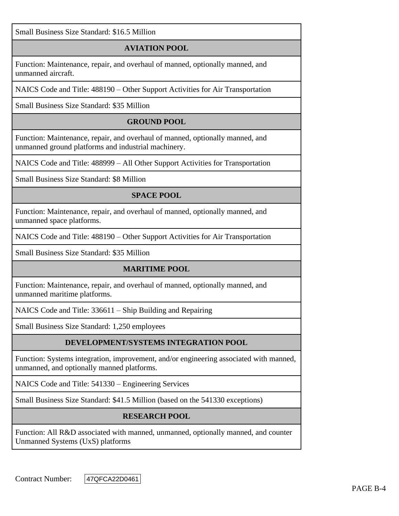Small Business Size Standard: \$16.5 Million

# **AVIATION POOL**

Function: Maintenance, repair, and overhaul of manned, optionally manned, and unmanned aircraft.

NAICS Code and Title: 488190 – Other Support Activities for Air Transportation

Small Business Size Standard: \$35 Million

## **GROUND POOL**

Function: Maintenance, repair, and overhaul of manned, optionally manned, and unmanned ground platforms and industrial machinery.

NAICS Code and Title: 488999 – All Other Support Activities for Transportation

Small Business Size Standard: \$8 Million

## **SPACE POOL**

Function: Maintenance, repair, and overhaul of manned, optionally manned, and unmanned space platforms.

NAICS Code and Title: 488190 – Other Support Activities for Air Transportation

Small Business Size Standard: \$35 Million

#### **MARITIME POOL**

Function: Maintenance, repair, and overhaul of manned, optionally manned, and unmanned maritime platforms.

NAICS Code and Title: 336611 – Ship Building and Repairing

Small Business Size Standard: 1,250 employees

# **DEVELOPMENT/SYSTEMS INTEGRATION POOL**

Function: Systems integration, improvement, and/or engineering associated with manned, unmanned, and optionally manned platforms.

NAICS Code and Title: 541330 – Engineering Services

Small Business Size Standard: \$41.5 Million (based on the 541330 exceptions)

#### **RESEARCH POOL**

Function: All R&D associated with manned, unmanned, optionally manned, and counter Unmanned Systems (UxS) platforms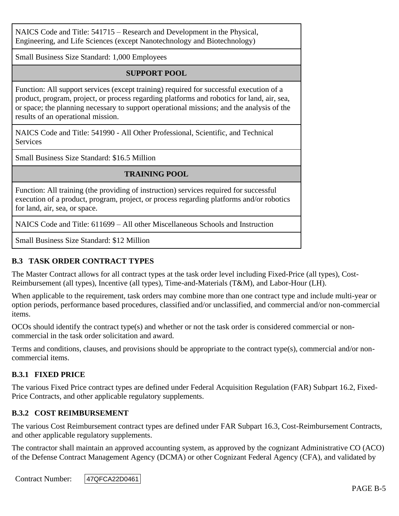NAICS Code and Title: 541715 – Research and Development in the Physical, Engineering, and Life Sciences (except Nanotechnology and Biotechnology)

Small Business Size Standard: 1,000 Employees

## **SUPPORT POOL**

Function: All support services (except training) required for successful execution of a product, program, project, or process regarding platforms and robotics for land, air, sea, or space; the planning necessary to support operational missions; and the analysis of the results of an operational mission.

NAICS Code and Title: 541990 - All Other Professional, Scientific, and Technical **Services** 

Small Business Size Standard: \$16.5 Million

# **TRAINING POOL**

Function: All training (the providing of instruction) services required for successful execution of a product, program, project, or process regarding platforms and/or robotics for land, air, sea, or space.

NAICS Code and Title: 611699 – All other Miscellaneous Schools and Instruction

Small Business Size Standard: \$12 Million

# **B.3 TASK ORDER CONTRACT TYPES**

The Master Contract allows for all contract types at the task order level including Fixed-Price (all types), Cost-Reimbursement (all types), Incentive (all types), Time-and-Materials (T&M), and Labor-Hour (LH).

When applicable to the requirement, task orders may combine more than one contract type and include multi-year or option periods, performance based procedures, classified and/or unclassified, and commercial and/or non-commercial items.

OCOs should identify the contract type(s) and whether or not the task order is considered commercial or noncommercial in the task order solicitation and award.

Terms and conditions, clauses, and provisions should be appropriate to the contract type(s), commercial and/or noncommercial items.

#### **B.3.1 FIXED PRICE**

The various Fixed Price contract types are defined under Federal Acquisition Regulation (FAR) Subpart 16.2, Fixed-Price Contracts, and other applicable regulatory supplements.

#### **B.3.2 COST REIMBURSEMENT**

The various Cost Reimbursement contract types are defined under FAR Subpart 16.3, Cost-Reimbursement Contracts, and other applicable regulatory supplements.

The contractor shall maintain an approved accounting system, as approved by the cognizant Administrative CO (ACO) of the Defense Contract Management Agency (DCMA) or other Cognizant Federal Agency (CFA), and validated by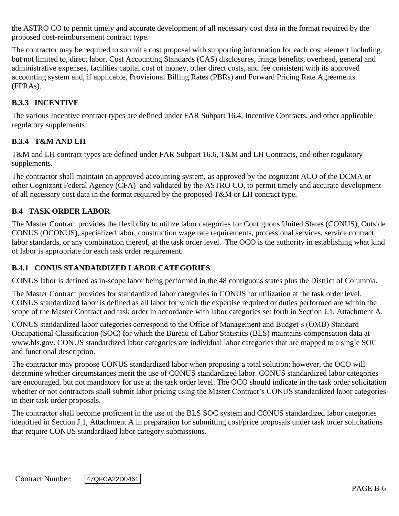the ASTRO CO to permit timely and accurate development of all necessary cost data in the format required by the proposed cost-reimbursement contract type.

The contractor may be required to submit a cost proposal with supporting information for each cost element including, but not limited to, direct labor, Cost Accounting Standards (CAS) disclosures, fringe benefits, overhead, general and administrative expenses, facilities capital cost of money, other direct costs, and fee consistent with its approved accounting system and, if applicable, Provisional Billing Rates (PBRs) and Forward Pricing Rate Agreements (FPRAs).

# **B.3.3 INCENTIVE**

The various Incentive contract types are defined under FAR Subpart 16.4, Incentive Contracts, and other applicable regulatory supplements.

# **B.3.4 T&M AND LH**

T&M and LH contract types are defined under FAR Subpart 16.6, T&M and LH Contracts, and other regulatory supplements.

The contractor shall maintain an approved accounting system, as approved by the cognizant ACO of the DCMA or other Cognizant Federal Agency (CFA) and validated by the ASTRO CO, to permit timely and accurate development of all necessary cost data in the format required by the proposed T&M or LH contract type.

# **B.4 TASK ORDER LABOR**

The Master Contract provides the flexibility to utilize labor categories for Contiguous United States (CONUS), Outside CONUS (OCONUS), specialized labor, construction wage rate requirements, professional services, service contract labor standards, or any combination thereof, at the task order level. The OCO is the authority in establishing what kind of labor is appropriate for each task order requirement.

# **B.4.1 CONUS STANDARDIZED LABOR CATEGORIES**

CONUS labor is defined as in-scope labor being performed in the 48 contiguous states plus the District of Columbia.

The Master Contract provides for standardized labor categories in CONUS for utilization at the task order level. CONUS standardized labor is defined as all labor for which the expertise required or duties performed are within the scope of the Master Contract and task order in accordance with labor categories set forth in Section J.1, Attachment A.

CONUS standardized labor categories correspond to the Office of Management and Budget's (OMB) Standard Occupational Classification (SOC) for which the Bureau of Labor Statistics (BLS) maintains compensation data at www.bls.gov. CONUS standardized labor categories are individual labor categories that are mapped to a single SOC and functional description.

The contractor may propose CONUS standardized labor when proposing a total solution; however, the OCO will determine whether circumstances merit the use of CONUS standardized labor. CONUS standardized labor categories are encouraged, but not mandatory for use at the task order level. The OCO should indicate in the task order solicitation whether or not contractors shall submit labor pricing using the Master Contract's CONUS standardized labor categories in their task order proposals.

The contractor shall become proficient in the use of the BLS SOC system and CONUS standardized labor categories identified in Section J.1, Attachment A in preparation for submitting cost/price proposals under task order solicitations that require CONUS standardized labor category submissions.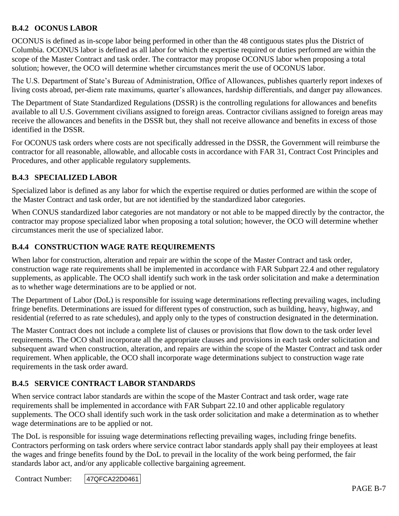# **B.4.2 OCONUS LABOR**

OCONUS is defined as in-scope labor being performed in other than the 48 contiguous states plus the District of Columbia. OCONUS labor is defined as all labor for which the expertise required or duties performed are within the scope of the Master Contract and task order. The contractor may propose OCONUS labor when proposing a total solution; however, the OCO will determine whether circumstances merit the use of OCONUS labor.

The U.S. Department of State's Bureau of Administration, Office of Allowances, publishes quarterly report indexes of living costs abroad, per-diem rate maximums, quarter's allowances, hardship differentials, and danger pay allowances.

The Department of State Standardized Regulations (DSSR) is the controlling regulations for allowances and benefits available to all U.S. Government civilians assigned to foreign areas. Contractor civilians assigned to foreign areas may receive the allowances and benefits in the DSSR but, they shall not receive allowance and benefits in excess of those identified in the DSSR.

For OCONUS task orders where costs are not specifically addressed in the DSSR, the Government will reimburse the contractor for all reasonable, allowable, and allocable costs in accordance with FAR 31, Contract Cost Principles and Procedures, and other applicable regulatory supplements.

#### **B.4.3 SPECIALIZED LABOR**

Specialized labor is defined as any labor for which the expertise required or duties performed are within the scope of the Master Contract and task order, but are not identified by the standardized labor categories.

When CONUS standardized labor categories are not mandatory or not able to be mapped directly by the contractor, the contractor may propose specialized labor when proposing a total solution; however, the OCO will determine whether circumstances merit the use of specialized labor.

## **B.4.4 CONSTRUCTION WAGE RATE REQUIREMENTS**

When labor for construction, alteration and repair are within the scope of the Master Contract and task order, construction wage rate requirements shall be implemented in accordance with FAR Subpart 22.4 and other regulatory supplements, as applicable. The OCO shall identify such work in the task order solicitation and make a determination as to whether wage determinations are to be applied or not.

The Department of Labor (DoL) is responsible for issuing wage determinations reflecting prevailing wages, including fringe benefits. Determinations are issued for different types of construction, such as building, heavy, highway, and residential (referred to as rate schedules), and apply only to the types of construction designated in the determination.

The Master Contract does not include a complete list of clauses or provisions that flow down to the task order level requirements. The OCO shall incorporate all the appropriate clauses and provisions in each task order solicitation and subsequent award when construction, alteration, and repairs are within the scope of the Master Contract and task order requirement. When applicable, the OCO shall incorporate wage determinations subject to construction wage rate requirements in the task order award.

#### **B.4.5 SERVICE CONTRACT LABOR STANDARDS**

When service contract labor standards are within the scope of the Master Contract and task order, wage rate requirements shall be implemented in accordance with FAR Subpart 22.10 and other applicable regulatory supplements. The OCO shall identify such work in the task order solicitation and make a determination as to whether wage determinations are to be applied or not.

The DoL is responsible for issuing wage determinations reflecting prevailing wages, including fringe benefits. Contractors performing on task orders where service contract labor standards apply shall pay their employees at least the wages and fringe benefits found by the DoL to prevail in the locality of the work being performed, the fair standards labor act, and/or any applicable collective bargaining agreement.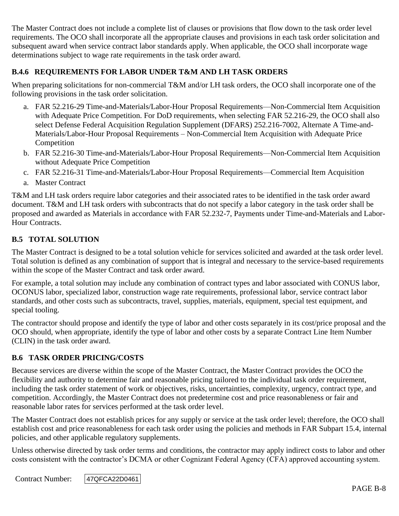The Master Contract does not include a complete list of clauses or provisions that flow down to the task order level requirements. The OCO shall incorporate all the appropriate clauses and provisions in each task order solicitation and subsequent award when service contract labor standards apply. When applicable, the OCO shall incorporate wage determinations subject to wage rate requirements in the task order award.

# **B.4.6 REQUIREMENTS FOR LABOR UNDER T&M AND LH TASK ORDERS**

When preparing solicitations for non-commercial T&M and/or LH task orders, the OCO shall incorporate one of the following provisions in the task order solicitation.

- a. FAR 52.216-29 Time-and-Materials/Labor-Hour Proposal Requirements—Non-Commercial Item Acquisition with Adequate Price Competition. For DoD requirements, when selecting FAR 52.216-29, the OCO shall also select Defense Federal Acquisition Regulation Supplement (DFARS) 252.216-7002, Alternate A Time-and-Materials/Labor-Hour Proposal Requirements – Non-Commercial Item Acquisition with Adequate Price Competition
- b. FAR 52.216-30 Time-and-Materials/Labor-Hour Proposal Requirements—Non-Commercial Item Acquisition without Adequate Price Competition
- c. FAR 52.216-31 Time-and-Materials/Labor-Hour Proposal Requirements—Commercial Item Acquisition
- a. Master Contract

T&M and LH task orders require labor categories and their associated rates to be identified in the task order award document. T&M and LH task orders with subcontracts that do not specify a labor category in the task order shall be proposed and awarded as Materials in accordance with FAR 52.232-7, Payments under Time-and-Materials and Labor-Hour Contracts.

## **B.5 TOTAL SOLUTION**

The Master Contract is designed to be a total solution vehicle for services solicited and awarded at the task order level. Total solution is defined as any combination of support that is integral and necessary to the service-based requirements within the scope of the Master Contract and task order award.

For example, a total solution may include any combination of contract types and labor associated with CONUS labor, OCONUS labor, specialized labor, construction wage rate requirements, professional labor, service contract labor standards, and other costs such as subcontracts, travel, supplies, materials, equipment, special test equipment, and special tooling.

The contractor should propose and identify the type of labor and other costs separately in its cost/price proposal and the OCO should, when appropriate, identify the type of labor and other costs by a separate Contract Line Item Number (CLIN) in the task order award.

#### **B.6 TASK ORDER PRICING/COSTS**

Because services are diverse within the scope of the Master Contract, the Master Contract provides the OCO the flexibility and authority to determine fair and reasonable pricing tailored to the individual task order requirement, including the task order statement of work or objectives, risks, uncertainties, complexity, urgency, contract type, and competition. Accordingly, the Master Contract does not predetermine cost and price reasonableness or fair and reasonable labor rates for services performed at the task order level.

The Master Contract does not establish prices for any supply or service at the task order level; therefore, the OCO shall establish cost and price reasonableness for each task order using the policies and methods in FAR Subpart 15.4, internal policies, and other applicable regulatory supplements.

Unless otherwise directed by task order terms and conditions, the contractor may apply indirect costs to labor and other costs consistent with the contractor's DCMA or other Cognizant Federal Agency (CFA) approved accounting system.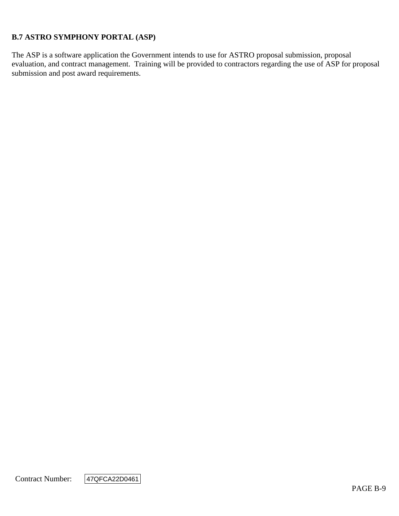## **B.7 ASTRO SYMPHONY PORTAL (ASP)**

The ASP is a software application the Government intends to use for ASTRO proposal submission, proposal evaluation, and contract management. Training will be provided to contractors regarding the use of ASP for proposal submission and post award requirements.

Contract Number:

47QFCA22D0461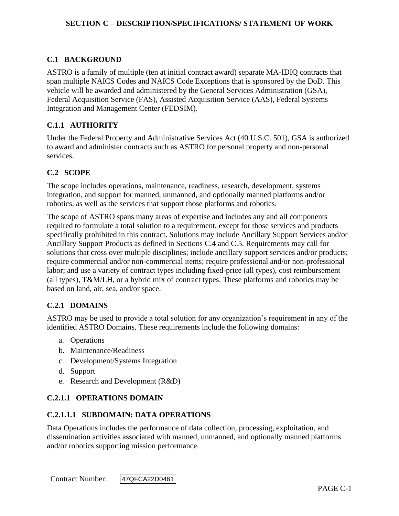## **C.1 BACKGROUND**

ASTRO is a family of multiple (ten at initial contract award) separate MA-IDIQ contracts that span multiple NAICS Codes and NAICS Code Exceptions that is sponsored by the DoD. This vehicle will be awarded and administered by the General Services Administration (GSA), Federal Acquisition Service (FAS), Assisted Acquisition Service (AAS), Federal Systems Integration and Management Center (FEDSIM).

### **C.1.1 AUTHORITY**

Under the Federal Property and Administrative Services Act (40 U.S.C. 501), GSA is authorized to award and administer contracts such as ASTRO for personal property and non-personal services.

#### **C.2 SCOPE**

The scope includes operations, maintenance, readiness, research, development, systems integration, and support for manned, unmanned, and optionally manned platforms and/or robotics, as well as the services that support those platforms and robotics.

The scope of ASTRO spans many areas of expertise and includes any and all components required to formulate a total solution to a requirement, except for those services and products specifically prohibited in this contract. Solutions may include Ancillary Support Services and/or Ancillary Support Products as defined in Sections C.4 and C.5. Requirements may call for solutions that cross over multiple disciplines; include ancillary support services and/or products; require commercial and/or non-commercial items; require professional and/or non-professional labor; and use a variety of contract types including fixed-price (all types), cost reimbursement (all types), T&M/LH, or a hybrid mix of contract types. These platforms and robotics may be based on land, air, sea, and/or space.

#### **C.2.1 DOMAINS**

ASTRO may be used to provide a total solution for any organization's requirement in any of the identified ASTRO Domains. These requirements include the following domains:

- a. Operations
- b. Maintenance/Readiness
- c. Development/Systems Integration
- d. Support
- e. Research and Development (R&D)

#### **C.2.1.1 OPERATIONS DOMAIN**

#### **C.2.1.1.1 SUBDOMAIN: DATA OPERATIONS**

Data Operations includes the performance of data collection, processing, exploitation, and dissemination activities associated with manned, unmanned, and optionally manned platforms and/or robotics supporting mission performance.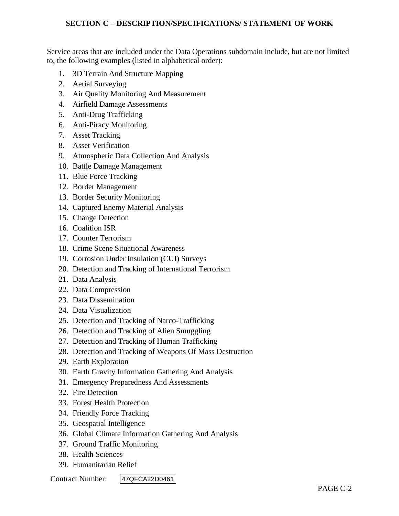Service areas that are included under the Data Operations subdomain include, but are not limited to, the following examples (listed in alphabetical order):

- 1. 3D Terrain And Structure Mapping
- 2. Aerial Surveying
- 3. Air Quality Monitoring And Measurement
- 4. Airfield Damage Assessments
- 5. Anti-Drug Trafficking
- 6. Anti-Piracy Monitoring
- 7. Asset Tracking
- 8. Asset Verification
- 9. Atmospheric Data Collection And Analysis
- 10. Battle Damage Management
- 11. Blue Force Tracking
- 12. Border Management
- 13. Border Security Monitoring
- 14. Captured Enemy Material Analysis
- 15. Change Detection
- 16. Coalition ISR
- 17. Counter Terrorism
- 18. Crime Scene Situational Awareness
- 19. Corrosion Under Insulation (CUI) Surveys
- 20. Detection and Tracking of International Terrorism
- 21. Data Analysis
- 22. Data Compression
- 23. Data Dissemination
- 24. Data Visualization
- 25. Detection and Tracking of Narco-Trafficking
- 26. Detection and Tracking of Alien Smuggling
- 27. Detection and Tracking of Human Trafficking
- 28. Detection and Tracking of Weapons Of Mass Destruction
- 29. Earth Exploration
- 30. Earth Gravity Information Gathering And Analysis
- 31. Emergency Preparedness And Assessments
- 32. Fire Detection
- 33. Forest Health Protection
- 34. Friendly Force Tracking
- 35. Geospatial Intelligence
- 36. Global Climate Information Gathering And Analysis
- 37. Ground Traffic Monitoring
- 38. Health Sciences
- 39. Humanitarian Relief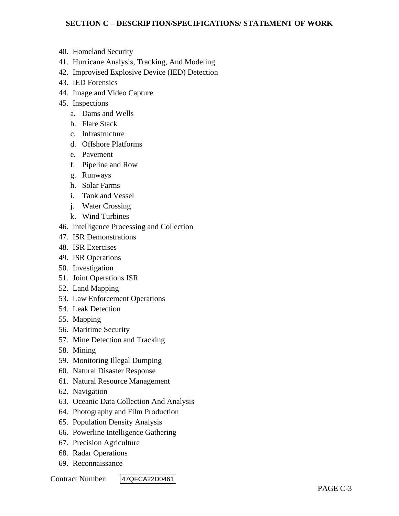- 40. Homeland Security
- 41. Hurricane Analysis, Tracking, And Modeling
- 42. Improvised Explosive Device (IED) Detection
- 43. IED Forensics
- 44. Image and Video Capture
- 45. Inspections
	- a. Dams and Wells
	- b. Flare Stack
	- c. Infrastructure
	- d. Offshore Platforms
	- e. Pavement
	- f. Pipeline and Row
	- g. Runways
	- h. Solar Farms
	- i. Tank and Vessel
	- j. Water Crossing
	- k. Wind Turbines
- 46. Intelligence Processing and Collection
- 47. ISR Demonstrations
- 48. ISR Exercises
- 49. ISR Operations
- 50. Investigation
- 51. Joint Operations ISR
- 52. Land Mapping
- 53. Law Enforcement Operations
- 54. Leak Detection
- 55. Mapping
- 56. Maritime Security
- 57. Mine Detection and Tracking
- 58. Mining
- 59. Monitoring Illegal Dumping
- 60. Natural Disaster Response
- 61. Natural Resource Management
- 62. Navigation
- 63. Oceanic Data Collection And Analysis
- 64. Photography and Film Production
- 65. Population Density Analysis
- 66. Powerline Intelligence Gathering
- 67. Precision Agriculture
- 68. Radar Operations
- 69. Reconnaissance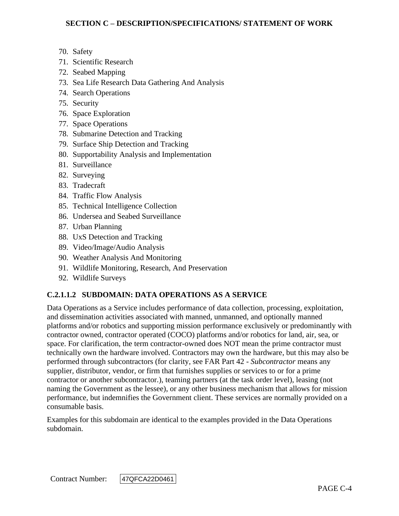- 70. Safety
- 71. Scientific Research
- 72. Seabed Mapping
- 73. Sea Life Research Data Gathering And Analysis
- 74. Search Operations
- 75. Security
- 76. Space Exploration
- 77. Space Operations
- 78. Submarine Detection and Tracking
- 79. Surface Ship Detection and Tracking
- 80. Supportability Analysis and Implementation
- 81. Surveillance
- 82. Surveying
- 83. Tradecraft
- 84. Traffic Flow Analysis
- 85. Technical Intelligence Collection
- 86. Undersea and Seabed Surveillance
- 87. Urban Planning
- 88. UxS Detection and Tracking
- 89. Video/Image/Audio Analysis
- 90. Weather Analysis And Monitoring
- 91. Wildlife Monitoring, Research, And Preservation
- 92. Wildlife Surveys

# **C.2.1.1.2 SUBDOMAIN: DATA OPERATIONS AS A SERVICE**

Data Operations as a Service includes performance of data collection, processing, exploitation, and dissemination activities associated with manned, unmanned, and optionally manned platforms and/or robotics and supporting mission performance exclusively or predominantly with contractor owned, contractor operated (COCO) platforms and/or robotics for land, air, sea, or space. For clarification, the term contractor-owned does NOT mean the prime contractor must technically own the hardware involved. Contractors may own the hardware, but this may also be performed through subcontractors (for clarity, see FAR Part 42 - *Subcontractor* means any supplier, distributor, vendor, or firm that furnishes supplies or services to or for a prime contractor or another subcontractor.), teaming partners (at the task order level), leasing (not naming the Government as the lessee), or any other business mechanism that allows for mission performance, but indemnifies the Government client. These services are normally provided on a consumable basis.

Examples for this subdomain are identical to the examples provided in the Data Operations subdomain.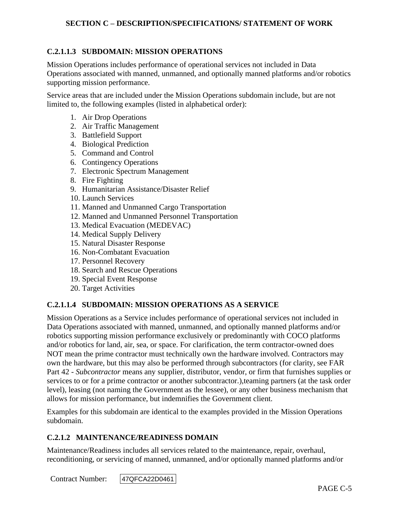## **C.2.1.1.3 SUBDOMAIN: MISSION OPERATIONS**

Mission Operations includes performance of operational services not included in Data Operations associated with manned, unmanned, and optionally manned platforms and/or robotics supporting mission performance.

Service areas that are included under the Mission Operations subdomain include, but are not limited to, the following examples (listed in alphabetical order):

- 1. Air Drop Operations
- 2. Air Traffic Management
- 3. Battlefield Support
- 4. Biological Prediction
- 5. Command and Control
- 6. Contingency Operations
- 7. Electronic Spectrum Management
- 8. Fire Fighting
- 9. Humanitarian Assistance/Disaster Relief
- 10. Launch Services
- 11. Manned and Unmanned Cargo Transportation
- 12. Manned and Unmanned Personnel Transportation
- 13. Medical Evacuation (MEDEVAC)
- 14. Medical Supply Delivery
- 15. Natural Disaster Response
- 16. Non-Combatant Evacuation
- 17. Personnel Recovery
- 18. Search and Rescue Operations
- 19. Special Event Response
- 20. Target Activities

#### **C.2.1.1.4 SUBDOMAIN: MISSION OPERATIONS AS A SERVICE**

Mission Operations as a Service includes performance of operational services not included in Data Operations associated with manned, unmanned, and optionally manned platforms and/or robotics supporting mission performance exclusively or predominantly with COCO platforms and/or robotics for land, air, sea, or space. For clarification, the term contractor-owned does NOT mean the prime contractor must technically own the hardware involved. Contractors may own the hardware, but this may also be performed through subcontractors (for clarity, see FAR Part 42 - *Subcontractor* means any supplier, distributor, vendor, or firm that furnishes supplies or services to or for a prime contractor or another subcontractor.),teaming partners (at the task order level), leasing (not naming the Government as the lessee), or any other business mechanism that allows for mission performance, but indemnifies the Government client.

Examples for this subdomain are identical to the examples provided in the Mission Operations subdomain.

#### **C.2.1.2 MAINTENANCE/READINESS DOMAIN**

Maintenance/Readiness includes all services related to the maintenance, repair, overhaul, reconditioning, or servicing of manned, unmanned, and/or optionally manned platforms and/or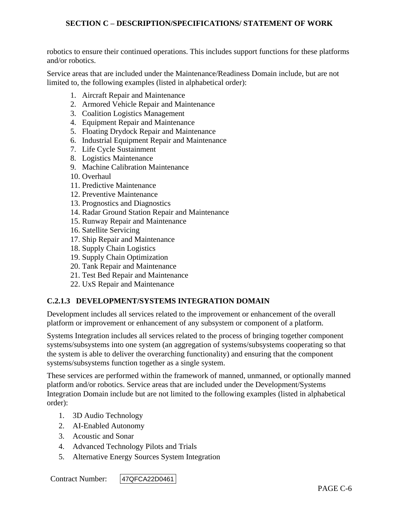robotics to ensure their continued operations. This includes support functions for these platforms and/or robotics.

Service areas that are included under the Maintenance/Readiness Domain include, but are not limited to, the following examples (listed in alphabetical order):

- 1. Aircraft Repair and Maintenance
- 2. Armored Vehicle Repair and Maintenance
- 3. Coalition Logistics Management
- 4. Equipment Repair and Maintenance
- 5. Floating Drydock Repair and Maintenance
- 6. Industrial Equipment Repair and Maintenance
- 7. Life Cycle Sustainment
- 8. Logistics Maintenance
- 9. Machine Calibration Maintenance
- 10. Overhaul
- 11. Predictive Maintenance
- 12. Preventive Maintenance
- 13. Prognostics and Diagnostics
- 14. Radar Ground Station Repair and Maintenance
- 15. Runway Repair and Maintenance
- 16. Satellite Servicing
- 17. Ship Repair and Maintenance
- 18. Supply Chain Logistics
- 19. Supply Chain Optimization
- 20. Tank Repair and Maintenance
- 21. Test Bed Repair and Maintenance
- 22. UxS Repair and Maintenance

#### **C.2.1.3 DEVELOPMENT/SYSTEMS INTEGRATION DOMAIN**

Development includes all services related to the improvement or enhancement of the overall platform or improvement or enhancement of any subsystem or component of a platform.

Systems Integration includes all services related to the process of bringing together component systems/subsystems into one system (an aggregation of systems/subsystems cooperating so that the system is able to deliver the overarching functionality) and ensuring that the component systems/subsystems function together as a single system.

These services are performed within the framework of manned, unmanned, or optionally manned platform and/or robotics. Service areas that are included under the Development/Systems Integration Domain include but are not limited to the following examples (listed in alphabetical order):

- 1. 3D Audio Technology
- 2. AI-Enabled Autonomy
- 3. Acoustic and Sonar
- 4. Advanced Technology Pilots and Trials
- 5. Alternative Energy Sources System Integration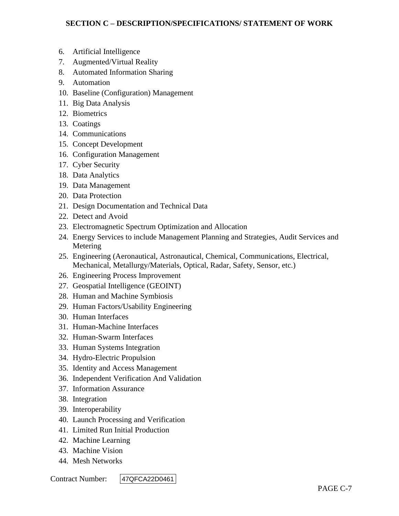- 6. Artificial Intelligence
- 7. Augmented/Virtual Reality
- 8. Automated Information Sharing
- 9. Automation
- 10. Baseline (Configuration) Management
- 11. Big Data Analysis
- 12. Biometrics
- 13. Coatings
- 14. Communications
- 15. Concept Development
- 16. Configuration Management
- 17. Cyber Security
- 18. Data Analytics
- 19. Data Management
- 20. Data Protection
- 21. Design Documentation and Technical Data
- 22. Detect and Avoid
- 23. Electromagnetic Spectrum Optimization and Allocation
- 24. Energy Services to include Management Planning and Strategies, Audit Services and Metering
- 25. Engineering (Aeronautical, Astronautical, Chemical, Communications, Electrical, Mechanical, Metallurgy/Materials, Optical, Radar, Safety, Sensor, etc.)
- 26. Engineering Process Improvement
- 27. Geospatial Intelligence (GEOINT)
- 28. Human and Machine Symbiosis
- 29. Human Factors/Usability Engineering
- 30. Human Interfaces
- 31. Human-Machine Interfaces
- 32. Human-Swarm Interfaces
- 33. Human Systems Integration
- 34. Hydro-Electric Propulsion
- 35. Identity and Access Management
- 36. Independent Verification And Validation
- 37. Information Assurance
- 38. Integration
- 39. Interoperability
- 40. Launch Processing and Verification
- 41. Limited Run Initial Production
- 42. Machine Learning
- 43. Machine Vision
- 44. Mesh Networks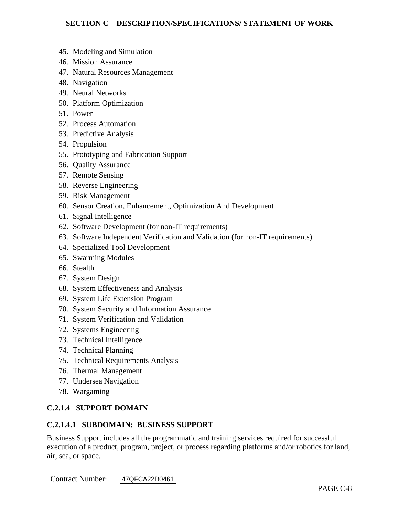- 45. Modeling and Simulation
- 46. Mission Assurance
- 47. Natural Resources Management
- 48. Navigation
- 49. Neural Networks
- 50. Platform Optimization
- 51. Power
- 52. Process Automation
- 53. Predictive Analysis
- 54. Propulsion
- 55. Prototyping and Fabrication Support
- 56. Quality Assurance
- 57. Remote Sensing
- 58. Reverse Engineering
- 59. Risk Management
- 60. Sensor Creation, Enhancement, Optimization And Development
- 61. Signal Intelligence
- 62. Software Development (for non-IT requirements)
- 63. Software Independent Verification and Validation (for non-IT requirements)
- 64. Specialized Tool Development
- 65. Swarming Modules
- 66. Stealth
- 67. System Design
- 68. System Effectiveness and Analysis
- 69. System Life Extension Program
- 70. System Security and Information Assurance
- 71. System Verification and Validation
- 72. Systems Engineering
- 73. Technical Intelligence
- 74. Technical Planning
- 75. Technical Requirements Analysis
- 76. Thermal Management
- 77. Undersea Navigation
- 78. Wargaming

#### **C.2.1.4 SUPPORT DOMAIN**

#### **C.2.1.4.1 SUBDOMAIN: BUSINESS SUPPORT**

Business Support includes all the programmatic and training services required for successful execution of a product, program, project, or process regarding platforms and/or robotics for land, air, sea, or space.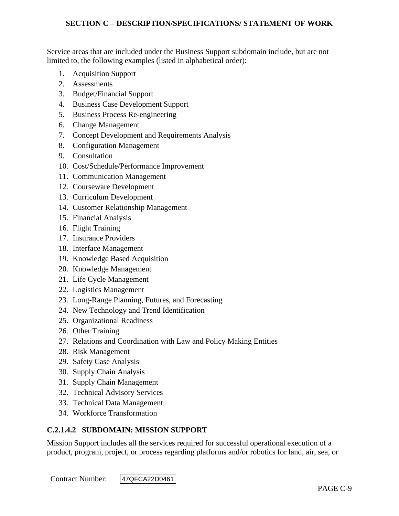Service areas that are included under the Business Support subdomain include, but are not limited to, the following examples (listed in alphabetical order):

- 1. Acquisition Support
- 2. Assessments
- 3. Budget/Financial Support
- 4. Business Case Development Support
- 5. Business Process Re-engineering
- 6. Change Management
- 7. Concept Development and Requirements Analysis
- 8. Configuration Management
- 9. Consultation
- 10. Cost/Schedule/Performance Improvement
- 11. Communication Management
- 12. Courseware Development
- 13. Curriculum Development
- 14. Customer Relationship Management
- 15. Financial Analysis
- 16. Flight Training
- 17. Insurance Providers
- 18. Interface Management
- 19. Knowledge Based Acquisition
- 20. Knowledge Management
- 21. Life Cycle Management
- 22. Logistics Management
- 23. Long-Range Planning, Futures, and Forecasting
- 24. New Technology and Trend Identification
- 25. Organizational Readiness
- 26. Other Training
- 27. Relations and Coordination with Law and Policy Making Entities
- 28. Risk Management
- 29. Safety Case Analysis
- 30. Supply Chain Analysis
- 31. Supply Chain Management
- 32. Technical Advisory Services
- 33. Technical Data Management
- 34. Workforce Transformation

# **C.2.1.4.2 SUBDOMAIN: MISSION SUPPORT**

Mission Support includes all the services required for successful operational execution of a product, program, project, or process regarding platforms and/or robotics for land, air, sea, or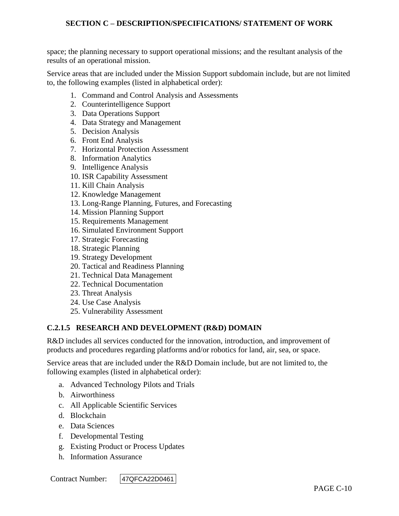space; the planning necessary to support operational missions; and the resultant analysis of the results of an operational mission.

Service areas that are included under the Mission Support subdomain include, but are not limited to, the following examples (listed in alphabetical order):

- 1. Command and Control Analysis and Assessments
- 2. Counterintelligence Support
- 3. Data Operations Support
- 4. Data Strategy and Management
- 5. Decision Analysis
- 6. Front End Analysis
- 7. Horizontal Protection Assessment
- 8. Information Analytics
- 9. Intelligence Analysis
- 10. ISR Capability Assessment
- 11. Kill Chain Analysis
- 12. Knowledge Management
- 13. Long-Range Planning, Futures, and Forecasting
- 14. Mission Planning Support
- 15. Requirements Management
- 16. Simulated Environment Support
- 17. Strategic Forecasting
- 18. Strategic Planning
- 19. Strategy Development
- 20. Tactical and Readiness Planning
- 21. Technical Data Management
- 22. Technical Documentation
- 23. Threat Analysis
- 24. Use Case Analysis
- 25. Vulnerability Assessment

#### **C.2.1.5 RESEARCH AND DEVELOPMENT (R&D) DOMAIN**

R&D includes all services conducted for the innovation, introduction, and improvement of products and procedures regarding platforms and/or robotics for land, air, sea, or space.

Service areas that are included under the R&D Domain include, but are not limited to, the following examples (listed in alphabetical order):

- a. Advanced Technology Pilots and Trials
- b. Airworthiness
- c. All Applicable Scientific Services
- d. Blockchain
- e. Data Sciences
- f. Developmental Testing
- g. Existing Product or Process Updates
- h. Information Assurance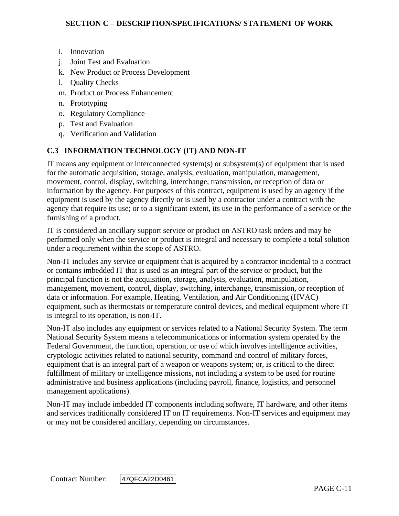- i. Innovation
- j. Joint Test and Evaluation
- k. New Product or Process Development
- l. Quality Checks
- m. Product or Process Enhancement
- n. Prototyping
- o. Regulatory Compliance
- p. Test and Evaluation
- q. Verification and Validation

# **C.3 INFORMATION TECHNOLOGY (IT) AND NON-IT**

IT means any equipment or interconnected system(s) or subsystem(s) of equipment that is used for the automatic acquisition, storage, analysis, evaluation, manipulation, management, movement, control, display, switching, interchange, transmission, or reception of data or information by the agency. For purposes of this contract, equipment is used by an agency if the equipment is used by the agency directly or is used by a contractor under a contract with the agency that require its use; or to a significant extent, its use in the performance of a service or the furnishing of a product.

IT is considered an ancillary support service or product on ASTRO task orders and may be performed only when the service or product is integral and necessary to complete a total solution under a requirement within the scope of ASTRO.

Non-IT includes any service or equipment that is acquired by a contractor incidental to a contract or contains imbedded IT that is used as an integral part of the service or product, but the principal function is not the acquisition, storage, analysis, evaluation, manipulation, management, movement, control, display, switching, interchange, transmission, or reception of data or information. For example, Heating, Ventilation, and Air Conditioning (HVAC) equipment, such as thermostats or temperature control devices, and medical equipment where IT is integral to its operation, is non-IT.

Non-IT also includes any equipment or services related to a National Security System. The term National Security System means a telecommunications or information system operated by the Federal Government, the function, operation, or use of which involves intelligence activities, cryptologic activities related to national security, command and control of military forces, equipment that is an integral part of a weapon or weapons system; or, is critical to the direct fulfillment of military or intelligence missions, not including a system to be used for routine administrative and business applications (including payroll, finance, logistics, and personnel management applications).

Non-IT may include imbedded IT components including software, IT hardware, and other items and services traditionally considered IT on IT requirements. Non-IT services and equipment may or may not be considered ancillary, depending on circumstances.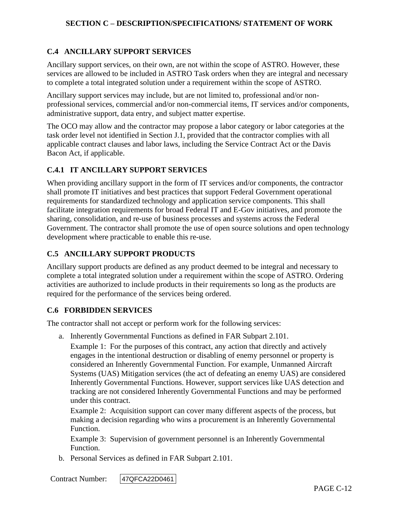# **C.4 ANCILLARY SUPPORT SERVICES**

Ancillary support services, on their own, are not within the scope of ASTRO. However, these services are allowed to be included in ASTRO Task orders when they are integral and necessary to complete a total integrated solution under a requirement within the scope of ASTRO.

Ancillary support services may include, but are not limited to, professional and/or nonprofessional services, commercial and/or non-commercial items, IT services and/or components, administrative support, data entry, and subject matter expertise.

The OCO may allow and the contractor may propose a labor category or labor categories at the task order level not identified in Section J.1, provided that the contractor complies with all applicable contract clauses and labor laws, including the Service Contract Act or the Davis Bacon Act, if applicable.

#### **C.4.1 IT ANCILLARY SUPPORT SERVICES**

When providing ancillary support in the form of IT services and/or components, the contractor shall promote IT initiatives and best practices that support Federal Government operational requirements for standardized technology and application service components. This shall facilitate integration requirements for broad Federal IT and E-Gov initiatives, and promote the sharing, consolidation, and re-use of business processes and systems across the Federal Government. The contractor shall promote the use of open source solutions and open technology development where practicable to enable this re-use.

## **C.5 ANCILLARY SUPPORT PRODUCTS**

Ancillary support products are defined as any product deemed to be integral and necessary to complete a total integrated solution under a requirement within the scope of ASTRO. Ordering activities are authorized to include products in their requirements so long as the products are required for the performance of the services being ordered.

#### **C.6 FORBIDDEN SERVICES**

The contractor shall not accept or perform work for the following services:

a. Inherently Governmental Functions as defined in FAR Subpart 2.101.

Example 1: For the purposes of this contract, any action that directly and actively engages in the intentional destruction or disabling of enemy personnel or property is considered an Inherently Governmental Function. For example, Unmanned Aircraft Systems (UAS) Mitigation services (the act of defeating an enemy UAS) are considered Inherently Governmental Functions. However, support services like UAS detection and tracking are not considered Inherently Governmental Functions and may be performed under this contract.

Example 2: Acquisition support can cover many different aspects of the process, but making a decision regarding who wins a procurement is an Inherently Governmental Function.

Example 3: Supervision of government personnel is an Inherently Governmental Function.

b. Personal Services as defined in FAR Subpart 2.101.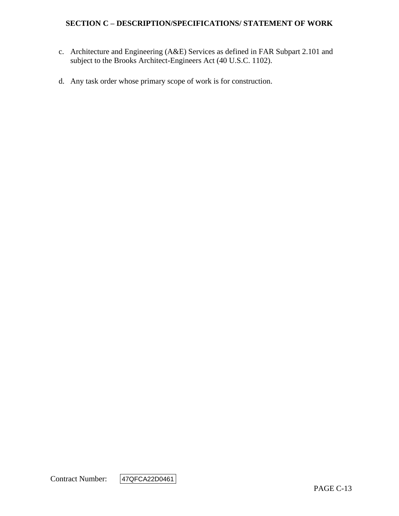- c. Architecture and Engineering (A&E) Services as defined in FAR Subpart 2.101 and subject to the Brooks Architect-Engineers Act (40 U.S.C. 1102).
- d. Any task order whose primary scope of work is for construction.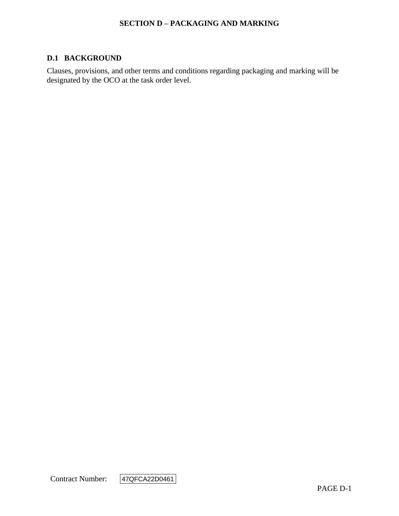### **SECTION D – PACKAGING AND MARKING**

#### **D.1 BACKGROUND**

Clauses, provisions, and other terms and conditions regarding packaging and marking will be designated by the OCO at the task order level.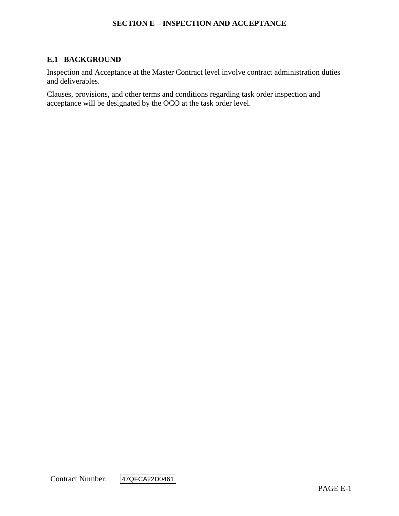#### **SECTION E – INSPECTION AND ACCEPTANCE**

## **E.1 BACKGROUND**

Inspection and Acceptance at the Master Contract level involve contract administration duties and deliverables.

Clauses, provisions, and other terms and conditions regarding task order inspection and acceptance will be designated by the OCO at the task order level.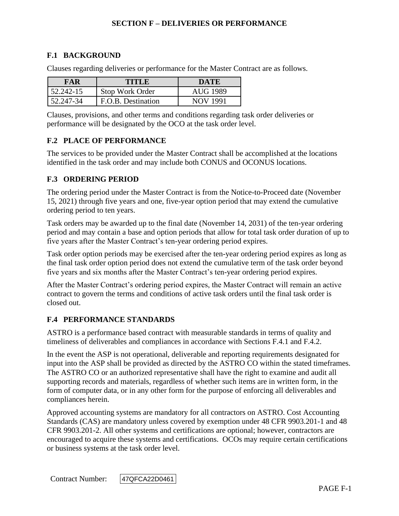## **F.1 BACKGROUND**

Clauses regarding deliveries or performance for the Master Contract are as follows.

| FAR       | TITLE              | DATE     |
|-----------|--------------------|----------|
| 52.242-15 | Stop Work Order    | AUG 1989 |
| 52.247-34 | F.O.B. Destination | NOV 1991 |

Clauses, provisions, and other terms and conditions regarding task order deliveries or performance will be designated by the OCO at the task order level.

#### **F.2 PLACE OF PERFORMANCE**

The services to be provided under the Master Contract shall be accomplished at the locations identified in the task order and may include both CONUS and OCONUS locations.

#### **F.3 ORDERING PERIOD**

The ordering period under the Master Contract is from the Notice-to-Proceed date (November 15, 2021) through five years and one, five-year option period that may extend the cumulative ordering period to ten years.

Task orders may be awarded up to the final date (November 14, 2031) of the ten-year ordering period and may contain a base and option periods that allow for total task order duration of up to five years after the Master Contract's ten-year ordering period expires.

Task order option periods may be exercised after the ten-year ordering period expires as long as the final task order option period does not extend the cumulative term of the task order beyond five years and six months after the Master Contract's ten-year ordering period expires.

After the Master Contract's ordering period expires, the Master Contract will remain an active contract to govern the terms and conditions of active task orders until the final task order is closed out.

#### **F.4 PERFORMANCE STANDARDS**

ASTRO is a performance based contract with measurable standards in terms of quality and timeliness of deliverables and compliances in accordance with Sections F.4.1 and F.4.2.

In the event the ASP is not operational, deliverable and reporting requirements designated for input into the ASP shall be provided as directed by the ASTRO CO within the stated timeframes. The ASTRO CO or an authorized representative shall have the right to examine and audit all supporting records and materials, regardless of whether such items are in written form, in the form of computer data, or in any other form for the purpose of enforcing all deliverables and compliances herein.

Approved accounting systems are mandatory for all contractors on ASTRO. Cost Accounting Standards (CAS) are mandatory unless covered by exemption under 48 CFR 9903.201-1 and 48 CFR 9903.201-2. All other systems and certifications are optional; however, contractors are encouraged to acquire these systems and certifications. OCOs may require certain certifications or business systems at the task order level.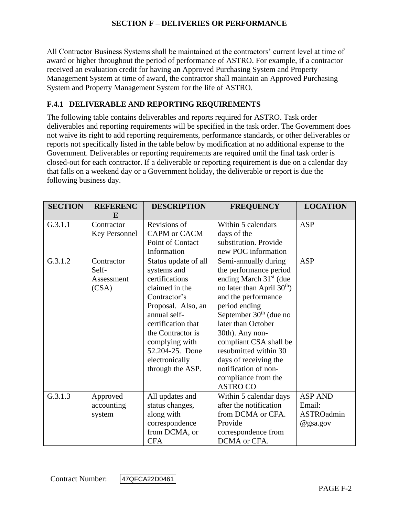All Contractor Business Systems shall be maintained at the contractors' current level at time of award or higher throughout the period of performance of ASTRO. For example, if a contractor received an evaluation credit for having an Approved Purchasing System and Property Management System at time of award, the contractor shall maintain an Approved Purchasing System and Property Management System for the life of ASTRO.

# **F.4.1 DELIVERABLE AND REPORTING REQUIREMENTS**

The following table contains deliverables and reports required for ASTRO. Task order deliverables and reporting requirements will be specified in the task order. The Government does not waive its right to add reporting requirements, performance standards, or other deliverables or reports not specifically listed in the table below by modification at no additional expense to the Government. Deliverables or reporting requirements are required until the final task order is closed-out for each contractor. If a deliverable or reporting requirement is due on a calendar day that falls on a weekend day or a Government holiday, the deliverable or report is due the following business day.

| <b>SECTION</b> | <b>REFERENC</b><br>E                       | <b>DESCRIPTION</b>                                                                                                                                                                                                                                  | <b>FREQUENCY</b>                                                                                                                                                                                                                                                                                                                                                                | <b>LOCATION</b>                                    |
|----------------|--------------------------------------------|-----------------------------------------------------------------------------------------------------------------------------------------------------------------------------------------------------------------------------------------------------|---------------------------------------------------------------------------------------------------------------------------------------------------------------------------------------------------------------------------------------------------------------------------------------------------------------------------------------------------------------------------------|----------------------------------------------------|
| G.3.1.1        | Contractor<br>Key Personnel                | Revisions of<br>CAPM or CACM<br>Point of Contact<br>Information                                                                                                                                                                                     | Within 5 calendars<br>days of the<br>substitution. Provide<br>new POC information                                                                                                                                                                                                                                                                                               | <b>ASP</b>                                         |
| G.3.1.2        | Contractor<br>Self-<br>Assessment<br>(CSA) | Status update of all<br>systems and<br>certifications<br>claimed in the<br>Contractor's<br>Proposal. Also, an<br>annual self-<br>certification that<br>the Contractor is<br>complying with<br>52.204-25. Done<br>electronically<br>through the ASP. | Semi-annually during<br>the performance period<br>ending March $31st$ (due<br>no later than April 30 <sup>th</sup> )<br>and the performance<br>period ending<br>September $30th$ (due no<br>later than October<br>30th). Any non-<br>compliant CSA shall be<br>resubmitted within 30<br>days of receiving the<br>notification of non-<br>compliance from the<br><b>ASTRO CO</b> | <b>ASP</b>                                         |
| G.3.1.3        | Approved<br>accounting<br>system           | All updates and<br>status changes,<br>along with<br>correspondence<br>from DCMA, or<br><b>CFA</b>                                                                                                                                                   | Within 5 calendar days<br>after the notification<br>from DCMA or CFA.<br>Provide<br>correspondence from<br>DCMA or CFA.                                                                                                                                                                                                                                                         | <b>ASP AND</b><br>Email:<br>ASTROadmin<br>@gsa.gov |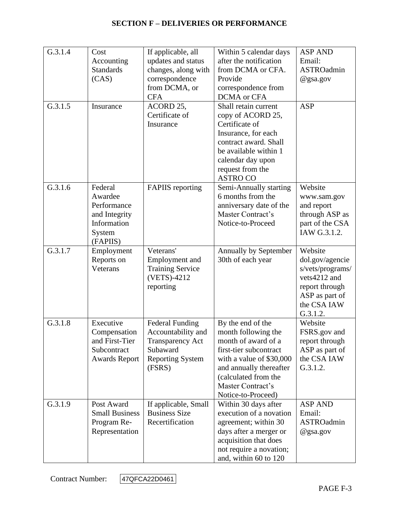| G.3.1.4 | Cost                   | If applicable, all                        | Within 5 calendar days                              | <b>ASP AND</b>                      |
|---------|------------------------|-------------------------------------------|-----------------------------------------------------|-------------------------------------|
|         | Accounting             | updates and status                        | after the notification                              | Email:                              |
|         | <b>Standards</b>       | changes, along with                       | from DCMA or CFA.                                   | <b>ASTROadmin</b>                   |
|         | (CAS)                  | correspondence                            | Provide                                             | @gsa.gov                            |
|         |                        | from DCMA, or                             | correspondence from                                 |                                     |
|         |                        | <b>CFA</b>                                | DCMA or CFA                                         |                                     |
| G.3.1.5 | Insurance              | ACORD 25,                                 | Shall retain current                                | <b>ASP</b>                          |
|         |                        | Certificate of                            | copy of ACORD 25,                                   |                                     |
|         |                        | Insurance                                 | Certificate of                                      |                                     |
|         |                        |                                           | Insurance, for each                                 |                                     |
|         |                        |                                           | contract award. Shall                               |                                     |
|         |                        |                                           | be available within 1                               |                                     |
|         |                        |                                           | calendar day upon                                   |                                     |
|         |                        |                                           | request from the<br><b>ASTRO CO</b>                 |                                     |
| G.3.1.6 | Federal                | <b>FAPIIS</b> reporting                   | Semi-Annually starting                              | Website                             |
|         | Awardee                |                                           | 6 months from the                                   | www.sam.gov                         |
|         | Performance            |                                           | anniversary date of the                             | and report                          |
|         | and Integrity          |                                           | Master Contract's                                   | through ASP as                      |
|         | Information            |                                           | Notice-to-Proceed                                   | part of the CSA                     |
|         | System                 |                                           |                                                     | IAW G.3.1.2.                        |
|         | (FAPIIS)               |                                           |                                                     |                                     |
| G.3.1.7 | Employment             | Veterans'                                 | Annually by September                               | Website                             |
|         | Reports on<br>Veterans | Employment and<br><b>Training Service</b> | 30th of each year                                   | dol.gov/agencie<br>s/vets/programs/ |
|         |                        | (VETS)-4212                               |                                                     | vets4212 and                        |
|         |                        | reporting                                 |                                                     | report through                      |
|         |                        |                                           |                                                     | ASP as part of                      |
|         |                        |                                           |                                                     | the CSA IAW                         |
|         |                        |                                           |                                                     | G.3.1.2.                            |
| G.3.1.8 | Executive              | <b>Federal Funding</b>                    | By the end of the                                   | Website                             |
|         | Compensation           | Accountability and                        | month following the                                 | FSRS.gov and                        |
|         | and First-Tier         | <b>Transparency Act</b>                   | month of award of a                                 | report through                      |
|         | Subcontract            | Subaward                                  | first-tier subcontract                              | ASP as part of                      |
|         | <b>Awards Report</b>   | <b>Reporting System</b><br>(FSRS)         | with a value of \$30,000<br>and annually thereafter | the CSA IAW<br>G.3.1.2.             |
|         |                        |                                           | (calculated from the                                |                                     |
|         |                        |                                           | Master Contract's                                   |                                     |
|         |                        |                                           | Notice-to-Proceed)                                  |                                     |
| G.3.1.9 | Post Award             | If applicable, Small                      | Within 30 days after                                | <b>ASP AND</b>                      |
|         | <b>Small Business</b>  | <b>Business Size</b>                      | execution of a novation                             | Email:                              |
|         | Program Re-            | Recertification                           | agreement; within 30                                | ASTROadmin                          |
|         | Representation         |                                           | days after a merger or                              | @gsa.gov                            |
|         |                        |                                           | acquisition that does                               |                                     |
|         |                        |                                           | not require a novation;                             |                                     |
|         |                        |                                           | and, within 60 to 120                               |                                     |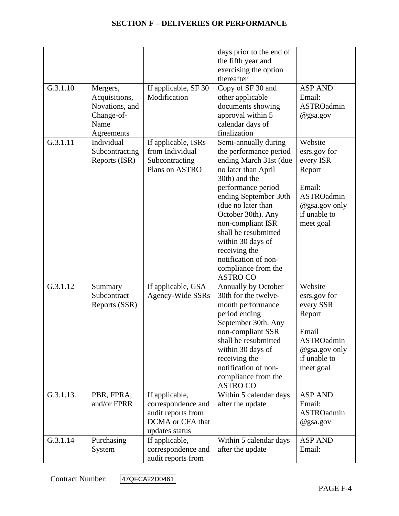|           |                                                                                 |                                                                                                  | days prior to the end of<br>the fifth year and<br>exercising the option<br>thereafter                                                                                                                                                                                                                                                                            |                                                                                                                             |
|-----------|---------------------------------------------------------------------------------|--------------------------------------------------------------------------------------------------|------------------------------------------------------------------------------------------------------------------------------------------------------------------------------------------------------------------------------------------------------------------------------------------------------------------------------------------------------------------|-----------------------------------------------------------------------------------------------------------------------------|
| G.3.1.10  | Mergers,<br>Acquisitions,<br>Novations, and<br>Change-of-<br>Name<br>Agreements | If applicable, SF 30<br>Modification                                                             | Copy of SF 30 and<br>other applicable<br>documents showing<br>approval within 5<br>calendar days of<br>finalization                                                                                                                                                                                                                                              | <b>ASP AND</b><br>Email:<br>ASTROadmin<br>@gsa.gov                                                                          |
| G.3.1.11  | Individual<br>Subcontracting<br>Reports (ISR)                                   | If applicable, ISRs<br>from Individual<br>Subcontracting<br>Plans on ASTRO                       | Semi-annually during<br>the performance period<br>ending March 31st (due<br>no later than April<br>30th) and the<br>performance period<br>ending September 30th<br>(due no later than<br>October 30th). Any<br>non-compliant ISR<br>shall be resubmitted<br>within 30 days of<br>receiving the<br>notification of non-<br>compliance from the<br><b>ASTRO CO</b> | Website<br>esrs.gov for<br>every ISR<br>Report<br>Email:<br><b>ASTROadmin</b><br>@gsa.gov only<br>if unable to<br>meet goal |
| G.3.1.12  | Summary<br>Subcontract<br>Reports (SSR)                                         | If applicable, GSA<br>Agency-Wide SSRs                                                           | Annually by October<br>30th for the twelve-<br>month performance<br>period ending<br>September 30th. Any<br>non-compliant SSR<br>shall be resubmitted<br>within 30 days of<br>receiving the<br>notification of non-<br>compliance from the<br><b>ASTRO CO</b>                                                                                                    | Website<br>esrs.gov for<br>every SSR<br>Report<br>Email<br><b>ASTROadmin</b><br>@gsa.gov only<br>if unable to<br>meet goal  |
| G.3.1.13. | PBR, FPRA,<br>and/or FPRR                                                       | If applicable,<br>correspondence and<br>audit reports from<br>DCMA or CFA that<br>updates status | Within 5 calendar days<br>after the update                                                                                                                                                                                                                                                                                                                       | <b>ASP AND</b><br>Email:<br><b>ASTROadmin</b><br>@gsa.gov                                                                   |
| G.3.1.14  | Purchasing<br>System                                                            | If applicable,<br>correspondence and<br>audit reports from                                       | Within 5 calendar days<br>after the update                                                                                                                                                                                                                                                                                                                       | <b>ASP AND</b><br>Email:                                                                                                    |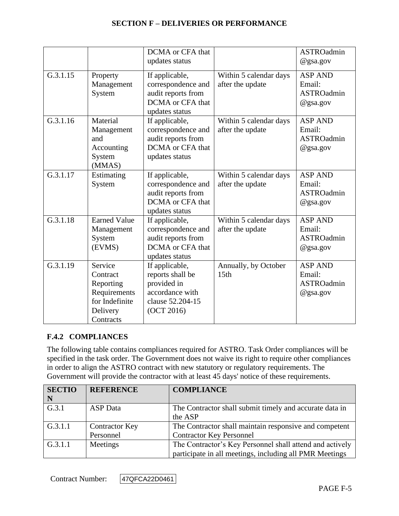|          |                                                                                             | DCMA or CFA that<br>updates status                                                                     |                                            | <b>ASTROadmin</b><br>$@$ gsa.gov                             |
|----------|---------------------------------------------------------------------------------------------|--------------------------------------------------------------------------------------------------------|--------------------------------------------|--------------------------------------------------------------|
| G.3.1.15 | Property<br>Management<br>System                                                            | If applicable,<br>correspondence and<br>audit reports from<br>DCMA or CFA that<br>updates status       | Within 5 calendar days<br>after the update | <b>ASP AND</b><br>Email:<br><b>ASTROadmin</b><br>@gsa.gov    |
| G.3.1.16 | Material<br>Management<br>and<br>Accounting<br>System<br>(MMAS)                             | If applicable,<br>correspondence and<br>audit reports from<br>DCMA or CFA that<br>updates status       | Within 5 calendar days<br>after the update | <b>ASP AND</b><br>Email:<br><b>ASTROadmin</b><br>@gsa.gov    |
| G.3.1.17 | Estimating<br>System                                                                        | If applicable,<br>correspondence and<br>audit reports from<br>DCMA or CFA that<br>updates status       | Within 5 calendar days<br>after the update | <b>ASP AND</b><br>Email:<br><b>ASTROadmin</b><br>$@$ gsa.gov |
| G.3.1.18 | <b>Earned Value</b><br>Management<br>System<br>(EVMS)                                       | If applicable,<br>correspondence and<br>audit reports from<br>DCMA or CFA that<br>updates status       | Within 5 calendar days<br>after the update | <b>ASP AND</b><br>Email:<br><b>ASTROadmin</b><br>$@$ gsa.gov |
| G.3.1.19 | Service<br>Contract<br>Reporting<br>Requirements<br>for Indefinite<br>Delivery<br>Contracts | If applicable,<br>reports shall be<br>provided in<br>accordance with<br>clause 52.204-15<br>(OCT 2016) | Annually, by October<br>15th               | <b>ASP AND</b><br>Email:<br><b>ASTROadmin</b><br>@gsa.gov    |

#### **F.4.2 COMPLIANCES**

The following table contains compliances required for ASTRO. Task Order compliances will be specified in the task order. The Government does not waive its right to require other compliances in order to align the ASTRO contract with new statutory or regulatory requirements. The Government will provide the contractor with at least 45 days' notice of these requirements.

| <b>SECTIO</b> | <b>REFERENCE</b>      | <b>COMPLIANCE</b>                                        |
|---------------|-----------------------|----------------------------------------------------------|
| $\mid N$      |                       |                                                          |
| G.3.1         | <b>ASP</b> Data       | The Contractor shall submit timely and accurate data in  |
|               |                       | the ASP                                                  |
| G.3.1.1       | <b>Contractor Key</b> | The Contractor shall maintain responsive and competent   |
|               | Personnel             | <b>Contractor Key Personnel</b>                          |
| G.3.1.1       | Meetings              | The Contractor's Key Personnel shall attend and actively |
|               |                       | participate in all meetings, including all PMR Meetings  |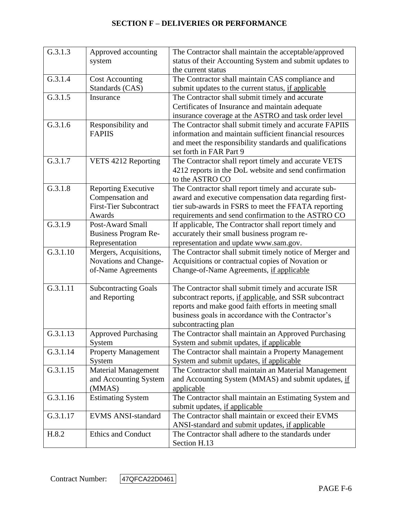| G.3.1.3  | Approved accounting           | The Contractor shall maintain the acceptable/approved    |
|----------|-------------------------------|----------------------------------------------------------|
|          | system                        | status of their Accounting System and submit updates to  |
|          |                               | the current status                                       |
| G.3.1.4  | <b>Cost Accounting</b>        | The Contractor shall maintain CAS compliance and         |
|          | Standards (CAS)               | submit updates to the current status, if applicable      |
| G.3.1.5  | Insurance                     | The Contractor shall submit timely and accurate          |
|          |                               | Certificates of Insurance and maintain adequate          |
|          |                               | insurance coverage at the ASTRO and task order level     |
| G.3.1.6  | Responsibility and            | The Contractor shall submit timely and accurate FAPIIS   |
|          | <b>FAPIIS</b>                 | information and maintain sufficient financial resources  |
|          |                               | and meet the responsibility standards and qualifications |
|          |                               | set forth in FAR Part 9                                  |
| G.3.1.7  | VETS 4212 Reporting           | The Contractor shall report timely and accurate VETS     |
|          |                               | 4212 reports in the DoL website and send confirmation    |
|          |                               | to the ASTRO CO                                          |
| G.3.1.8  | <b>Reporting Executive</b>    | The Contractor shall report timely and accurate sub-     |
|          | Compensation and              | award and executive compensation data regarding first-   |
|          | <b>First-Tier Subcontract</b> | tier sub-awards in FSRS to meet the FFATA reporting      |
|          | Awards                        | requirements and send confirmation to the ASTRO CO       |
| G.3.1.9  | Post-Award Small              | If applicable, The Contractor shall report timely and    |
|          | <b>Business Program Re-</b>   | accurately their small business program re-              |
|          | Representation                | representation and update www.sam.gov.                   |
| G.3.1.10 | Mergers, Acquisitions,        | The Contractor shall submit timely notice of Merger and  |
|          | Novations and Change-         | Acquisitions or contractual copies of Novation or        |
|          | of-Name Agreements            | Change-of-Name Agreements, if applicable                 |
|          |                               |                                                          |
| G.3.1.11 | <b>Subcontracting Goals</b>   | The Contractor shall submit timely and accurate ISR      |
|          | and Reporting                 | subcontract reports, if applicable, and SSR subcontract  |
|          |                               | reports and make good faith efforts in meeting small     |
|          |                               | business goals in accordance with the Contractor's       |
|          |                               | subcontracting plan                                      |
| G.3.1.13 | <b>Approved Purchasing</b>    | The Contractor shall maintain an Approved Purchasing     |
|          | System                        | System and submit updates, if applicable                 |
| G.3.1.14 | <b>Property Management</b>    | The Contractor shall maintain a Property Management      |
|          | System                        | System and submit updates, if applicable                 |
| G.3.1.15 | <b>Material Management</b>    | The Contractor shall maintain an Material Management     |
|          | and Accounting System         | and Accounting System (MMAS) and submit updates, if      |
|          | (MMAS)                        | applicable                                               |
| G.3.1.16 | <b>Estimating System</b>      | The Contractor shall maintain an Estimating System and   |
|          |                               | submit updates, if applicable                            |
| G.3.1.17 | <b>EVMS ANSI-standard</b>     | The Contractor shall maintain or exceed their EVMS       |
|          |                               | ANSI-standard and submit updates, if applicable          |
| H.8.2    | Ethics and Conduct            | The Contractor shall adhere to the standards under       |
|          |                               | Section H.13                                             |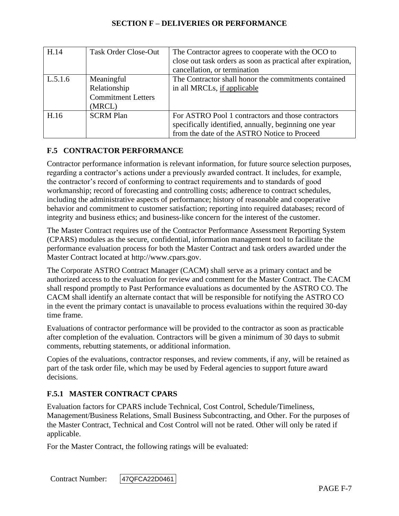| H.14    | <b>Task Order Close-Out</b>                                       | The Contractor agrees to cooperate with the OCO to<br>close out task orders as soon as practical after expiration,<br>cancellation, or termination          |
|---------|-------------------------------------------------------------------|-------------------------------------------------------------------------------------------------------------------------------------------------------------|
| L.5.1.6 | Meaningful<br>Relationship<br><b>Commitment Letters</b><br>(MRCL) | The Contractor shall honor the commitments contained<br>in all MRCLs, if applicable                                                                         |
| H.16    | <b>SCRM Plan</b>                                                  | For ASTRO Pool 1 contractors and those contractors<br>specifically identified, annually, beginning one year<br>from the date of the ASTRO Notice to Proceed |

# **F.5 CONTRACTOR PERFORMANCE**

Contractor performance information is relevant information, for future source selection purposes, regarding a contractor's actions under a previously awarded contract. It includes, for example, the contractor's record of conforming to contract requirements and to standards of good workmanship; record of forecasting and controlling costs; adherence to contract schedules, including the administrative aspects of performance; history of reasonable and cooperative behavior and commitment to customer satisfaction; reporting into required databases; record of integrity and business ethics; and business-like concern for the interest of the customer.

The Master Contract requires use of the Contractor Performance Assessment Reporting System (CPARS) modules as the secure, confidential, information management tool to facilitate the performance evaluation process for both the Master Contract and task orders awarded under the Master Contract located at http://www.cpars.gov.

The Corporate ASTRO Contract Manager (CACM) shall serve as a primary contact and be authorized access to the evaluation for review and comment for the Master Contract. The CACM shall respond promptly to Past Performance evaluations as documented by the ASTRO CO. The CACM shall identify an alternate contact that will be responsible for notifying the ASTRO CO in the event the primary contact is unavailable to process evaluations within the required 30-day time frame.

Evaluations of contractor performance will be provided to the contractor as soon as practicable after completion of the evaluation. Contractors will be given a minimum of 30 days to submit comments, rebutting statements, or additional information.

Copies of the evaluations, contractor responses, and review comments, if any, will be retained as part of the task order file, which may be used by Federal agencies to support future award decisions.

#### **F.5.1 MASTER CONTRACT CPARS**

Evaluation factors for CPARS include Technical, Cost Control, Schedule/Timeliness, Management/Business Relations, Small Business Subcontracting, and Other. For the purposes of the Master Contract, Technical and Cost Control will not be rated. Other will only be rated if applicable.

For the Master Contract, the following ratings will be evaluated: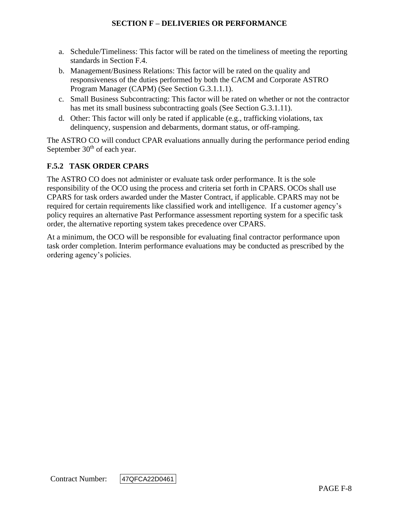- a. Schedule/Timeliness: This factor will be rated on the timeliness of meeting the reporting standards in Section F.4.
- b. Management/Business Relations: This factor will be rated on the quality and responsiveness of the duties performed by both the CACM and Corporate ASTRO Program Manager (CAPM) (See Section G.3.1.1.1).
- c. Small Business Subcontracting: This factor will be rated on whether or not the contractor has met its small business subcontracting goals (See Section G.3.1.11).
- d. Other: This factor will only be rated if applicable (e.g., trafficking violations, tax delinquency, suspension and debarments, dormant status, or off-ramping.

The ASTRO CO will conduct CPAR evaluations annually during the performance period ending September  $30<sup>th</sup>$  of each year.

## **F.5.2 TASK ORDER CPARS**

The ASTRO CO does not administer or evaluate task order performance. It is the sole responsibility of the OCO using the process and criteria set forth in CPARS. OCOs shall use CPARS for task orders awarded under the Master Contract, if applicable. CPARS may not be required for certain requirements like classified work and intelligence. If a customer agency's policy requires an alternative Past Performance assessment reporting system for a specific task order, the alternative reporting system takes precedence over CPARS.

At a minimum, the OCO will be responsible for evaluating final contractor performance upon task order completion. Interim performance evaluations may be conducted as prescribed by the ordering agency's policies.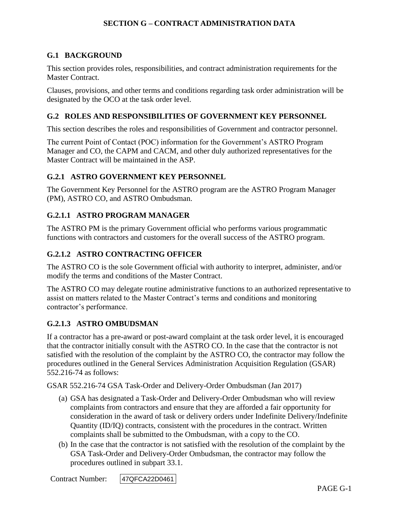#### **G.1 BACKGROUND**

This section provides roles, responsibilities, and contract administration requirements for the Master Contract.

Clauses, provisions, and other terms and conditions regarding task order administration will be designated by the OCO at the task order level.

#### **G.2 ROLES AND RESPONSIBILITIES OF GOVERNMENT KEY PERSONNEL**

This section describes the roles and responsibilities of Government and contractor personnel.

The current Point of Contact (POC) information for the Government's ASTRO Program Manager and CO, the CAPM and CACM, and other duly authorized representatives for the Master Contract will be maintained in the ASP.

#### **G.2.1 ASTRO GOVERNMENT KEY PERSONNEL**

The Government Key Personnel for the ASTRO program are the ASTRO Program Manager (PM), ASTRO CO, and ASTRO Ombudsman.

#### **G.2.1.1 ASTRO PROGRAM MANAGER**

The ASTRO PM is the primary Government official who performs various programmatic functions with contractors and customers for the overall success of the ASTRO program.

#### **G.2.1.2 ASTRO CONTRACTING OFFICER**

The ASTRO CO is the sole Government official with authority to interpret, administer, and/or modify the terms and conditions of the Master Contract.

The ASTRO CO may delegate routine administrative functions to an authorized representative to assist on matters related to the Master Contract's terms and conditions and monitoring contractor's performance.

#### **G.2.1.3 ASTRO OMBUDSMAN**

If a contractor has a pre-award or post-award complaint at the task order level, it is encouraged that the contractor initially consult with the ASTRO CO. In the case that the contractor is not satisfied with the resolution of the complaint by the ASTRO CO, the contractor may follow the procedures outlined in the General Services Administration Acquisition Regulation (GSAR) 552.216-74 as follows:

GSAR 552.216-74 GSA Task-Order and Delivery-Order Ombudsman (Jan 2017)

- (a) GSA has designated a Task-Order and Delivery-Order Ombudsman who will review complaints from contractors and ensure that they are afforded a fair opportunity for consideration in the award of task or delivery orders under Indefinite Delivery/Indefinite Quantity (ID/IQ) contracts, consistent with the procedures in the contract. Written complaints shall be submitted to the Ombudsman, with a copy to the CO.
- (b) In the case that the contractor is not satisfied with the resolution of the complaint by the GSA Task-Order and Delivery-Order Ombudsman, the contractor may follow the procedures outlined in subpart 33.1.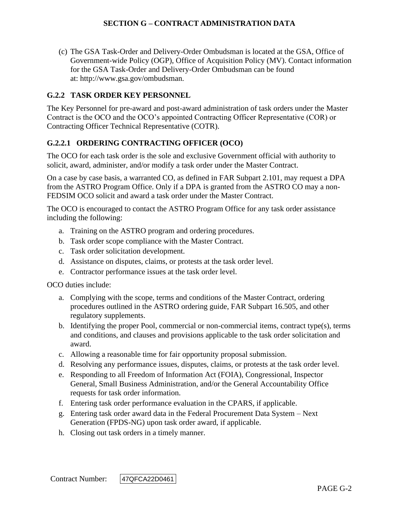(c) The GSA Task-Order and Delivery-Order Ombudsman is located at the GSA, Office of Government-wide Policy (OGP), Office of Acquisition Policy (MV). Contact information for the GSA Task-Order and Delivery-Order Ombudsman can be found at: http://www.gsa.gov/ombudsman.

### **G.2.2 TASK ORDER KEY PERSONNEL**

The Key Personnel for pre-award and post-award administration of task orders under the Master Contract is the OCO and the OCO's appointed Contracting Officer Representative (COR) or Contracting Officer Technical Representative (COTR).

## **G.2.2.1 ORDERING CONTRACTING OFFICER (OCO)**

The OCO for each task order is the sole and exclusive Government official with authority to solicit, award, administer, and/or modify a task order under the Master Contract.

On a case by case basis, a warranted CO, as defined in FAR Subpart 2.101, may request a DPA from the ASTRO Program Office. Only if a DPA is granted from the ASTRO CO may a non-FEDSIM OCO solicit and award a task order under the Master Contract.

The OCO is encouraged to contact the ASTRO Program Office for any task order assistance including the following:

- a. Training on the ASTRO program and ordering procedures.
- b. Task order scope compliance with the Master Contract.
- c. Task order solicitation development.
- d. Assistance on disputes, claims, or protests at the task order level.
- e. Contractor performance issues at the task order level.

OCO duties include:

- a. Complying with the scope, terms and conditions of the Master Contract, ordering procedures outlined in the ASTRO ordering guide, FAR Subpart 16.505, and other regulatory supplements.
- b. Identifying the proper Pool, commercial or non-commercial items, contract type(s), terms and conditions, and clauses and provisions applicable to the task order solicitation and award.
- c. Allowing a reasonable time for fair opportunity proposal submission.
- d. Resolving any performance issues, disputes, claims, or protests at the task order level.
- e. Responding to all Freedom of Information Act (FOIA), Congressional, Inspector General, Small Business Administration, and/or the General Accountability Office requests for task order information.
- f. Entering task order performance evaluation in the CPARS, if applicable.
- g. Entering task order award data in the Federal Procurement Data System Next Generation (FPDS-NG) upon task order award, if applicable.
- h. Closing out task orders in a timely manner.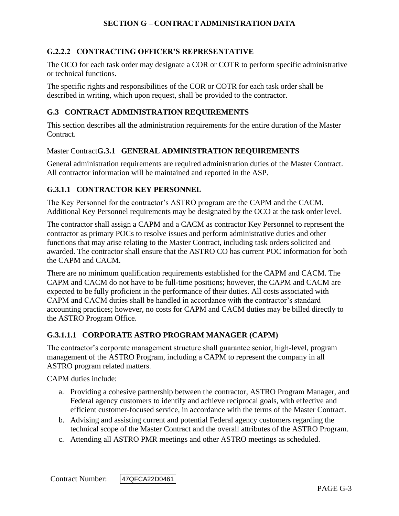## **G.2.2.2 CONTRACTING OFFICER'S REPRESENTATIVE**

The OCO for each task order may designate a COR or COTR to perform specific administrative or technical functions.

The specific rights and responsibilities of the COR or COTR for each task order shall be described in writing, which upon request, shall be provided to the contractor.

#### **G.3 CONTRACT ADMINISTRATION REQUIREMENTS**

This section describes all the administration requirements for the entire duration of the Master Contract.

#### Master Contract**G.3.1 GENERAL ADMINISTRATION REQUIREMENTS**

General administration requirements are required administration duties of the Master Contract. All contractor information will be maintained and reported in the ASP.

## **G.3.1.1 CONTRACTOR KEY PERSONNEL**

The Key Personnel for the contractor's ASTRO program are the CAPM and the CACM. Additional Key Personnel requirements may be designated by the OCO at the task order level.

The contractor shall assign a CAPM and a CACM as contractor Key Personnel to represent the contractor as primary POCs to resolve issues and perform administrative duties and other functions that may arise relating to the Master Contract, including task orders solicited and awarded. The contractor shall ensure that the ASTRO CO has current POC information for both the CAPM and CACM.

There are no minimum qualification requirements established for the CAPM and CACM. The CAPM and CACM do not have to be full-time positions; however, the CAPM and CACM are expected to be fully proficient in the performance of their duties. All costs associated with CAPM and CACM duties shall be handled in accordance with the contractor's standard accounting practices; however, no costs for CAPM and CACM duties may be billed directly to the ASTRO Program Office.

#### **G.3.1.1.1 CORPORATE ASTRO PROGRAM MANAGER (CAPM)**

The contractor's corporate management structure shall guarantee senior, high-level, program management of the ASTRO Program, including a CAPM to represent the company in all ASTRO program related matters.

CAPM duties include:

- a. Providing a cohesive partnership between the contractor, ASTRO Program Manager, and Federal agency customers to identify and achieve reciprocal goals, with effective and efficient customer-focused service, in accordance with the terms of the Master Contract.
- b. Advising and assisting current and potential Federal agency customers regarding the technical scope of the Master Contract and the overall attributes of the ASTRO Program.
- c. Attending all ASTRO PMR meetings and other ASTRO meetings as scheduled.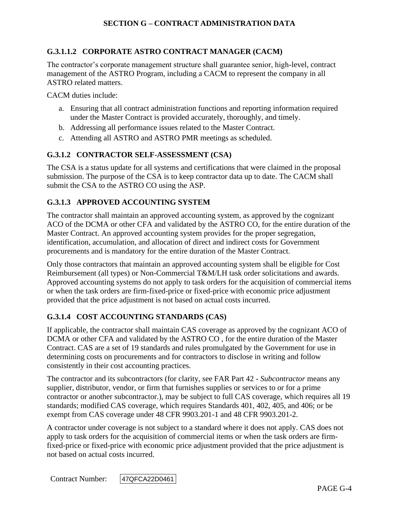## **G.3.1.1.2 CORPORATE ASTRO CONTRACT MANAGER (CACM)**

The contractor's corporate management structure shall guarantee senior, high-level, contract management of the ASTRO Program, including a CACM to represent the company in all ASTRO related matters.

CACM duties include:

- a. Ensuring that all contract administration functions and reporting information required under the Master Contract is provided accurately, thoroughly, and timely.
- b. Addressing all performance issues related to the Master Contract.
- c. Attending all ASTRO and ASTRO PMR meetings as scheduled.

#### **G.3.1.2 CONTRACTOR SELF-ASSESSMENT (CSA)**

The CSA is a status update for all systems and certifications that were claimed in the proposal submission. The purpose of the CSA is to keep contractor data up to date. The CACM shall submit the CSA to the ASTRO CO using the ASP.

#### **G.3.1.3 APPROVED ACCOUNTING SYSTEM**

The contractor shall maintain an approved accounting system, as approved by the cognizant ACO of the DCMA or other CFA and validated by the ASTRO CO, for the entire duration of the Master Contract. An approved accounting system provides for the proper segregation, identification, accumulation, and allocation of direct and indirect costs for Government procurements and is mandatory for the entire duration of the Master Contract.

Only those contractors that maintain an approved accounting system shall be eligible for Cost Reimbursement (all types) or Non-Commercial T&M/LH task order solicitations and awards. Approved accounting systems do not apply to task orders for the acquisition of commercial items or when the task orders are firm-fixed-price or fixed-price with economic price adjustment provided that the price adjustment is not based on actual costs incurred.

#### **G.3.1.4 COST ACCOUNTING STANDARDS (CAS)**

If applicable, the contractor shall maintain CAS coverage as approved by the cognizant ACO of DCMA or other CFA and validated by the ASTRO CO , for the entire duration of the Master Contract. CAS are a set of 19 standards and rules promulgated by the Government for use in determining costs on procurements and for contractors to disclose in writing and follow consistently in their cost accounting practices.

The contractor and its subcontractors (for clarity, see FAR Part 42 - *Subcontractor* means any supplier, distributor, vendor, or firm that furnishes supplies or services to or for a prime contractor or another subcontractor.), may be subject to full CAS coverage, which requires all 19 standards; modified CAS coverage, which requires Standards 401, 402, 405, and 406; or be exempt from CAS coverage under 48 CFR 9903.201-1 and 48 CFR 9903.201-2.

A contractor under coverage is not subject to a standard where it does not apply. CAS does not apply to task orders for the acquisition of commercial items or when the task orders are firmfixed-price or fixed-price with economic price adjustment provided that the price adjustment is not based on actual costs incurred.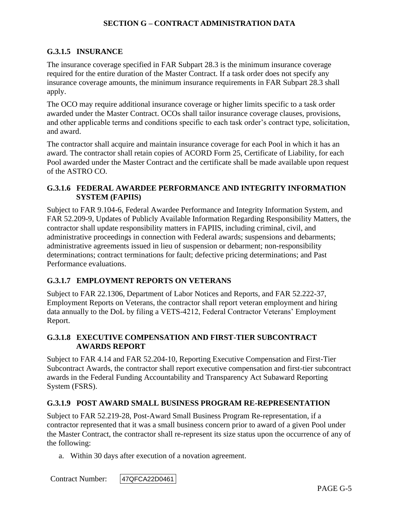## **G.3.1.5 INSURANCE**

The insurance coverage specified in FAR Subpart 28.3 is the minimum insurance coverage required for the entire duration of the Master Contract. If a task order does not specify any insurance coverage amounts, the minimum insurance requirements in FAR Subpart 28.3 shall apply.

The OCO may require additional insurance coverage or higher limits specific to a task order awarded under the Master Contract. OCOs shall tailor insurance coverage clauses, provisions, and other applicable terms and conditions specific to each task order's contract type, solicitation, and award.

The contractor shall acquire and maintain insurance coverage for each Pool in which it has an award. The contractor shall retain copies of ACORD Form 25, Certificate of Liability, for each Pool awarded under the Master Contract and the certificate shall be made available upon request of the ASTRO CO.

## **G.3.1.6 FEDERAL AWARDEE PERFORMANCE AND INTEGRITY INFORMATION SYSTEM (FAPIIS)**

Subject to FAR 9.104-6, Federal Awardee Performance and Integrity Information System, and FAR 52.209-9, Updates of Publicly Available Information Regarding Responsibility Matters, the contractor shall update responsibility matters in FAPIIS, including criminal, civil, and administrative proceedings in connection with Federal awards; suspensions and debarments; administrative agreements issued in lieu of suspension or debarment; non-responsibility determinations; contract terminations for fault; defective pricing determinations; and Past Performance evaluations.

## **G.3.1.7 EMPLOYMENT REPORTS ON VETERANS**

Subject to FAR 22.1306, Department of Labor Notices and Reports, and FAR 52.222-37, Employment Reports on Veterans, the contractor shall report veteran employment and hiring data annually to the DoL by filing a VETS-4212, Federal Contractor Veterans' Employment Report.

#### **G.3.1.8 EXECUTIVE COMPENSATION AND FIRST-TIER SUBCONTRACT AWARDS REPORT**

Subject to FAR 4.14 and FAR 52.204-10, Reporting Executive Compensation and First-Tier Subcontract Awards, the contractor shall report executive compensation and first-tier subcontract awards in the Federal Funding Accountability and Transparency Act Subaward Reporting System (FSRS).

## **G.3.1.9 POST AWARD SMALL BUSINESS PROGRAM RE-REPRESENTATION**

Subject to FAR 52.219-28, Post-Award Small Business Program Re-representation, if a contractor represented that it was a small business concern prior to award of a given Pool under the Master Contract, the contractor shall re-represent its size status upon the occurrence of any of the following:

a. Within 30 days after execution of a novation agreement.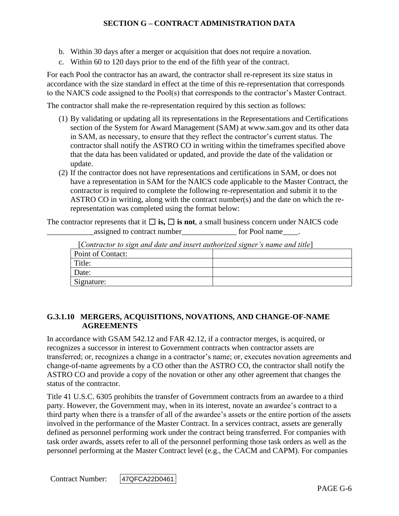- b. Within 30 days after a merger or acquisition that does not require a novation.
- c. Within 60 to 120 days prior to the end of the fifth year of the contract.

For each Pool the contractor has an award, the contractor shall re-represent its size status in accordance with the size standard in effect at the time of this re-representation that corresponds to the NAICS code assigned to the Pool(s) that corresponds to the contractor's Master Contract.

The contractor shall make the re-representation required by this section as follows:

- (1) By validating or updating all its representations in the Representations and Certifications section of the System for Award Management (SAM) at www.sam.gov and its other data in SAM, as necessary, to ensure that they reflect the contractor's current status. The contractor shall notify the ASTRO CO in writing within the timeframes specified above that the data has been validated or updated, and provide the date of the validation or update.
- (2) If the contractor does not have representations and certifications in SAM, or does not have a representation in SAM for the NAICS code applicable to the Master Contract, the contractor is required to complete the following re-representation and submit it to the ASTRO CO in writing, along with the contract number(s) and the date on which the rerepresentation was completed using the format below:

The contractor represents that it  $\Box$  **is,**  $\Box$  **is not**, a small business concern under NAICS code assigned to contract number<br>
<u>equals</u> for Pool name

| $\lceil$ Contractor to sign and date and insert dumorized signer s name and title $\lceil$ |  |
|--------------------------------------------------------------------------------------------|--|
| Point of Contact:                                                                          |  |
| Title:                                                                                     |  |
| Date:                                                                                      |  |
| Signature:                                                                                 |  |

[*Contractor to sign and date and insert authorized signer's name and title*]

#### **G.3.1.10 MERGERS, ACQUISITIONS, NOVATIONS, AND CHANGE-OF-NAME AGREEMENTS**

In accordance with GSAM 542.12 and FAR 42.12, if a contractor merges, is acquired, or recognizes a successor in interest to Government contracts when contractor assets are transferred; or, recognizes a change in a contractor's name; or, executes novation agreements and change-of-name agreements by a CO other than the ASTRO CO, the contractor shall notify the ASTRO CO and provide a copy of the novation or other any other agreement that changes the status of the contractor.

Title 41 U.S.C. 6305 prohibits the transfer of Government contracts from an awardee to a third party. However, the Government may, when in its interest, novate an awardee's contract to a third party when there is a transfer of all of the awardee's assets or the entire portion of the assets involved in the performance of the Master Contract. In a services contract, assets are generally defined as personnel performing work under the contract being transferred. For companies with task order awards, assets refer to all of the personnel performing those task orders as well as the personnel performing at the Master Contract level (e.g., the CACM and CAPM). For companies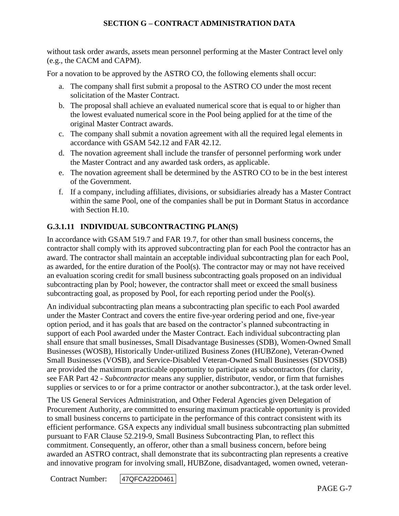without task order awards, assets mean personnel performing at the Master Contract level only (e.g., the CACM and CAPM).

For a novation to be approved by the ASTRO CO, the following elements shall occur:

- a. The company shall first submit a proposal to the ASTRO CO under the most recent solicitation of the Master Contract.
- b. The proposal shall achieve an evaluated numerical score that is equal to or higher than the lowest evaluated numerical score in the Pool being applied for at the time of the original Master Contract awards.
- c. The company shall submit a novation agreement with all the required legal elements in accordance with GSAM 542.12 and FAR 42.12.
- d. The novation agreement shall include the transfer of personnel performing work under the Master Contract and any awarded task orders, as applicable.
- e. The novation agreement shall be determined by the ASTRO CO to be in the best interest of the Government.
- f. If a company, including affiliates, divisions, or subsidiaries already has a Master Contract within the same Pool, one of the companies shall be put in Dormant Status in accordance with Section H.10.

## **G.3.1.11 INDIVIDUAL SUBCONTRACTING PLAN(S)**

In accordance with GSAM 519.7 and FAR 19.7, for other than small business concerns, the contractor shall comply with its approved subcontracting plan for each Pool the contractor has an award. The contractor shall maintain an acceptable individual subcontracting plan for each Pool, as awarded, for the entire duration of the Pool(s). The contractor may or may not have received an evaluation scoring credit for small business subcontracting goals proposed on an individual subcontracting plan by Pool; however, the contractor shall meet or exceed the small business subcontracting goal, as proposed by Pool, for each reporting period under the Pool(s).

An individual subcontracting plan means a subcontracting plan specific to each Pool awarded under the Master Contract and covers the entire five-year ordering period and one, five-year option period, and it has goals that are based on the contractor's planned subcontracting in support of each Pool awarded under the Master Contract. Each individual subcontracting plan shall ensure that small businesses, Small Disadvantage Businesses (SDB), Women-Owned Small Businesses (WOSB), Historically Under-utilized Business Zones (HUBZone), Veteran-Owned Small Businesses (VOSB), and Service-Disabled Veteran-Owned Small Businesses (SDVOSB) are provided the maximum practicable opportunity to participate as subcontractors (for clarity, see FAR Part 42 - *Subcontractor* means any supplier, distributor, vendor, or firm that furnishes supplies or services to or for a prime contractor or another subcontractor.), at the task order level.

The US General Services Administration, and Other Federal Agencies given Delegation of Procurement Authority, are committed to ensuring maximum practicable opportunity is provided to small business concerns to participate in the performance of this contract consistent with its efficient performance. GSA expects any individual small business subcontracting plan submitted pursuant to FAR Clause 52.219-9, Small Business Subcontracting Plan, to reflect this commitment. Consequently, an offeror, other than a small business concern, before being awarded an ASTRO contract, shall demonstrate that its subcontracting plan represents a creative and innovative program for involving small, HUBZone, disadvantaged, women owned, veteran-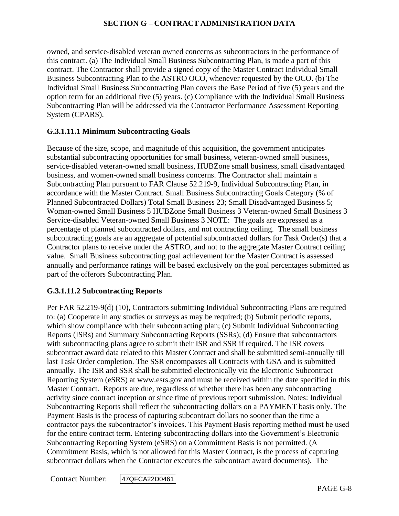owned, and service-disabled veteran owned concerns as subcontractors in the performance of this contract. (a) The Individual Small Business Subcontracting Plan, is made a part of this contract. The Contractor shall provide a signed copy of the Master Contract Individual Small Business Subcontracting Plan to the ASTRO OCO, whenever requested by the OCO. (b) The Individual Small Business Subcontracting Plan covers the Base Period of five (5) years and the option term for an additional five (5) years. (c) Compliance with the Individual Small Business Subcontracting Plan will be addressed via the Contractor Performance Assessment Reporting System (CPARS).

## **G.3.1.11.1 Minimum Subcontracting Goals**

Because of the size, scope, and magnitude of this acquisition, the government anticipates substantial subcontracting opportunities for small business, veteran-owned small business, service-disabled veteran-owned small business, HUBZone small business, small disadvantaged business, and women-owned small business concerns. The Contractor shall maintain a Subcontracting Plan pursuant to FAR Clause 52.219-9, Individual Subcontracting Plan, in accordance with the Master Contract. Small Business Subcontracting Goals Category (% of Planned Subcontracted Dollars) Total Small Business 23; Small Disadvantaged Business 5; Woman-owned Small Business 5 HUBZone Small Business 3 Veteran-owned Small Business 3 Service-disabled Veteran-owned Small Business 3 NOTE: The goals are expressed as a percentage of planned subcontracted dollars, and not contracting ceiling. The small business subcontracting goals are an aggregate of potential subcontracted dollars for Task Order(s) that a Contractor plans to receive under the ASTRO, and not to the aggregate Master Contract ceiling value. Small Business subcontracting goal achievement for the Master Contract is assessed annually and performance ratings will be based exclusively on the goal percentages submitted as part of the offerors Subcontracting Plan.

## **G.3.1.11.2 Subcontracting Reports**

Per FAR 52.219-9(d) (10), Contractors submitting Individual Subcontracting Plans are required to: (a) Cooperate in any studies or surveys as may be required; (b) Submit periodic reports, which show compliance with their subcontracting plan; (c) Submit Individual Subcontracting Reports (ISRs) and Summary Subcontracting Reports (SSRs); (d) Ensure that subcontractors with subcontracting plans agree to submit their ISR and SSR if required. The ISR covers subcontract award data related to this Master Contract and shall be submitted semi-annually till last Task Order completion. The SSR encompasses all Contracts with GSA and is submitted annually. The ISR and SSR shall be submitted electronically via the Electronic Subcontract Reporting System (eSRS) at www.esrs.gov and must be received within the date specified in this Master Contract. Reports are due, regardless of whether there has been any subcontracting activity since contract inception or since time of previous report submission. Notes: Individual Subcontracting Reports shall reflect the subcontracting dollars on a PAYMENT basis only. The Payment Basis is the process of capturing subcontract dollars no sooner than the time a contractor pays the subcontractor's invoices. This Payment Basis reporting method must be used for the entire contract term. Entering subcontracting dollars into the Government's Electronic Subcontracting Reporting System (eSRS) on a Commitment Basis is not permitted. (A Commitment Basis, which is not allowed for this Master Contract, is the process of capturing subcontract dollars when the Contractor executes the subcontract award documents). The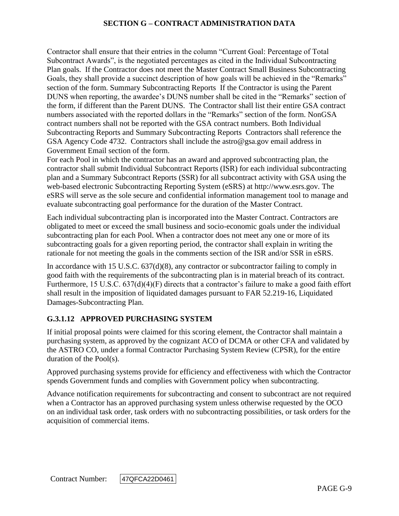Contractor shall ensure that their entries in the column "Current Goal: Percentage of Total Subcontract Awards", is the negotiated percentages as cited in the Individual Subcontracting Plan goals. If the Contractor does not meet the Master Contract Small Business Subcontracting Goals, they shall provide a succinct description of how goals will be achieved in the "Remarks" section of the form. Summary Subcontracting Reports If the Contractor is using the Parent DUNS when reporting, the awardee's DUNS number shall be cited in the "Remarks" section of the form, if different than the Parent DUNS. The Contractor shall list their entire GSA contract numbers associated with the reported dollars in the "Remarks" section of the form. NonGSA contract numbers shall not be reported with the GSA contract numbers. Both Individual Subcontracting Reports and Summary Subcontracting Reports Contractors shall reference the GSA Agency Code 4732. Contractors shall include the astro@gsa.gov email address in Government Email section of the form.

For each Pool in which the contractor has an award and approved subcontracting plan, the contractor shall submit Individual Subcontract Reports (ISR) for each individual subcontracting plan and a Summary Subcontract Reports (SSR) for all subcontract activity with GSA using the web-based electronic Subcontracting Reporting System (eSRS) at http://www.esrs.gov*.* The eSRS will serve as the sole secure and confidential information management tool to manage and evaluate subcontracting goal performance for the duration of the Master Contract.

Each individual subcontracting plan is incorporated into the Master Contract. Contractors are obligated to meet or exceed the small business and socio-economic goals under the individual subcontracting plan for each Pool. When a contractor does not meet any one or more of its subcontracting goals for a given reporting period, the contractor shall explain in writing the rationale for not meeting the goals in the comments section of the ISR and/or SSR in eSRS.

In accordance with 15 U.S.C. 637(d)(8), any contractor or subcontractor failing to comply in good faith with the requirements of the subcontracting plan is in material breach of its contract. Furthermore, 15 U.S.C. 637(d)(4)(F) directs that a contractor's failure to make a good faith effort shall result in the imposition of liquidated damages pursuant to FAR 52.219-16, Liquidated Damages-Subcontracting Plan.

## **G.3.1.12 APPROVED PURCHASING SYSTEM**

If initial proposal points were claimed for this scoring element, the Contractor shall maintain a purchasing system, as approved by the cognizant ACO of DCMA or other CFA and validated by the ASTRO CO, under a formal Contractor Purchasing System Review (CPSR), for the entire duration of the Pool(s).

Approved purchasing systems provide for efficiency and effectiveness with which the Contractor spends Government funds and complies with Government policy when subcontracting.

Advance notification requirements for subcontracting and consent to subcontract are not required when a Contractor has an approved purchasing system unless otherwise requested by the OCO on an individual task order, task orders with no subcontracting possibilities, or task orders for the acquisition of commercial items.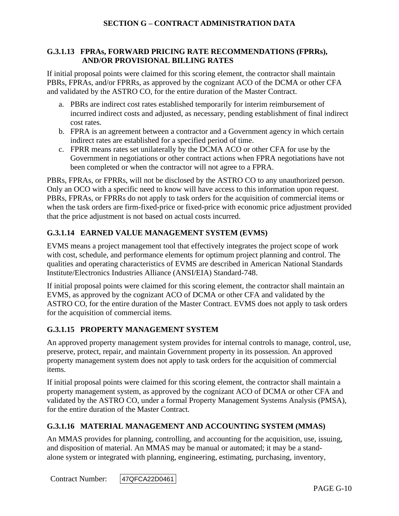#### **G.3.1.13 FPRAs, FORWARD PRICING RATE RECOMMENDATIONS (FPRRs), AND/OR PROVISIONAL BILLING RATES**

If initial proposal points were claimed for this scoring element, the contractor shall maintain PBRs, FPRAs, and/or FPRRs, as approved by the cognizant ACO of the DCMA or other CFA and validated by the ASTRO CO, for the entire duration of the Master Contract.

- a. PBRs are indirect cost rates established temporarily for interim reimbursement of incurred indirect costs and adjusted, as necessary, pending establishment of final indirect cost rates.
- b. FPRA is an agreement between a contractor and a Government agency in which certain indirect rates are established for a specified period of time.
- c. FPRR means rates set unilaterally by the DCMA ACO or other CFA for use by the Government in negotiations or other contract actions when FPRA negotiations have not been completed or when the contractor will not agree to a FPRA.

PBRs, FPRAs, or FPRRs, will not be disclosed by the ASTRO CO to any unauthorized person. Only an OCO with a specific need to know will have access to this information upon request. PBRs, FPRAs, or FPRRs do not apply to task orders for the acquisition of commercial items or when the task orders are firm-fixed-price or fixed-price with economic price adjustment provided that the price adjustment is not based on actual costs incurred.

# **G.3.1.14 EARNED VALUE MANAGEMENT SYSTEM (EVMS)**

EVMS means a project management tool that effectively integrates the project scope of work with cost, schedule, and performance elements for optimum project planning and control. The qualities and operating characteristics of EVMS are described in American National Standards Institute/Electronics Industries Alliance (ANSI/EIA) Standard-748.

If initial proposal points were claimed for this scoring element, the contractor shall maintain an EVMS, as approved by the cognizant ACO of DCMA or other CFA and validated by the ASTRO CO, for the entire duration of the Master Contract. EVMS does not apply to task orders for the acquisition of commercial items.

# **G.3.1.15 PROPERTY MANAGEMENT SYSTEM**

An approved property management system provides for internal controls to manage, control, use, preserve, protect, repair, and maintain Government property in its possession. An approved property management system does not apply to task orders for the acquisition of commercial items.

If initial proposal points were claimed for this scoring element, the contractor shall maintain a property management system, as approved by the cognizant ACO of DCMA or other CFA and validated by the ASTRO CO, under a formal Property Management Systems Analysis (PMSA), for the entire duration of the Master Contract.

# **G.3.1.16 MATERIAL MANAGEMENT AND ACCOUNTING SYSTEM (MMAS)**

An MMAS provides for planning, controlling, and accounting for the acquisition, use, issuing, and disposition of material. An MMAS may be manual or automated; it may be a standalone system or integrated with planning, engineering, estimating, purchasing, inventory,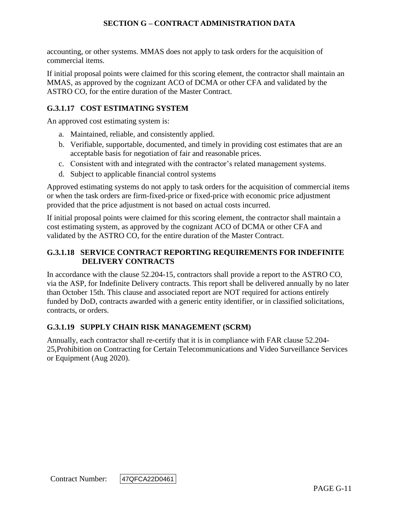accounting, or other systems. MMAS does not apply to task orders for the acquisition of commercial items.

If initial proposal points were claimed for this scoring element, the contractor shall maintain an MMAS, as approved by the cognizant ACO of DCMA or other CFA and validated by the ASTRO CO, for the entire duration of the Master Contract.

## **G.3.1.17 COST ESTIMATING SYSTEM**

An approved cost estimating system is:

- a. Maintained, reliable, and consistently applied.
- b. Verifiable, supportable, documented, and timely in providing cost estimates that are an acceptable basis for negotiation of fair and reasonable prices.
- c. Consistent with and integrated with the contractor's related management systems.
- d. Subject to applicable financial control systems

Approved estimating systems do not apply to task orders for the acquisition of commercial items or when the task orders are firm-fixed-price or fixed-price with economic price adjustment provided that the price adjustment is not based on actual costs incurred.

If initial proposal points were claimed for this scoring element, the contractor shall maintain a cost estimating system, as approved by the cognizant ACO of DCMA or other CFA and validated by the ASTRO CO, for the entire duration of the Master Contract.

## **G.3.1.18 SERVICE CONTRACT REPORTING REQUIREMENTS FOR INDEFINITE DELIVERY CONTRACTS**

In accordance with the clause 52.204-15, contractors shall provide a report to the ASTRO CO, via the ASP, for Indefinite Delivery contracts. This report shall be delivered annually by no later than October 15th. This clause and associated report are NOT required for actions entirely funded by DoD, contracts awarded with a generic entity identifier, or in classified solicitations, contracts, or orders.

## **G.3.1.19 SUPPLY CHAIN RISK MANAGEMENT (SCRM)**

Annually, each contractor shall re-certify that it is in compliance with FAR clause 52.204- 25,Prohibition on Contracting for Certain Telecommunications and Video Surveillance Services or Equipment (Aug 2020).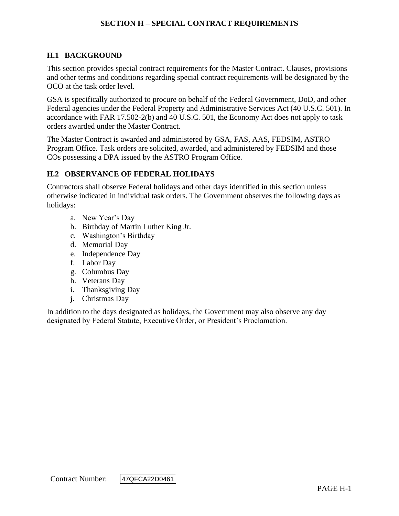## **H.1 BACKGROUND**

This section provides special contract requirements for the Master Contract. Clauses, provisions and other terms and conditions regarding special contract requirements will be designated by the OCO at the task order level.

GSA is specifically authorized to procure on behalf of the Federal Government, DoD, and other Federal agencies under the Federal Property and Administrative Services Act (40 U.S.C. 501). In accordance with FAR 17.502-2(b) and 40 U.S.C. 501, the Economy Act does not apply to task orders awarded under the Master Contract.

The Master Contract is awarded and administered by GSA, FAS, AAS, FEDSIM, ASTRO Program Office. Task orders are solicited, awarded, and administered by FEDSIM and those COs possessing a DPA issued by the ASTRO Program Office.

#### **H.2 OBSERVANCE OF FEDERAL HOLIDAYS**

Contractors shall observe Federal holidays and other days identified in this section unless otherwise indicated in individual task orders. The Government observes the following days as holidays:

- a. New Year's Day
- b. Birthday of Martin Luther King Jr.
- c. Washington's Birthday
- d. Memorial Day
- e. Independence Day
- f. Labor Day
- g. Columbus Day
- h. Veterans Day
- i. Thanksgiving Day
- j. Christmas Day

In addition to the days designated as holidays, the Government may also observe any day designated by Federal Statute, Executive Order, or President's Proclamation.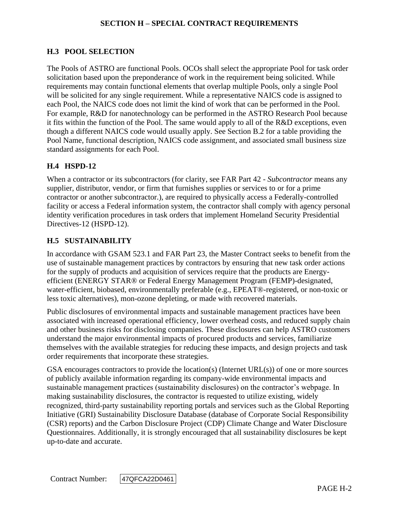## **H.3 POOL SELECTION**

The Pools of ASTRO are functional Pools. OCOs shall select the appropriate Pool for task order solicitation based upon the preponderance of work in the requirement being solicited. While requirements may contain functional elements that overlap multiple Pools, only a single Pool will be solicited for any single requirement. While a representative NAICS code is assigned to each Pool, the NAICS code does not limit the kind of work that can be performed in the Pool. For example, R&D for nanotechnology can be performed in the ASTRO Research Pool because it fits within the function of the Pool. The same would apply to all of the R&D exceptions, even though a different NAICS code would usually apply. See Section B.2 for a table providing the Pool Name, functional description, NAICS code assignment, and associated small business size standard assignments for each Pool.

#### **H.4 HSPD-12**

When a contractor or its subcontractors (for clarity, see FAR Part 42 - *Subcontractor* means any supplier, distributor, vendor, or firm that furnishes supplies or services to or for a prime contractor or another subcontractor.), are required to physically access a Federally-controlled facility or access a Federal information system, the contractor shall comply with agency personal identity verification procedures in task orders that implement Homeland Security Presidential Directives-12 (HSPD-12).

#### **H.5 SUSTAINABILITY**

In accordance with GSAM 523.1 and FAR Part 23, the Master Contract seeks to benefit from the use of sustainable management practices by contractors by ensuring that new task order actions for the supply of products and acquisition of services require that the products are Energyefficient (ENERGY STAR® or Federal Energy Management Program (FEMP)-designated, water-efficient, biobased, environmentally preferable (e.g., EPEAT®-registered, or non-toxic or less toxic alternatives), mon-ozone depleting, or made with recovered materials.

Public disclosures of environmental impacts and sustainable management practices have been associated with increased operational efficiency, lower overhead costs, and reduced supply chain and other business risks for disclosing companies. These disclosures can help ASTRO customers understand the major environmental impacts of procured products and services, familiarize themselves with the available strategies for reducing these impacts, and design projects and task order requirements that incorporate these strategies.

GSA encourages contractors to provide the location(s) (Internet  $URL(s)$ ) of one or more sources of publicly available information regarding its company-wide environmental impacts and sustainable management practices (sustainability disclosures) on the contractor's webpage. In making sustainability disclosures, the contractor is requested to utilize existing, widely recognized, third-party sustainability reporting portals and services such as the Global Reporting Initiative (GRI) Sustainability Disclosure Database (database of Corporate Social Responsibility (CSR) reports) and the Carbon Disclosure Project (CDP) Climate Change and Water Disclosure Questionnaires. Additionally, it is strongly encouraged that all sustainability disclosures be kept up-to-date and accurate.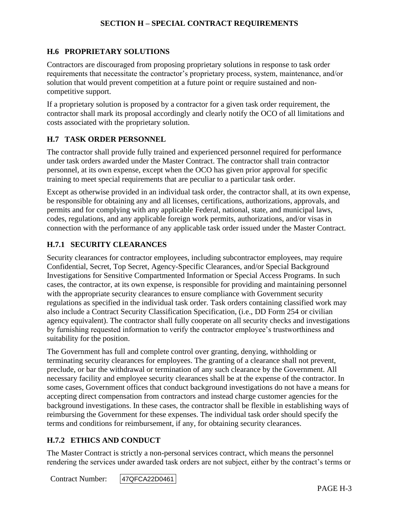### **H.6 PROPRIETARY SOLUTIONS**

Contractors are discouraged from proposing proprietary solutions in response to task order requirements that necessitate the contractor's proprietary process, system, maintenance, and/or solution that would prevent competition at a future point or require sustained and noncompetitive support.

If a proprietary solution is proposed by a contractor for a given task order requirement, the contractor shall mark its proposal accordingly and clearly notify the OCO of all limitations and costs associated with the proprietary solution.

#### **H.7 TASK ORDER PERSONNEL**

The contractor shall provide fully trained and experienced personnel required for performance under task orders awarded under the Master Contract. The contractor shall train contractor personnel, at its own expense, except when the OCO has given prior approval for specific training to meet special requirements that are peculiar to a particular task order.

Except as otherwise provided in an individual task order, the contractor shall, at its own expense, be responsible for obtaining any and all licenses, certifications, authorizations, approvals, and permits and for complying with any applicable Federal, national, state, and municipal laws, codes, regulations, and any applicable foreign work permits, authorizations, and/or visas in connection with the performance of any applicable task order issued under the Master Contract.

#### **H.7.1 SECURITY CLEARANCES**

Security clearances for contractor employees, including subcontractor employees, may require Confidential, Secret, Top Secret, Agency-Specific Clearances, and/or Special Background Investigations for Sensitive Compartmented Information or Special Access Programs. In such cases, the contractor, at its own expense, is responsible for providing and maintaining personnel with the appropriate security clearances to ensure compliance with Government security regulations as specified in the individual task order. Task orders containing classified work may also include a Contract Security Classification Specification, (i.e., DD Form 254 or civilian agency equivalent). The contractor shall fully cooperate on all security checks and investigations by furnishing requested information to verify the contractor employee's trustworthiness and suitability for the position.

The Government has full and complete control over granting, denying, withholding or terminating security clearances for employees. The granting of a clearance shall not prevent, preclude, or bar the withdrawal or termination of any such clearance by the Government. All necessary facility and employee security clearances shall be at the expense of the contractor. In some cases, Government offices that conduct background investigations do not have a means for accepting direct compensation from contractors and instead charge customer agencies for the background investigations. In these cases, the contractor shall be flexible in establishing ways of reimbursing the Government for these expenses. The individual task order should specify the terms and conditions for reimbursement, if any, for obtaining security clearances.

## **H.7.2 ETHICS AND CONDUCT**

The Master Contract is strictly a non-personal services contract, which means the personnel rendering the services under awarded task orders are not subject, either by the contract's terms or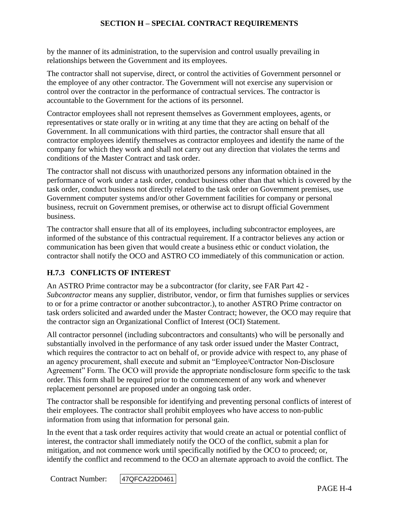by the manner of its administration, to the supervision and control usually prevailing in relationships between the Government and its employees.

The contractor shall not supervise, direct, or control the activities of Government personnel or the employee of any other contractor. The Government will not exercise any supervision or control over the contractor in the performance of contractual services. The contractor is accountable to the Government for the actions of its personnel.

Contractor employees shall not represent themselves as Government employees, agents, or representatives or state orally or in writing at any time that they are acting on behalf of the Government. In all communications with third parties, the contractor shall ensure that all contractor employees identify themselves as contractor employees and identify the name of the company for which they work and shall not carry out any direction that violates the terms and conditions of the Master Contract and task order.

The contractor shall not discuss with unauthorized persons any information obtained in the performance of work under a task order, conduct business other than that which is covered by the task order, conduct business not directly related to the task order on Government premises, use Government computer systems and/or other Government facilities for company or personal business, recruit on Government premises, or otherwise act to disrupt official Government business.

The contractor shall ensure that all of its employees, including subcontractor employees, are informed of the substance of this contractual requirement. If a contractor believes any action or communication has been given that would create a business ethic or conduct violation, the contractor shall notify the OCO and ASTRO CO immediately of this communication or action.

# **H.7.3 CONFLICTS OF INTEREST**

An ASTRO Prime contractor may be a subcontractor (for clarity, see FAR Part 42 - *Subcontractor* means any supplier, distributor, vendor, or firm that furnishes supplies or services to or for a prime contractor or another subcontractor.), to another ASTRO Prime contractor on task orders solicited and awarded under the Master Contract; however, the OCO may require that the contractor sign an Organizational Conflict of Interest (OCI) Statement.

All contractor personnel (including subcontractors and consultants) who will be personally and substantially involved in the performance of any task order issued under the Master Contract, which requires the contractor to act on behalf of, or provide advice with respect to, any phase of an agency procurement, shall execute and submit an "Employee/Contractor Non-Disclosure Agreement" Form. The OCO will provide the appropriate nondisclosure form specific to the task order. This form shall be required prior to the commencement of any work and whenever replacement personnel are proposed under an ongoing task order.

The contractor shall be responsible for identifying and preventing personal conflicts of interest of their employees. The contractor shall prohibit employees who have access to non-public information from using that information for personal gain.

In the event that a task order requires activity that would create an actual or potential conflict of interest, the contractor shall immediately notify the OCO of the conflict, submit a plan for mitigation, and not commence work until specifically notified by the OCO to proceed; or, identify the conflict and recommend to the OCO an alternate approach to avoid the conflict. The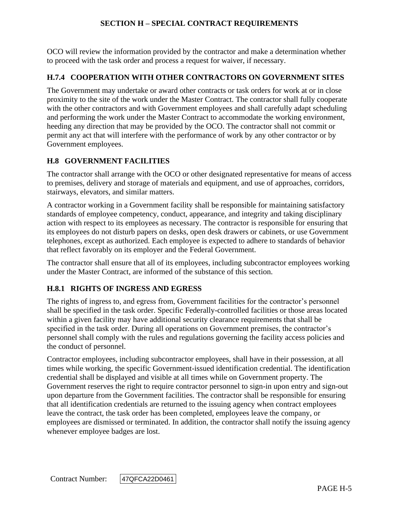OCO will review the information provided by the contractor and make a determination whether to proceed with the task order and process a request for waiver, if necessary.

### **H.7.4 COOPERATION WITH OTHER CONTRACTORS ON GOVERNMENT SITES**

The Government may undertake or award other contracts or task orders for work at or in close proximity to the site of the work under the Master Contract. The contractor shall fully cooperate with the other contractors and with Government employees and shall carefully adapt scheduling and performing the work under the Master Contract to accommodate the working environment, heeding any direction that may be provided by the OCO. The contractor shall not commit or permit any act that will interfere with the performance of work by any other contractor or by Government employees.

## **H.8 GOVERNMENT FACILITIES**

The contractor shall arrange with the OCO or other designated representative for means of access to premises, delivery and storage of materials and equipment, and use of approaches, corridors, stairways, elevators, and similar matters.

A contractor working in a Government facility shall be responsible for maintaining satisfactory standards of employee competency, conduct, appearance, and integrity and taking disciplinary action with respect to its employees as necessary. The contractor is responsible for ensuring that its employees do not disturb papers on desks, open desk drawers or cabinets, or use Government telephones, except as authorized. Each employee is expected to adhere to standards of behavior that reflect favorably on its employer and the Federal Government.

The contractor shall ensure that all of its employees, including subcontractor employees working under the Master Contract, are informed of the substance of this section.

## **H.8.1 RIGHTS OF INGRESS AND EGRESS**

The rights of ingress to, and egress from, Government facilities for the contractor's personnel shall be specified in the task order. Specific Federally-controlled facilities or those areas located within a given facility may have additional security clearance requirements that shall be specified in the task order. During all operations on Government premises, the contractor's personnel shall comply with the rules and regulations governing the facility access policies and the conduct of personnel.

Contractor employees, including subcontractor employees, shall have in their possession, at all times while working, the specific Government-issued identification credential. The identification credential shall be displayed and visible at all times while on Government property. The Government reserves the right to require contractor personnel to sign-in upon entry and sign-out upon departure from the Government facilities. The contractor shall be responsible for ensuring that all identification credentials are returned to the issuing agency when contract employees leave the contract, the task order has been completed, employees leave the company, or employees are dismissed or terminated. In addition, the contractor shall notify the issuing agency whenever employee badges are lost.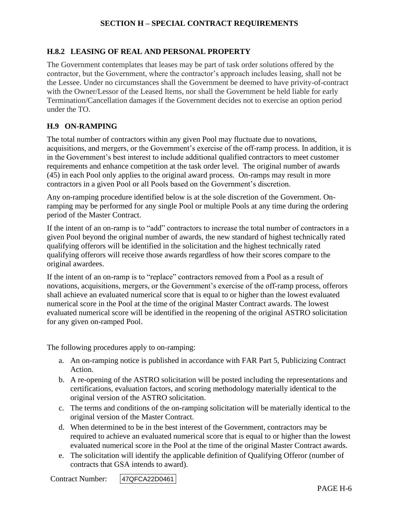#### **H.8.2 LEASING OF REAL AND PERSONAL PROPERTY**

The Government contemplates that leases may be part of task order solutions offered by the contractor, but the Government, where the contractor's approach includes leasing, shall not be the Lessee. Under no circumstances shall the Government be deemed to have privity-of-contract with the Owner/Lessor of the Leased Items, nor shall the Government be held liable for early Termination/Cancellation damages if the Government decides not to exercise an option period under the TO.

#### **H.9 ON-RAMPING**

The total number of contractors within any given Pool may fluctuate due to novations, acquisitions, and mergers, or the Government's exercise of the off-ramp process. In addition, it is in the Government's best interest to include additional qualified contractors to meet customer requirements and enhance competition at the task order level. The original number of awards (45) in each Pool only applies to the original award process. On-ramps may result in more contractors in a given Pool or all Pools based on the Government's discretion.

Any on-ramping procedure identified below is at the sole discretion of the Government. Onramping may be performed for any single Pool or multiple Pools at any time during the ordering period of the Master Contract.

If the intent of an on-ramp is to "add" contractors to increase the total number of contractors in a given Pool beyond the original number of awards, the new standard of highest technically rated qualifying offerors will be identified in the solicitation and the highest technically rated qualifying offerors will receive those awards regardless of how their scores compare to the original awardees.

If the intent of an on-ramp is to "replace" contractors removed from a Pool as a result of novations, acquisitions, mergers, or the Government's exercise of the off-ramp process, offerors shall achieve an evaluated numerical score that is equal to or higher than the lowest evaluated numerical score in the Pool at the time of the original Master Contract awards. The lowest evaluated numerical score will be identified in the reopening of the original ASTRO solicitation for any given on-ramped Pool.

The following procedures apply to on-ramping:

- a. An on-ramping notice is published in accordance with FAR Part 5, Publicizing Contract Action.
- b. A re-opening of the ASTRO solicitation will be posted including the representations and certifications, evaluation factors, and scoring methodology materially identical to the original version of the ASTRO solicitation.
- c. The terms and conditions of the on-ramping solicitation will be materially identical to the original version of the Master Contract.
- d. When determined to be in the best interest of the Government, contractors may be required to achieve an evaluated numerical score that is equal to or higher than the lowest evaluated numerical score in the Pool at the time of the original Master Contract awards.
- e. The solicitation will identify the applicable definition of Qualifying Offeror (number of contracts that GSA intends to award).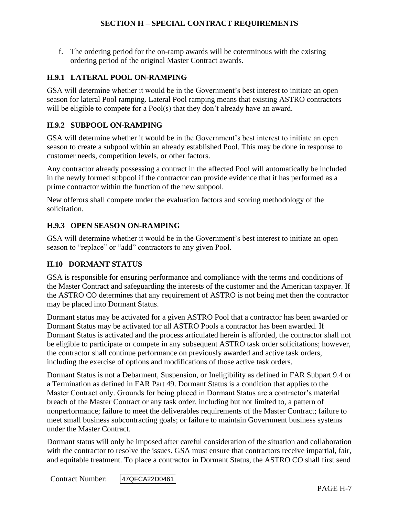f. The ordering period for the on-ramp awards will be coterminous with the existing ordering period of the original Master Contract awards.

### **H.9.1 LATERAL POOL ON-RAMPING**

GSA will determine whether it would be in the Government's best interest to initiate an open season for lateral Pool ramping. Lateral Pool ramping means that existing ASTRO contractors will be eligible to compete for a Pool(s) that they don't already have an award.

## **H.9.2 SUBPOOL ON-RAMPING**

GSA will determine whether it would be in the Government's best interest to initiate an open season to create a subpool within an already established Pool. This may be done in response to customer needs, competition levels, or other factors.

Any contractor already possessing a contract in the affected Pool will automatically be included in the newly formed subpool if the contractor can provide evidence that it has performed as a prime contractor within the function of the new subpool.

New offerors shall compete under the evaluation factors and scoring methodology of the solicitation.

## **H.9.3 OPEN SEASON ON-RAMPING**

GSA will determine whether it would be in the Government's best interest to initiate an open season to "replace" or "add" contractors to any given Pool.

## **H.10 DORMANT STATUS**

GSA is responsible for ensuring performance and compliance with the terms and conditions of the Master Contract and safeguarding the interests of the customer and the American taxpayer. If the ASTRO CO determines that any requirement of ASTRO is not being met then the contractor may be placed into Dormant Status.

Dormant status may be activated for a given ASTRO Pool that a contractor has been awarded or Dormant Status may be activated for all ASTRO Pools a contractor has been awarded. If Dormant Status is activated and the process articulated herein is afforded, the contractor shall not be eligible to participate or compete in any subsequent ASTRO task order solicitations; however, the contractor shall continue performance on previously awarded and active task orders, including the exercise of options and modifications of those active task orders.

Dormant Status is not a Debarment, Suspension, or Ineligibility as defined in FAR Subpart 9.4 or a Termination as defined in FAR Part 49. Dormant Status is a condition that applies to the Master Contract only. Grounds for being placed in Dormant Status are a contractor's material breach of the Master Contract or any task order, including but not limited to, a pattern of nonperformance; failure to meet the deliverables requirements of the Master Contract; failure to meet small business subcontracting goals; or failure to maintain Government business systems under the Master Contract.

Dormant status will only be imposed after careful consideration of the situation and collaboration with the contractor to resolve the issues. GSA must ensure that contractors receive impartial, fair, and equitable treatment. To place a contractor in Dormant Status, the ASTRO CO shall first send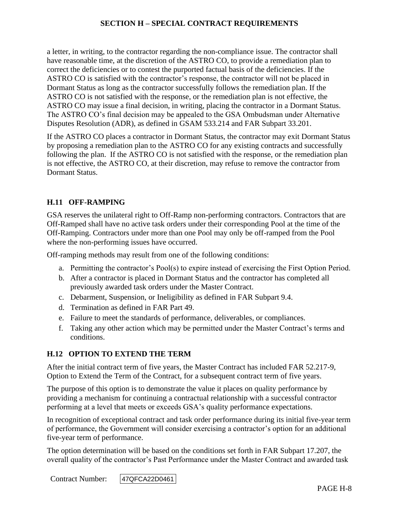a letter, in writing, to the contractor regarding the non-compliance issue. The contractor shall have reasonable time, at the discretion of the ASTRO CO, to provide a remediation plan to correct the deficiencies or to contest the purported factual basis of the deficiencies. If the ASTRO CO is satisfied with the contractor's response, the contractor will not be placed in Dormant Status as long as the contractor successfully follows the remediation plan. If the ASTRO CO is not satisfied with the response, or the remediation plan is not effective, the ASTRO CO may issue a final decision, in writing, placing the contractor in a Dormant Status. The ASTRO CO's final decision may be appealed to the GSA Ombudsman under Alternative Disputes Resolution (ADR), as defined in GSAM 533.214 and FAR Subpart 33.201.

If the ASTRO CO places a contractor in Dormant Status, the contractor may exit Dormant Status by proposing a remediation plan to the ASTRO CO for any existing contracts and successfully following the plan. If the ASTRO CO is not satisfied with the response, or the remediation plan is not effective, the ASTRO CO, at their discretion, may refuse to remove the contractor from Dormant Status.

#### **H.11 OFF-RAMPING**

GSA reserves the unilateral right to Off-Ramp non-performing contractors. Contractors that are Off-Ramped shall have no active task orders under their corresponding Pool at the time of the Off-Ramping. Contractors under more than one Pool may only be off-ramped from the Pool where the non-performing issues have occurred.

Off-ramping methods may result from one of the following conditions:

- a. Permitting the contractor's Pool(s) to expire instead of exercising the First Option Period.
- b. After a contractor is placed in Dormant Status and the contractor has completed all previously awarded task orders under the Master Contract.
- c. Debarment, Suspension, or Ineligibility as defined in FAR Subpart 9.4.
- d. Termination as defined in FAR Part 49.
- e. Failure to meet the standards of performance, deliverables, or compliances.
- f. Taking any other action which may be permitted under the Master Contract's terms and conditions.

#### **H.12 OPTION TO EXTEND THE TERM**

After the initial contract term of five years, the Master Contract has included FAR 52.217-9, Option to Extend the Term of the Contract, for a subsequent contract term of five years.

The purpose of this option is to demonstrate the value it places on quality performance by providing a mechanism for continuing a contractual relationship with a successful contractor performing at a level that meets or exceeds GSA's quality performance expectations.

In recognition of exceptional contract and task order performance during its initial five-year term of performance, the Government will consider exercising a contractor's option for an additional five-year term of performance.

The option determination will be based on the conditions set forth in FAR Subpart 17.207, the overall quality of the contractor's Past Performance under the Master Contract and awarded task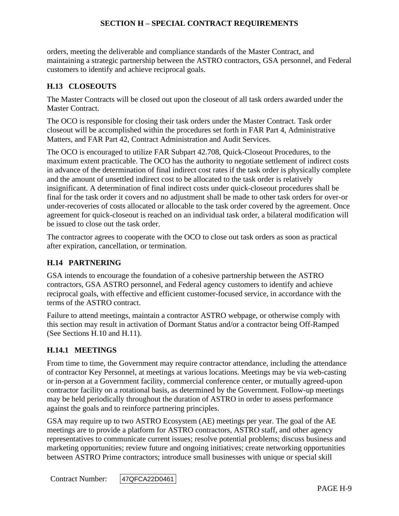orders, meeting the deliverable and compliance standards of the Master Contract, and maintaining a strategic partnership between the ASTRO contractors, GSA personnel, and Federal customers to identify and achieve reciprocal goals.

### **H.13 CLOSEOUTS**

The Master Contracts will be closed out upon the closeout of all task orders awarded under the Master Contract.

The OCO is responsible for closing their task orders under the Master Contract. Task order closeout will be accomplished within the procedures set forth in FAR Part 4, Administrative Matters, and FAR Part 42, Contract Administration and Audit Services.

The OCO is encouraged to utilize FAR Subpart 42.708, Quick-Closeout Procedures, to the maximum extent practicable. The OCO has the authority to negotiate settlement of indirect costs in advance of the determination of final indirect cost rates if the task order is physically complete and the amount of unsettled indirect cost to be allocated to the task order is relatively insignificant. A determination of final indirect costs under quick-closeout procedures shall be final for the task order it covers and no adjustment shall be made to other task orders for over-or under-recoveries of costs allocated or allocable to the task order covered by the agreement. Once agreement for quick-closeout is reached on an individual task order, a bilateral modification will be issued to close out the task order.

The contractor agrees to cooperate with the OCO to close out task orders as soon as practical after expiration, cancellation, or termination.

#### **H.14 PARTNERING**

GSA intends to encourage the foundation of a cohesive partnership between the ASTRO contractors, GSA ASTRO personnel, and Federal agency customers to identify and achieve reciprocal goals, with effective and efficient customer-focused service, in accordance with the terms of the ASTRO contract.

Failure to attend meetings, maintain a contractor ASTRO webpage, or otherwise comply with this section may result in activation of Dormant Status and/or a contractor being Off-Ramped (See Sections H.10 and H.11).

## **H.14.1 MEETINGS**

From time to time, the Government may require contractor attendance, including the attendance of contractor Key Personnel, at meetings at various locations. Meetings may be via web-casting or in-person at a Government facility, commercial conference center, or mutually agreed-upon contractor facility on a rotational basis, as determined by the Government. Follow-up meetings may be held periodically throughout the duration of ASTRO in order to assess performance against the goals and to reinforce partnering principles.

GSA may require up to two ASTRO Ecosystem (AE) meetings per year. The goal of the AE meetings are to provide a platform for ASTRO contractors, ASTRO staff, and other agency representatives to communicate current issues; resolve potential problems; discuss business and marketing opportunities; review future and ongoing initiatives; create networking opportunities between ASTRO Prime contractors; introduce small businesses with unique or special skill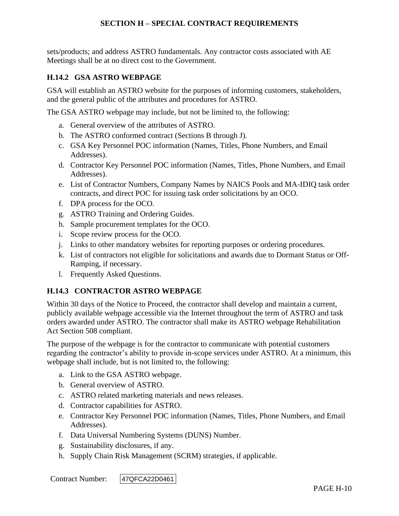sets/products; and address ASTRO fundamentals. Any contractor costs associated with AE Meetings shall be at no direct cost to the Government.

## **H.14.2 GSA ASTRO WEBPAGE**

GSA will establish an ASTRO website for the purposes of informing customers, stakeholders, and the general public of the attributes and procedures for ASTRO.

The GSA ASTRO webpage may include, but not be limited to, the following:

- a. General overview of the attributes of ASTRO.
- b. The ASTRO conformed contract (Sections B through J).
- c. GSA Key Personnel POC information (Names, Titles, Phone Numbers, and Email Addresses).
- d. Contractor Key Personnel POC information (Names, Titles, Phone Numbers, and Email Addresses).
- e. List of Contractor Numbers, Company Names by NAICS Pools and MA-IDIQ task order contracts, and direct POC for issuing task order solicitations by an OCO.
- f. DPA process for the OCO.
- g. ASTRO Training and Ordering Guides.
- h. Sample procurement templates for the OCO.
- i. Scope review process for the OCO.
- j. Links to other mandatory websites for reporting purposes or ordering procedures.
- k. List of contractors not eligible for solicitations and awards due to Dormant Status or Off-Ramping, if necessary.
- l. Frequently Asked Questions.

## **H.14.3 CONTRACTOR ASTRO WEBPAGE**

Within 30 days of the Notice to Proceed, the contractor shall develop and maintain a current, publicly available webpage accessible via the Internet throughout the term of ASTRO and task orders awarded under ASTRO. The contractor shall make its ASTRO webpage Rehabilitation Act Section 508 compliant.

The purpose of the webpage is for the contractor to communicate with potential customers regarding the contractor's ability to provide in-scope services under ASTRO. At a minimum, this webpage shall include, but is not limited to, the following:

- a. Link to the GSA ASTRO webpage.
- b. General overview of ASTRO.
- c. ASTRO related marketing materials and news releases.
- d. Contractor capabilities for ASTRO.
- e. Contractor Key Personnel POC information (Names, Titles, Phone Numbers, and Email Addresses).
- f. Data Universal Numbering Systems (DUNS) Number.
- g. Sustainability disclosures, if any.
- h. Supply Chain Risk Management (SCRM) strategies, if applicable.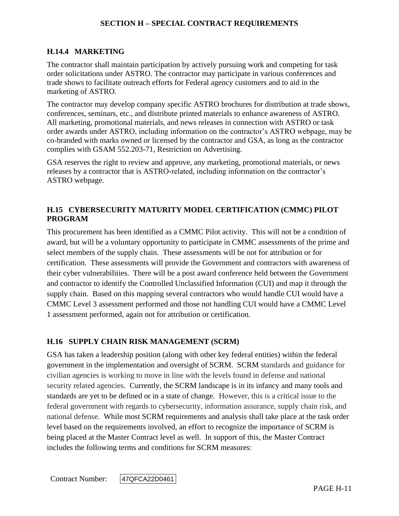## **H.14.4 MARKETING**

The contractor shall maintain participation by actively pursuing work and competing for task order solicitations under ASTRO. The contractor may participate in various conferences and trade shows to facilitate outreach efforts for Federal agency customers and to aid in the marketing of ASTRO.

The contractor may develop company specific ASTRO brochures for distribution at trade shows, conferences, seminars, etc., and distribute printed materials to enhance awareness of ASTRO. All marketing, promotional materials, and news releases in connection with ASTRO or task order awards under ASTRO, including information on the contractor's ASTRO webpage, may be co-branded with marks owned or licensed by the contractor and GSA, as long as the contractor complies with GSAM 552.203-71, Restriction on Advertising.

GSA reserves the right to review and approve, any marketing, promotional materials, or news releases by a contractor that is ASTRO-related, including information on the contractor's ASTRO webpage.

## **H.15 CYBERSECURITY MATURITY MODEL CERTIFICATION (CMMC) PILOT PROGRAM**

This procurement has been identified as a CMMC Pilot activity. This will not be a condition of award, but will be a voluntary opportunity to participate in CMMC assessments of the prime and select members of the supply chain. These assessments will be not for attribution or for certification. These assessments will provide the Government and contractors with awareness of their cyber vulnerabilities. There will be a post award conference held between the Government and contractor to identify the Controlled Unclassified Information (CUI) and map it through the supply chain. Based on this mapping several contractors who would handle CUI would have a CMMC Level 3 assessment performed and those not handling CUI would have a CMMC Level 1 assessment performed, again not for attribution or certification.

# **H.16 SUPPLY CHAIN RISK MANAGEMENT (SCRM)**

GSA has taken a leadership position (along with other key federal entities) within the federal government in the implementation and oversight of SCRM. SCRM standards and guidance for civilian agencies is working to move in line with the levels found in defense and national security related agencies. Currently, the SCRM landscape is in its infancy and many tools and standards are yet to be defined or in a state of change. However, this is a critical issue to the federal government with regards to cybersecurity, information assurance, supply chain risk, and national defense. While most SCRM requirements and analysis shall take place at the task order level based on the requirements involved, an effort to recognize the importance of SCRM is being placed at the Master Contract level as well. In support of this, the Master Contract includes the following terms and conditions for SCRM measures: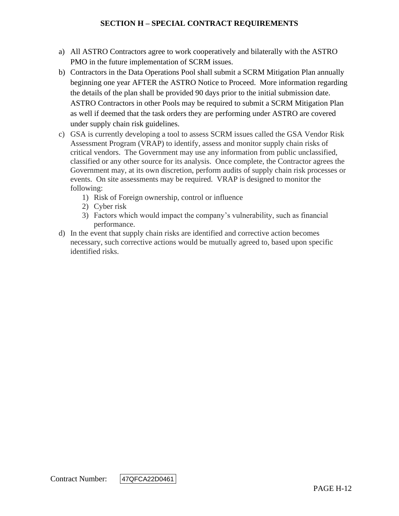- a) All ASTRO Contractors agree to work cooperatively and bilaterally with the ASTRO PMO in the future implementation of SCRM issues.
- b) Contractors in the Data Operations Pool shall submit a SCRM Mitigation Plan annually beginning one year AFTER the ASTRO Notice to Proceed. More information regarding the details of the plan shall be provided 90 days prior to the initial submission date. ASTRO Contractors in other Pools may be required to submit a SCRM Mitigation Plan as well if deemed that the task orders they are performing under ASTRO are covered under supply chain risk guidelines.
- c) GSA is currently developing a tool to assess SCRM issues called the GSA Vendor Risk Assessment Program (VRAP) to identify, assess and monitor supply chain risks of critical vendors. The Government may use any information from public unclassified, classified or any other source for its analysis. Once complete, the Contractor agrees the Government may, at its own discretion, perform audits of supply chain risk processes or events. On site assessments may be required. VRAP is designed to monitor the following:
	- 1) Risk of Foreign ownership, control or influence
	- 2) Cyber risk
	- 3) Factors which would impact the company's vulnerability, such as financial performance.
- d) In the event that supply chain risks are identified and corrective action becomes necessary, such corrective actions would be mutually agreed to, based upon specific identified risks.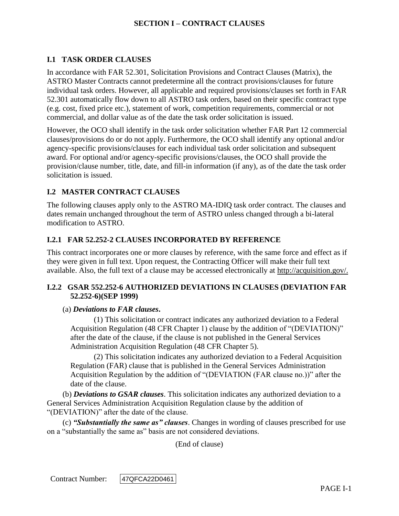## **I.1 TASK ORDER CLAUSES**

In accordance with FAR 52.301, Solicitation Provisions and Contract Clauses (Matrix), the ASTRO Master Contracts cannot predetermine all the contract provisions/clauses for future individual task orders. However, all applicable and required provisions/clauses set forth in FAR 52.301 automatically flow down to all ASTRO task orders, based on their specific contract type (e.g. cost, fixed price etc.), statement of work, competition requirements, commercial or not commercial, and dollar value as of the date the task order solicitation is issued.

However, the OCO shall identify in the task order solicitation whether FAR Part 12 commercial clauses/provisions do or do not apply. Furthermore, the OCO shall identify any optional and/or agency-specific provisions/clauses for each individual task order solicitation and subsequent award. For optional and/or agency-specific provisions/clauses, the OCO shall provide the provision/clause number, title, date, and fill-in information (if any), as of the date the task order solicitation is issued.

## **I.2 MASTER CONTRACT CLAUSES**

The following clauses apply only to the ASTRO MA-IDIQ task order contract. The clauses and dates remain unchanged throughout the term of ASTRO unless changed through a bi-lateral modification to ASTRO.

## **I.2.1 FAR 52.252-2 CLAUSES INCORPORATED BY REFERENCE**

This contract incorporates one or more clauses by reference, with the same force and effect as if they were given in full text. Upon request, the Contracting Officer will make their full text available. Also, the full text of a clause may be accessed electronically at [http://acquisition.gov/.](http://acquisition.gov/)

## **I.2.2 GSAR 552.252-6 AUTHORIZED DEVIATIONS IN CLAUSES (DEVIATION FAR 52.252-6)(SEP 1999)**

#### (a) *Deviations to FAR clauses***.**

(1) This solicitation or contract indicates any authorized deviation to a Federal Acquisition Regulation (48 CFR Chapter 1) clause by the addition of "(DEVIATION)" after the date of the clause, if the clause is not published in the General Services Administration Acquisition Regulation (48 CFR Chapter 5).

(2) This solicitation indicates any authorized deviation to a Federal Acquisition Regulation (FAR) clause that is published in the General Services Administration Acquisition Regulation by the addition of "(DEVIATION (FAR clause no.))" after the date of the clause.

(b) *Deviations to GSAR clauses*. This solicitation indicates any authorized deviation to a General Services Administration Acquisition Regulation clause by the addition of "(DEVIATION)" after the date of the clause.

(c) *"Substantially the same as" clauses*. Changes in wording of clauses prescribed for use on a "substantially the same as" basis are not considered deviations.

(End of clause)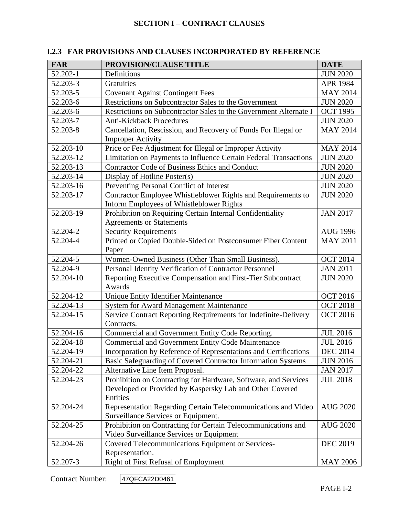| <b>FAR</b> | PROVISION/CLAUSE TITLE                                                                                    | <b>DATE</b>     |
|------------|-----------------------------------------------------------------------------------------------------------|-----------------|
| 52.202-1   | Definitions                                                                                               | <b>JUN 2020</b> |
| 52.203-3   | Gratuities                                                                                                | APR 1984        |
| 52.203-5   | <b>Covenant Against Contingent Fees</b>                                                                   | <b>MAY 2014</b> |
| 52.203-6   | Restrictions on Subcontractor Sales to the Government                                                     | <b>JUN 2020</b> |
| 52.203-6   | Restrictions on Subcontractor Sales to the Government Alternate I                                         | <b>OCT 1995</b> |
| 52.203-7   | <b>Anti-Kickback Procedures</b>                                                                           | <b>JUN 2020</b> |
| 52.203-8   | Cancellation, Rescission, and Recovery of Funds For Illegal or<br><b>Improper Activity</b>                | <b>MAY 2014</b> |
| 52.203-10  | Price or Fee Adjustment for Illegal or Improper Activity                                                  | <b>MAY 2014</b> |
| 52.203-12  | Limitation on Payments to Influence Certain Federal Transactions                                          | <b>JUN 2020</b> |
| 52.203-13  | Contractor Code of Business Ethics and Conduct                                                            | <b>JUN 2020</b> |
| 52.203-14  | Display of Hotline Poster(s)                                                                              | <b>JUN 2020</b> |
| 52.203-16  | Preventing Personal Conflict of Interest                                                                  | <b>JUN 2020</b> |
| 52.203-17  | Contractor Employee Whistleblower Rights and Requirements to<br>Inform Employees of Whistleblower Rights  | <b>JUN 2020</b> |
| 52.203-19  | Prohibition on Requiring Certain Internal Confidentiality<br><b>Agreements or Statements</b>              | <b>JAN 2017</b> |
| 52.204-2   | <b>Security Requirements</b>                                                                              | <b>AUG 1996</b> |
| 52.204-4   | Printed or Copied Double-Sided on Postconsumer Fiber Content<br>Paper                                     | <b>MAY 2011</b> |
| 52.204-5   | Women-Owned Business (Other Than Small Business).                                                         | <b>OCT 2014</b> |
| 52.204-9   | Personal Identity Verification of Contractor Personnel                                                    | <b>JAN 2011</b> |
| 52.204-10  | Reporting Executive Compensation and First-Tier Subcontract<br>Awards                                     | <b>JUN 2020</b> |
| 52.204-12  | Unique Entity Identifier Maintenance<br><b>OCT 2016</b>                                                   |                 |
| 52.204-13  | System for Award Management Maintenance<br><b>OCT 2018</b>                                                |                 |
| 52.204-15  | Service Contract Reporting Requirements for Indefinite-Delivery<br>Contracts.                             | <b>OCT 2016</b> |
| 52.204-16  | Commercial and Government Entity Code Reporting.                                                          | <b>JUL 2016</b> |
| 52.204-18  | <b>Commercial and Government Entity Code Maintenance</b>                                                  | <b>JUL 2016</b> |
| 52.204-19  | Incorporation by Reference of Representations and Certifications                                          | <b>DEC 2014</b> |
| 52.204-21  | Basic Safeguarding of Covered Contractor Information Systems                                              | <b>JUN 2016</b> |
| 52.204-22  | Alternative Line Item Proposal.                                                                           | <b>JAN 2017</b> |
| 52.204-23  | Prohibition on Contracting for Hardware, Software, and Services                                           | <b>JUL 2018</b> |
|            | Developed or Provided by Kaspersky Lab and Other Covered<br>Entities                                      |                 |
| 52.204-24  | Representation Regarding Certain Telecommunications and Video<br>Surveillance Services or Equipment.      | <b>AUG 2020</b> |
| 52.204-25  | Prohibition on Contracting for Certain Telecommunications and<br>Video Surveillance Services or Equipment | <b>AUG 2020</b> |
| 52.204-26  | Covered Telecommunications Equipment or Services-<br>Representation.                                      | <b>DEC 2019</b> |
| 52.207-3   | Right of First Refusal of Employment                                                                      | <b>MAY 2006</b> |

# **I.2.3 FAR PROVISIONS AND CLAUSES INCORPORATED BY REFERENCE**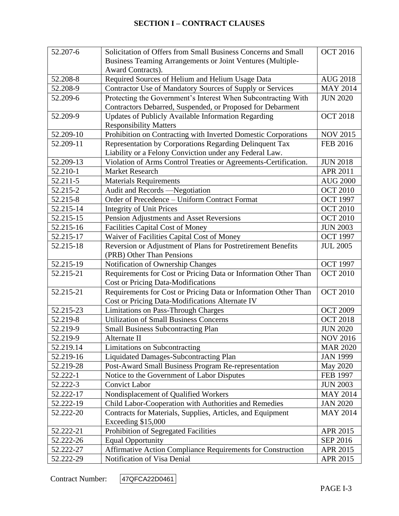| 52.207-6  | Solicitation of Offers from Small Business Concerns and Small                    | <b>OCT 2016</b> |
|-----------|----------------------------------------------------------------------------------|-----------------|
|           | Business Teaming Arrangements or Joint Ventures (Multiple-                       |                 |
|           | Award Contracts).                                                                |                 |
| 52.208-8  | Required Sources of Helium and Helium Usage Data                                 | <b>AUG 2018</b> |
| 52.208-9  | Contractor Use of Mandatory Sources of Supply or Services                        | <b>MAY 2014</b> |
| 52.209-6  | Protecting the Government's Interest When Subcontracting With<br><b>JUN 2020</b> |                 |
|           | Contractors Debarred, Suspended, or Proposed for Debarment                       |                 |
| 52.209-9  | Updates of Publicly Available Information Regarding                              | <b>OCT 2018</b> |
|           | <b>Responsibility Matters</b>                                                    |                 |
| 52.209-10 | Prohibition on Contracting with Inverted Domestic Corporations                   | <b>NOV 2015</b> |
| 52.209-11 | Representation by Corporations Regarding Delinquent Tax                          | <b>FEB 2016</b> |
|           | Liability or a Felony Conviction under any Federal Law.                          |                 |
| 52.209-13 | Violation of Arms Control Treaties or Agreements-Certification.                  | <b>JUN 2018</b> |
| 52.210-1  | <b>Market Research</b>                                                           | <b>APR 2011</b> |
| 52.211-5  | <b>Materials Requirements</b>                                                    | <b>AUG 2000</b> |
| 52.215-2  | Audit and Records -Negotiation                                                   | <b>OCT 2010</b> |
| 52.215-8  | Order of Precedence - Uniform Contract Format                                    | <b>OCT 1997</b> |
| 52.215-14 | <b>Integrity of Unit Prices</b>                                                  | <b>OCT 2010</b> |
| 52.215-15 | Pension Adjustments and Asset Reversions                                         | <b>OCT 2010</b> |
| 52.215-16 | <b>Facilities Capital Cost of Money</b>                                          | <b>JUN 2003</b> |
| 52.215-17 | Waiver of Facilities Capital Cost of Money<br><b>OCT 1997</b>                    |                 |
| 52.215-18 | Reversion or Adjustment of Plans for Postretirement Benefits                     | <b>JUL 2005</b> |
|           | (PRB) Other Than Pensions                                                        |                 |
| 52.215-19 | Notification of Ownership Changes                                                | <b>OCT 1997</b> |
| 52.215-21 | Requirements for Cost or Pricing Data or Information Other Than                  | <b>OCT 2010</b> |
|           | <b>Cost or Pricing Data-Modifications</b>                                        |                 |
| 52.215-21 | Requirements for Cost or Pricing Data or Information Other Than                  | <b>OCT 2010</b> |
|           | Cost or Pricing Data-Modifications Alternate IV                                  |                 |
| 52.215-23 | <b>Limitations on Pass-Through Charges</b>                                       | <b>OCT 2009</b> |
| 52.219-8  | <b>Utilization of Small Business Concerns</b>                                    | <b>OCT 2018</b> |
| 52.219-9  | <b>Small Business Subcontracting Plan</b>                                        | <b>JUN 2020</b> |
| 52.219-9  | Alternate II                                                                     | NOV 2016        |
| 52.219.14 | Limitations on Subcontracting                                                    | <b>MAR 2020</b> |
| 52.219-16 | <b>Liquidated Damages-Subcontracting Plan</b>                                    | <b>JAN 1999</b> |
| 52.219-28 | Post-Award Small Business Program Re-representation                              | May 2020        |
| 52.222-1  | Notice to the Government of Labor Disputes                                       | <b>FEB 1997</b> |
| 52.222-3  | <b>Convict Labor</b>                                                             | <b>JUN 2003</b> |
| 52.222-17 | Nondisplacement of Qualified Workers                                             | <b>MAY 2014</b> |
| 52.222-19 | Child Labor-Cooperation with Authorities and Remedies                            | <b>JAN 2020</b> |
| 52.222-20 | Contracts for Materials, Supplies, Articles, and Equipment                       | <b>MAY 2014</b> |
|           | Exceeding \$15,000                                                               |                 |
| 52.222-21 | Prohibition of Segregated Facilities                                             | APR 2015        |
| 52.222-26 | <b>Equal Opportunity</b>                                                         | SEP 2016        |
| 52.222-27 | Affirmative Action Compliance Requirements for Construction                      | APR 2015        |
| 52.222-29 | Notification of Visa Denial                                                      | APR 2015        |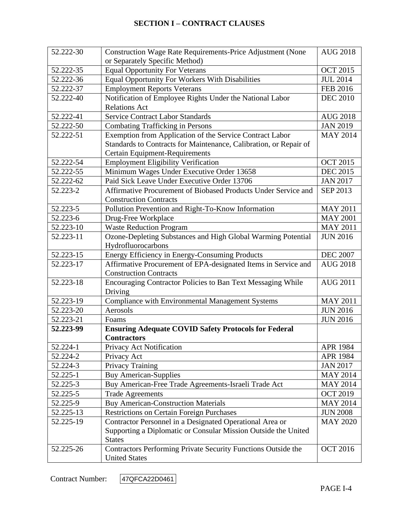| 52.222-30 | Construction Wage Rate Requirements-Price Adjustment (None                  | <b>AUG 2018</b> |
|-----------|-----------------------------------------------------------------------------|-----------------|
|           | or Separately Specific Method)                                              |                 |
| 52.222-35 | <b>Equal Opportunity For Veterans</b>                                       | <b>OCT 2015</b> |
| 52.222-36 | Equal Opportunity For Workers With Disabilities                             | <b>JUL 2014</b> |
| 52.222-37 | <b>Employment Reports Veterans</b>                                          | <b>FEB 2016</b> |
| 52.222-40 | Notification of Employee Rights Under the National Labor<br><b>DEC 2010</b> |                 |
|           | <b>Relations Act</b>                                                        |                 |
| 52.222-41 | <b>Service Contract Labor Standards</b>                                     | <b>AUG 2018</b> |
| 52.222-50 | <b>Combating Trafficking in Persons</b>                                     | <b>JAN 2019</b> |
| 52.222-51 | Exemption from Application of the Service Contract Labor                    | <b>MAY 2014</b> |
|           | Standards to Contracts for Maintenance, Calibration, or Repair of           |                 |
|           | Certain Equipment-Requirements                                              |                 |
| 52.222-54 | <b>Employment Eligibility Verification</b>                                  | <b>OCT 2015</b> |
| 52.222-55 | Minimum Wages Under Executive Order 13658                                   | <b>DEC 2015</b> |
| 52.222-62 | Paid Sick Leave Under Executive Order 13706                                 | <b>JAN 2017</b> |
| 52.223-2  | Affirmative Procurement of Biobased Products Under Service and              | SEP 2013        |
|           | <b>Construction Contracts</b>                                               |                 |
| 52.223-5  | Pollution Prevention and Right-To-Know Information                          | <b>MAY 2011</b> |
| 52.223-6  | Drug-Free Workplace                                                         | <b>MAY 2001</b> |
| 52.223-10 | <b>Waste Reduction Program</b>                                              | <b>MAY 2011</b> |
| 52.223-11 | Ozone-Depleting Substances and High Global Warming Potential                | <b>JUN 2016</b> |
|           | Hydrofluorocarbons                                                          |                 |
| 52.223-15 | Energy Efficiency in Energy-Consuming Products<br><b>DEC 2007</b>           |                 |
| 52.223-17 | Affirmative Procurement of EPA-designated Items in Service and              | <b>AUG 2018</b> |
|           | <b>Construction Contracts</b>                                               |                 |
| 52.223-18 | Encouraging Contractor Policies to Ban Text Messaging While                 | <b>AUG 2011</b> |
|           | Driving                                                                     |                 |
| 52.223-19 | <b>Compliance with Environmental Management Systems</b>                     | <b>MAY 2011</b> |
| 52.223-20 | Aerosols                                                                    | <b>JUN 2016</b> |
| 52.223-21 | Foams                                                                       | <b>JUN 2016</b> |
| 52.223-99 | <b>Ensuring Adequate COVID Safety Protocols for Federal</b>                 |                 |
|           | <b>Contractors</b>                                                          |                 |
| 52.224-1  | Privacy Act Notification                                                    | <b>APR 1984</b> |
| 52.224-2  | Privacy Act                                                                 | <b>APR 1984</b> |
| 52.224-3  | Privacy Training                                                            | <b>JAN 2017</b> |
| 52.225-1  | <b>Buy American-Supplies</b>                                                | <b>MAY 2014</b> |
| 52.225-3  | Buy American-Free Trade Agreements-Israeli Trade Act                        | <b>MAY 2014</b> |
| 52.225-5  | <b>Trade Agreements</b>                                                     | <b>OCT 2019</b> |
| 52.225-9  | <b>Buy American-Construction Materials</b>                                  | <b>MAY 2014</b> |
| 52.225-13 | <b>Restrictions on Certain Foreign Purchases</b>                            | <b>JUN 2008</b> |
| 52.225-19 | Contractor Personnel in a Designated Operational Area or                    | <b>MAY 2020</b> |
|           | Supporting a Diplomatic or Consular Mission Outside the United              |                 |
|           | <b>States</b>                                                               |                 |
| 52.225-26 | Contractors Performing Private Security Functions Outside the               | <b>OCT 2016</b> |
|           | <b>United States</b>                                                        |                 |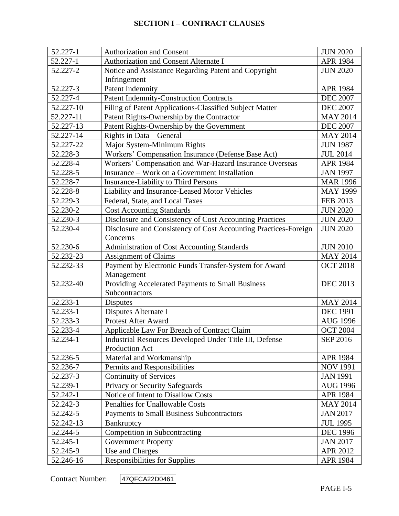| 52.227-1  | <b>Authorization and Consent</b>                                | <b>JUN 2020</b> |
|-----------|-----------------------------------------------------------------|-----------------|
| 52.227-1  | Authorization and Consent Alternate I                           | <b>APR 1984</b> |
| 52.227-2  | Notice and Assistance Regarding Patent and Copyright            | <b>JUN 2020</b> |
|           | Infringement                                                    |                 |
| 52.227-3  | <b>Patent Indemnity</b>                                         | APR 1984        |
| 52.227-4  | <b>Patent Indemnity-Construction Contracts</b>                  | <b>DEC 2007</b> |
| 52.227-10 | Filing of Patent Applications-Classified Subject Matter         | <b>DEC 2007</b> |
| 52.227-11 | Patent Rights-Ownership by the Contractor                       | <b>MAY 2014</b> |
| 52.227-13 | Patent Rights-Ownership by the Government                       | <b>DEC 2007</b> |
| 52.227-14 | Rights in Data-General                                          | <b>MAY 2014</b> |
| 52.227-22 | Major System-Minimum Rights                                     | <b>JUN 1987</b> |
| 52.228-3  | Workers' Compensation Insurance (Defense Base Act)              | <b>JUL 2014</b> |
| 52.228-4  | Workers' Compensation and War-Hazard Insurance Overseas         | <b>APR 1984</b> |
| 52.228-5  | Insurance – Work on a Government Installation                   | <b>JAN 1997</b> |
| 52.228-7  | <b>Insurance-Liability to Third Persons</b>                     | <b>MAR 1996</b> |
| 52.228-8  | Liability and Insurance-Leased Motor Vehicles                   | <b>MAY 1999</b> |
| 52.229-3  | Federal, State, and Local Taxes                                 | FEB 2013        |
| 52.230-2  | <b>Cost Accounting Standards</b>                                | <b>JUN 2020</b> |
| 52.230-3  | Disclosure and Consistency of Cost Accounting Practices         | <b>JUN 2020</b> |
| 52.230-4  | Disclosure and Consistency of Cost Accounting Practices-Foreign | <b>JUN 2020</b> |
|           | Concerns                                                        |                 |
| 52.230-6  | Administration of Cost Accounting Standards                     | <b>JUN 2010</b> |
| 52.232-23 | <b>Assignment of Claims</b><br><b>MAY 2014</b>                  |                 |
| 52.232-33 | Payment by Electronic Funds Transfer-System for Award           | <b>OCT 2018</b> |
|           | Management                                                      |                 |
| 52.232-40 | Providing Accelerated Payments to Small Business                | <b>DEC 2013</b> |
|           | Subcontractors                                                  |                 |
| 52.233-1  | <b>Disputes</b>                                                 | <b>MAY 2014</b> |
| 52.233-1  | Disputes Alternate I                                            | <b>DEC 1991</b> |
| 52.233-3  | Protest After Award                                             | <b>AUG 1996</b> |
| 52.233-4  | Applicable Law For Breach of Contract Claim                     | <b>OCT 2004</b> |
| 52.234-1  | Industrial Resources Developed Under Title III, Defense         | SEP 2016        |
|           | Production Act                                                  |                 |
| 52.236-5  | Material and Workmanship                                        | <b>APR 1984</b> |
| 52.236-7  | Permits and Responsibilities                                    | <b>NOV 1991</b> |
| 52.237-3  | <b>Continuity of Services</b>                                   | <b>JAN 1991</b> |
| 52.239-1  | Privacy or Security Safeguards                                  | <b>AUG 1996</b> |
| 52.242-1  | Notice of Intent to Disallow Costs                              | <b>APR 1984</b> |
| 52.242-3  | <b>Penalties for Unallowable Costs</b>                          | <b>MAY 2014</b> |
| 52.242-5  | Payments to Small Business Subcontractors                       | <b>JAN 2017</b> |
| 52.242-13 | Bankruptcy                                                      | <b>JUL 1995</b> |
| 52.244-5  | Competition in Subcontracting                                   | <b>DEC 1996</b> |
| 52.245-1  | <b>Government Property</b>                                      | <b>JAN 2017</b> |
| 52.245-9  | Use and Charges                                                 | APR 2012        |
| 52.246-16 | <b>Responsibilities for Supplies</b>                            | APR 1984        |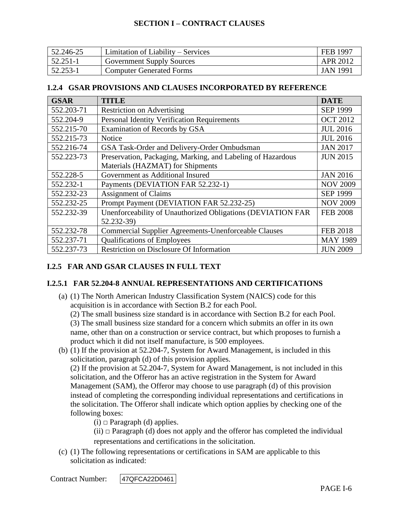| 52.246-25 | Limitation of Liability – Services | FEB 1997 |
|-----------|------------------------------------|----------|
| 52.251-1  | <b>Government Supply Sources</b>   | APR 2012 |
| 52.253-1  | <b>Computer Generated Forms</b>    | JAN 1991 |

#### **1.2.4 GSAR PROVISIONS AND CLAUSES INCORPORATED BY REFERENCE**

| <b>GSAR</b> | <b>TITLE</b>                                                       | <b>DATE</b>     |
|-------------|--------------------------------------------------------------------|-----------------|
| 552.203-71  | <b>Restriction on Advertising</b>                                  | <b>SEP 1999</b> |
| 552.204-9   | <b>Personal Identity Verification Requirements</b>                 | <b>OCT 2012</b> |
| 552.215-70  | Examination of Records by GSA                                      | <b>JUL 2016</b> |
| 552.215-73  | Notice                                                             | <b>JUL 2016</b> |
| 552.216-74  | GSA Task-Order and Delivery-Order Ombudsman                        | <b>JAN 2017</b> |
| 552.223-73  | Preservation, Packaging, Marking, and Labeling of Hazardous        | <b>JUN 2015</b> |
|             | Materials (HAZMAT) for Shipments                                   |                 |
| 552.228-5   | Government as Additional Insured<br><b>JAN 2016</b>                |                 |
| 552.232-1   | Payments (DEVIATION FAR 52.232-1)<br><b>NOV 2009</b>               |                 |
| 552.232-23  | <b>Assignment of Claims</b><br><b>SEP 1999</b>                     |                 |
| 552.232-25  | Prompt Payment (DEVIATION FAR 52.232-25)                           | <b>NOV 2009</b> |
| 552.232-39  | Unenforceability of Unauthorized Obligations (DEVIATION FAR        | <b>FEB 2008</b> |
|             | 52.232-39)                                                         |                 |
| 552.232-78  | <b>Commercial Supplier Agreements-Unenforceable Clauses</b>        | <b>FEB 2018</b> |
| 552.237-71  | <b>Qualifications of Employees</b><br><b>MAY 1989</b>              |                 |
| 552.237-73  | <b>Restriction on Disclosure Of Information</b><br><b>JUN 2009</b> |                 |

# **I.2.5 FAR AND GSAR CLAUSES IN FULL TEXT**

## **I.2.5.1 FAR 52.204-8 ANNUAL REPRESENTATIONS AND CERTIFICATIONS**

(a) (1) The North American Industry Classification System (NAICS) code for this acquisition is in accordance with Section B.2 for each Pool.

(2) The small business size standard is in accordance with Section B.2 for each Pool.

(3) The small business size standard for a concern which submits an offer in its own name, other than on a construction or service contract, but which proposes to furnish a product which it did not itself manufacture, is 500 employees.

(b) (1) If the provision at [52.204-7,](https://acquisition.gov/far/52.204-7#FAR_52_204_7) System for Award Management, is included in this solicitation, paragraph (d) of this provision applies.

(2) If the provision at [52.204-7,](https://acquisition.gov/far/52.204-7#FAR_52_204_7) System for Award Management, is not included in this solicitation, and the Offeror has an active registration in the System for Award Management (SAM), the Offeror may choose to use paragraph (d) of this provision instead of completing the corresponding individual representations and certifications in the solicitation. The Offeror shall indicate which option applies by checking one of the following boxes:

(i) *□* Paragraph (d) applies.

(ii) *□* Paragraph (d) does not apply and the offeror has completed the individual representations and certifications in the solicitation.

(c) (1) The following representations or certifications in SAM are applicable to this solicitation as indicated: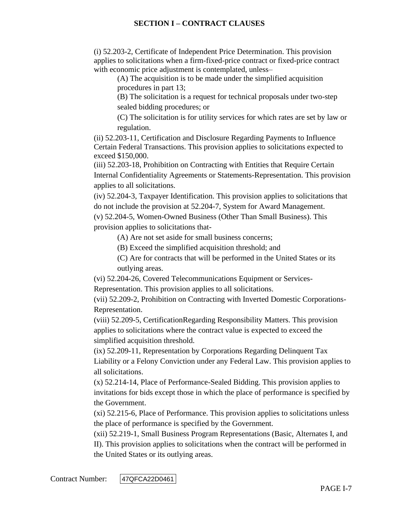(i) [52.203-2,](https://acquisition.gov/far/52.203-2#FAR_52_203_2) Certificate of Independent Price Determination. This provision applies to solicitations when a firm-fixed-price contract or fixed-price contract with economic price adjustment is contemplated, unless–

(A) The acquisition is to be made under the simplified acquisition procedures in [part 13;](https://acquisition.gov/far/Part_13.html#FAR_Part_13)

(B) The solicitation is a request for technical proposals under two-step sealed bidding procedures; or

(C) The solicitation is for utility services for which rates are set by law or regulation.

(ii) [52.203-11,](https://acquisition.gov/far/52.203-11#FAR_52_203_11) Certification and Disclosure Regarding Payments to Influence Certain Federal Transactions. This provision applies to solicitations expected to exceed \$150,000.

(iii) [52.203-18,](https://acquisition.gov/far/52.203-18#FAR_52_203_18) Prohibition on Contracting with Entities that Require Certain Internal Confidentiality Agreements or Statements-Representation. This provision applies to all solicitations.

(iv) [52.204-3,](https://acquisition.gov/far/52.204-3#FAR_52_204_3) Taxpayer Identification. This provision applies to solicitations that do not include the provision at [52.204-7,](https://acquisition.gov/far/52.204-7#FAR_52_204_7) System for Award Management.

(v) [52.204-5,](https://acquisition.gov/far/52.204-5#FAR_52_204_5) Women-Owned Business (Other Than Small Business). This provision applies to solicitations that-

(A) Are not set aside for small business concerns;

(B) Exceed the simplified acquisition threshold; and

(C) Are for contracts that will be performed in the United States or its outlying areas.

(vi) [52.204-26,](https://acquisition.gov/far/52.204-26#FAR_52_204_26) Covered Telecommunications Equipment or Services-

Representation. This provision applies to all solicitations.

(vii) [52.209-2,](https://acquisition.gov/far/52.209-2#FAR_52_209_2) Prohibition on Contracting with Inverted Domestic Corporations-Representation.

(viii) [52.209-5,](https://acquisition.gov/far/52.209-5#FAR_52_209_5) CertificationRegarding Responsibility Matters. This provision applies to solicitations where the contract value is expected to exceed the simplified acquisition threshold.

(ix) [52.209-11,](https://acquisition.gov/far/52.209-11#FAR_52_209_11) Representation by Corporations Regarding Delinquent Tax Liability or a Felony Conviction under any Federal Law. This provision applies to all solicitations.

(x) [52.214-14,](https://acquisition.gov/far/52.214-14#FAR_52_214_14) Place of Performance-Sealed Bidding. This provision applies to invitations for bids except those in which the place of performance is specified by the Government.

(xi) [52.215-6,](https://acquisition.gov/far/52.215-6#FAR_52_215_6) Place of Performance. This provision applies to solicitations unless the place of performance is specified by the Government.

(xii) [52.219-1,](https://acquisition.gov/far/52.219-1#FAR_52_219_1) Small Business Program Representations (Basic, Alternates I, and II). This provision applies to solicitations when the contract will be performed in the United States or its outlying areas.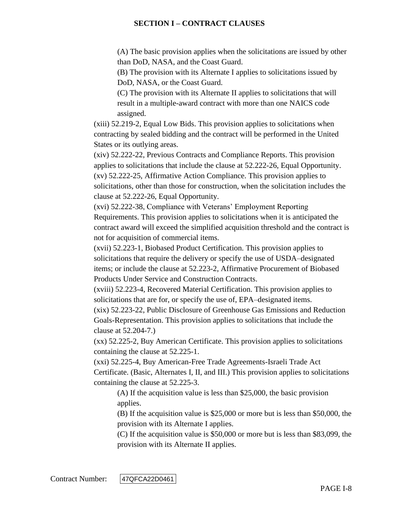(A) The basic provision applies when the solicitations are issued by other than DoD, NASA, and the Coast Guard.

(B) The provision with its Alternate I applies to solicitations issued by DoD, NASA, or the Coast Guard.

(C) The provision with its Alternate II applies to solicitations that will result in a multiple-award contract with more than one NAICS code assigned.

(xiii) [52.219-2,](https://acquisition.gov/far/52.219-2#FAR_52_219_2) Equal Low Bids. This provision applies to solicitations when contracting by sealed bidding and the contract will be performed in the United States or its outlying areas.

(xiv) [52.222-22,](https://acquisition.gov/far/52.222-22#FAR_52_222_22) Previous Contracts and Compliance Reports. This provision applies to solicitations that include the clause at [52.222-26,](https://acquisition.gov/far/52.222-26#FAR_52_222_26) Equal Opportunity. (xv) [52.222-25,](https://acquisition.gov/far/52.222-25#FAR_52_222_25) Affirmative Action Compliance. This provision applies to solicitations, other than those for construction, when the solicitation includes the clause at [52.222-26,](https://acquisition.gov/far/52.222-26#FAR_52_222_26) Equal Opportunity.

(xvi) [52.222-38,](https://acquisition.gov/far/52.222-38#FAR_52_222_38) Compliance with Veterans' Employment Reporting Requirements. This provision applies to solicitations when it is anticipated the contract award will exceed the simplified acquisition threshold and the contract is not for acquisition of commercial items.

(xvii) [52.223-1,](https://acquisition.gov/far/52.223-1#FAR_52_223_1) Biobased Product Certification. This provision applies to solicitations that require the delivery or specify the use of USDA–designated items; or include the clause at [52.223-2,](https://acquisition.gov/far/52.223-2#FAR_52_223_2) Affirmative Procurement of Biobased Products Under Service and Construction Contracts.

(xviii) [52.223-4,](https://acquisition.gov/far/52.223-4#FAR_52_223_4) Recovered Material Certification. This provision applies to solicitations that are for, or specify the use of, EPA–designated items.

(xix) [52.223-22,](https://acquisition.gov/far/52.223-22#FAR_52_223_22) Public Disclosure of Greenhouse Gas Emissions and Reduction Goals-Representation. This provision applies to solicitations that include the clause at [52.204-7.](https://acquisition.gov/far/52.204-7#FAR_52_204_7))

(xx) [52.225-2,](https://acquisition.gov/far/52.225-2#FAR_52_225_2) Buy American Certificate. This provision applies to solicitations containing the clause at [52.225-1.](https://acquisition.gov/far/52.225-1#FAR_52_225_1)

(xxi) [52.225-4,](https://acquisition.gov/far/52.225-4#FAR_52_225_4) Buy American-Free Trade Agreements-Israeli Trade Act Certificate. (Basic, Alternates I, II, and III.) This provision applies to solicitations containing the clause at [52.225-3.](https://acquisition.gov/far/52.225-3#FAR_52_225_3)

(A) If the acquisition value is less than \$25,000, the basic provision applies.

(B) If the acquisition value is \$25,000 or more but is less than \$50,000, the provision with its Alternate I applies.

(C) If the acquisition value is \$50,000 or more but is less than \$83,099, the provision with its Alternate II applies.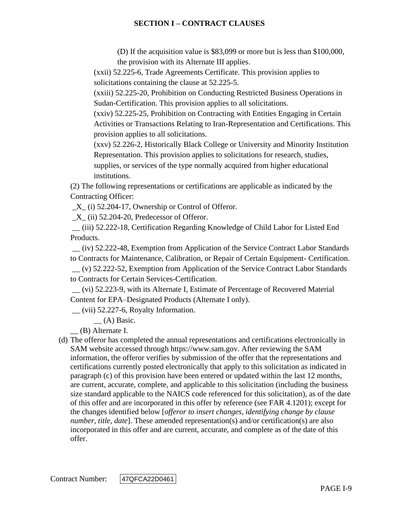(D) If the acquisition value is \$83,099 or more but is less than \$100,000, the provision with its Alternate III applies.

(xxii) [52.225-6,](https://acquisition.gov/far/52.225-6#FAR_52_225_6) Trade Agreements Certificate. This provision applies to solicitations containing the clause at [52.225-5.](https://acquisition.gov/far/52.225-5#FAR_52_225_5)

(xxiii) [52.225-20,](https://acquisition.gov/far/52.225-20#FAR_52_225_20) Prohibition on Conducting Restricted Business Operations in Sudan-Certification. This provision applies to all solicitations.

(xxiv) [52.225-25,](https://acquisition.gov/far/52.225-25#FAR_52_225_25) Prohibition on Contracting with Entities Engaging in Certain Activities or Transactions Relating to Iran-Representation and Certifications. This provision applies to all solicitations.

(xxv) [52.226-2,](https://acquisition.gov/far/52.226-2#FAR_52_226_2) Historically Black College or University and Minority Institution Representation. This provision applies to solicitations for research, studies, supplies, or services of the type normally acquired from higher educational institutions.

(2) The following representations or certifications are applicable as indicated by the Contracting Officer:

 $X_{1}$  (i) [52.204-17,](https://acquisition.gov/far/52.204-17#FAR_52_204_17) Ownership or Control of Offeror.

 $X$ <sub>(ii)</sub> [52.204-20,](https://acquisition.gov/far/52.204-20#FAR_52_204_20) Predecessor of Offeror.

\_\_ (iii) [52.222-18,](https://acquisition.gov/far/52.222-18#FAR_52_222_18) Certification Regarding Knowledge of Child Labor for Listed End Products.

\_\_ (iv) [52.222-48,](https://acquisition.gov/far/52.222-48#FAR_52_222_48) Exemption from Application of the Service Contract Labor Standards to Contracts for Maintenance, Calibration, or Repair of Certain Equipment- Certification. \_\_ (v) [52.222-52,](https://acquisition.gov/far/52.222-52#FAR_52_222_52) Exemption from Application of the Service Contract Labor Standards to Contracts for Certain Services-Certification.

\_\_ (vi) [52.223-9,](https://acquisition.gov/far/52.223-9#FAR_52_223_9) with its Alternate I, Estimate of Percentage of Recovered Material Content for EPA–Designated Products (Alternate I only).

 $\equiv$  (vii) [52.227-6,](https://acquisition.gov/far/52.227-6#FAR_52_227_6) Royalty Information.

\_\_ (A) Basic.

\_\_ (B) Alternate I.

(d) The offeror has completed the annual representations and certifications electronically in SAM website accessed through [https://www.sam.gov.](https://www.sam.gov/) After reviewing the SAM information, the offeror verifies by submission of the offer that the representations and certifications currently posted electronically that apply to this solicitation as indicated in paragraph (c) of this provision have been entered or updated within the last 12 months, are current, accurate, complete, and applicable to this solicitation (including the business size standard applicable to the NAICS code referenced for this solicitation), as of the date of this offer and are incorporated in this offer by reference (see FAR [4.1201\)](https://acquisition.gov/far/4.1201#FAR_4_1201); except for the changes identified below [*offeror to insert changes, identifying change by clause number, title, date*]. These amended representation(s) and/or certification(s) are also incorporated in this offer and are current, accurate, and complete as of the date of this offer.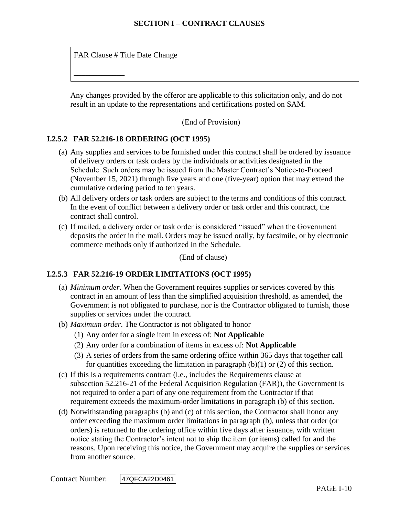FAR Clause # Title Date Change

\_\_\_\_\_\_\_\_\_\_\_\_\_

Any changes provided by the offeror are applicable to this solicitation only, and do not result in an update to the representations and certifications posted on SAM.

(End of Provision)

## **I.2.5.2 FAR 52.216-18 ORDERING (OCT 1995)**

- (a) Any supplies and services to be furnished under this contract shall be ordered by issuance of delivery orders or task orders by the individuals or activities designated in the Schedule. Such orders may be issued from the Master Contract's Notice-to-Proceed (November 15, 2021) through five years and one (five-year) option that may extend the cumulative ordering period to ten years.
- (b) All delivery orders or task orders are subject to the terms and conditions of this contract. In the event of conflict between a delivery order or task order and this contract, the contract shall control.
- (c) If mailed, a delivery order or task order is considered "issued" when the Government deposits the order in the mail. Orders may be issued orally, by facsimile, or by electronic commerce methods only if authorized in the Schedule.

(End of clause)

## **I.2.5.3 FAR 52.216-19 ORDER LIMITATIONS (OCT 1995)**

- (a) *Minimum order*. When the Government requires supplies or services covered by this contract in an amount of less than the simplified acquisition threshold, as amended, the Government is not obligated to purchase, nor is the Contractor obligated to furnish, those supplies or services under the contract.
- (b) *Maximum order*. The Contractor is not obligated to honor—
	- (1) Any order for a single item in excess of: **Not Applicable**
	- (2) Any order for a combination of items in excess of: **Not Applicable**
	- (3) A series of orders from the same ordering office within 365 days that together call for quantities exceeding the limitation in paragraph  $(b)(1)$  or  $(2)$  of this section.
- (c) If this is a requirements contract (i.e., includes the Requirements clause at subsection [52.216-21](https://www.acquisition.gov/far/current/html/52_216.html#wp1115057) of the Federal Acquisition Regulation (FAR)), the Government is not required to order a part of any one requirement from the Contractor if that requirement exceeds the maximum-order limitations in paragraph (b) of this section.
- (d) Notwithstanding paragraphs (b) and (c) of this section, the Contractor shall honor any order exceeding the maximum order limitations in paragraph (b), unless that order (or orders) is returned to the ordering office within five days after issuance, with written notice stating the Contractor's intent not to ship the item (or items) called for and the reasons. Upon receiving this notice, the Government may acquire the supplies or services from another source.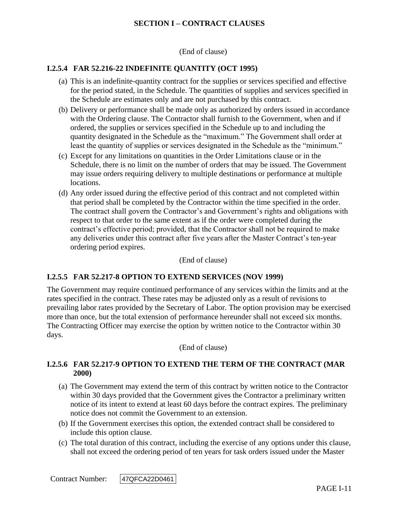(End of clause)

#### **I.2.5.4 FAR 52.216-22 INDEFINITE QUANTITY (OCT 1995)**

- (a) This is an indefinite-quantity contract for the supplies or services specified and effective for the period stated, in the Schedule. The quantities of supplies and services specified in the Schedule are estimates only and are not purchased by this contract.
- (b) Delivery or performance shall be made only as authorized by orders issued in accordance with the Ordering clause. The Contractor shall furnish to the Government, when and if ordered, the supplies or services specified in the Schedule up to and including the quantity designated in the Schedule as the "maximum." The Government shall order at least the quantity of supplies or services designated in the Schedule as the "minimum."
- (c) Except for any limitations on quantities in the Order Limitations clause or in the Schedule, there is no limit on the number of orders that may be issued. The Government may issue orders requiring delivery to multiple destinations or performance at multiple locations.
- (d) Any order issued during the effective period of this contract and not completed within that period shall be completed by the Contractor within the time specified in the order. The contract shall govern the Contractor's and Government's rights and obligations with respect to that order to the same extent as if the order were completed during the contract's effective period; provided, that the Contractor shall not be required to make any deliveries under this contract after five years after the Master Contract's ten-year ordering period expires.

(End of clause)

#### **I.2.5.5 FAR 52.217-8 OPTION TO EXTEND SERVICES (NOV 1999)**

The Government may require continued performance of any services within the limits and at the rates specified in the contract. These rates may be adjusted only as a result of revisions to prevailing labor rates provided by the Secretary of Labor. The option provision may be exercised more than once, but the total extension of performance hereunder shall not exceed six months. The Contracting Officer may exercise the option by written notice to the Contractor within 30 days.

(End of clause)

#### **I.2.5.6 FAR 52.217-9 OPTION TO EXTEND THE TERM OF THE CONTRACT (MAR 2000)**

- (a) The Government may extend the term of this contract by written notice to the Contractor within 30 days provided that the Government gives the Contractor a preliminary written notice of its intent to extend at least 60 days before the contract expires. The preliminary notice does not commit the Government to an extension.
- (b) If the Government exercises this option, the extended contract shall be considered to include this option clause.
- (c) The total duration of this contract, including the exercise of any options under this clause, shall not exceed the ordering period of ten years for task orders issued under the Master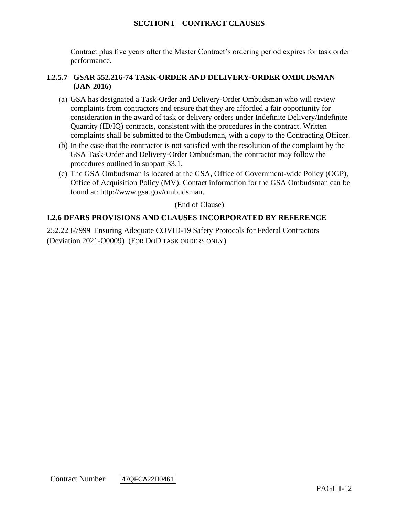Contract plus five years after the Master Contract's ordering period expires for task order performance.

### **I.2.5.7 GSAR 552.216-74 TASK-ORDER AND DELIVERY-ORDER OMBUDSMAN (JAN 2016)**

- (a) GSA has designated a Task-Order and Delivery-Order Ombudsman who will review complaints from contractors and ensure that they are afforded a fair opportunity for consideration in the award of task or delivery orders under Indefinite Delivery/Indefinite Quantity (ID/IQ) contracts, consistent with the procedures in the contract. Written complaints shall be submitted to the Ombudsman, with a copy to the Contracting Officer.
- (b) In the case that the contractor is not satisfied with the resolution of the complaint by the GSA Task-Order and Delivery-Order Ombudsman, the contractor may follow the procedures outlined in subpart 33.1.
- (c) The GSA Ombudsman is located at the GSA, Office of Government-wide Policy (OGP), Office of Acquisition Policy (MV). Contact information for the GSA Ombudsman can be found at: [http://www.gsa.gov/ombudsman.](http://www.gsa.gov/ombudsman)

(End of Clause)

## **I.2.6 DFARS PROVISIONS AND CLAUSES INCORPORATED BY REFERENCE**

252.223-7999 Ensuring Adequate COVID-19 Safety Protocols for Federal Contractors (Deviation 2021-O0009) (FOR DOD TASK ORDERS ONLY)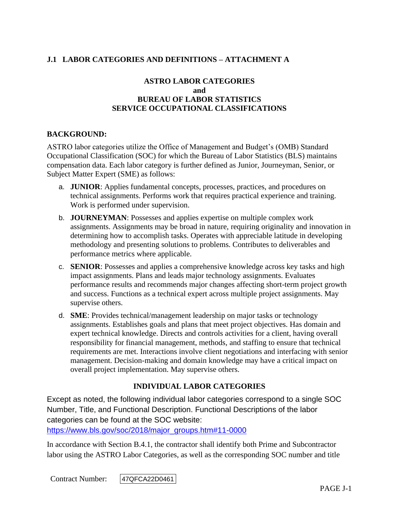# **J.1 LABOR CATEGORIES AND DEFINITIONS – ATTACHMENT A**

## **ASTRO LABOR CATEGORIES and BUREAU OF LABOR STATISTICS SERVICE OCCUPATIONAL CLASSIFICATIONS**

#### **BACKGROUND:**

ASTRO labor categories utilize the Office of Management and Budget's (OMB) Standard Occupational Classification (SOC) for which the Bureau of Labor Statistics (BLS) maintains compensation data. Each labor category is further defined as Junior, Journeyman, Senior, or Subject Matter Expert (SME) as follows:

- a. **JUNIOR**: Applies fundamental concepts, processes, practices, and procedures on technical assignments. Performs work that requires practical experience and training. Work is performed under supervision.
- b. **JOURNEYMAN**: Possesses and applies expertise on multiple complex work assignments. Assignments may be broad in nature, requiring originality and innovation in determining how to accomplish tasks. Operates with appreciable latitude in developing methodology and presenting solutions to problems. Contributes to deliverables and performance metrics where applicable.
- c. **SENIOR**: Possesses and applies a comprehensive knowledge across key tasks and high impact assignments. Plans and leads major technology assignments. Evaluates performance results and recommends major changes affecting short-term project growth and success. Functions as a technical expert across multiple project assignments. May supervise others.
- d. **SME**: Provides technical/management leadership on major tasks or technology assignments. Establishes goals and plans that meet project objectives. Has domain and expert technical knowledge. Directs and controls activities for a client, having overall responsibility for financial management, methods, and staffing to ensure that technical requirements are met. Interactions involve client negotiations and interfacing with senior management. Decision-making and domain knowledge may have a critical impact on overall project implementation. May supervise others.

## **INDIVIDUAL LABOR CATEGORIES**

Except as noted, the following individual labor categories correspond to a single SOC Number, Title, and Functional Description. Functional Descriptions of the labor categories can be found at the SOC website:

[https://www.bls.gov/soc/2018/major\\_groups.htm#11-0000](https://www.bls.gov/soc/2018/major_groups.htm#11-0000)

In accordance with Section B.4.1, the contractor shall identify both Prime and Subcontractor labor using the ASTRO Labor Categories, as well as the corresponding SOC number and title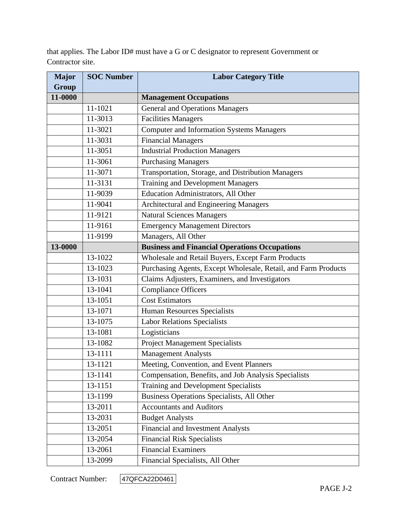that applies. The Labor ID# must have a G or C designator to represent Government or Contractor site.

| <b>Major</b> | <b>SOC Number</b> | <b>Labor Category Title</b>                                    |
|--------------|-------------------|----------------------------------------------------------------|
| <b>Group</b> |                   |                                                                |
| 11-0000      |                   | <b>Management Occupations</b>                                  |
|              | 11-1021           | <b>General and Operations Managers</b>                         |
|              | 11-3013           | <b>Facilities Managers</b>                                     |
|              | 11-3021           | <b>Computer and Information Systems Managers</b>               |
|              | 11-3031           | <b>Financial Managers</b>                                      |
|              | 11-3051           | <b>Industrial Production Managers</b>                          |
|              | 11-3061           | <b>Purchasing Managers</b>                                     |
|              | 11-3071           | Transportation, Storage, and Distribution Managers             |
|              | 11-3131           | <b>Training and Development Managers</b>                       |
|              | 11-9039           | Education Administrators, All Other                            |
|              | 11-9041           | <b>Architectural and Engineering Managers</b>                  |
|              | 11-9121           | <b>Natural Sciences Managers</b>                               |
|              | 11-9161           | <b>Emergency Management Directors</b>                          |
|              | 11-9199           | Managers, All Other                                            |
| 13-0000      |                   | <b>Business and Financial Operations Occupations</b>           |
|              | 13-1022           | Wholesale and Retail Buyers, Except Farm Products              |
|              | 13-1023           | Purchasing Agents, Except Wholesale, Retail, and Farm Products |
|              | 13-1031           | Claims Adjusters, Examiners, and Investigators                 |
|              | 13-1041           | Compliance Officers                                            |
|              | 13-1051           | <b>Cost Estimators</b>                                         |
|              | 13-1071           | Human Resources Specialists                                    |
|              | 13-1075           | <b>Labor Relations Specialists</b>                             |
|              | 13-1081           | Logisticians                                                   |
|              | 13-1082           | <b>Project Management Specialists</b>                          |
|              | 13-1111           | <b>Management Analysts</b>                                     |
|              | 13-1121           | Meeting, Convention, and Event Planners                        |
|              | 13-1141           | Compensation, Benefits, and Job Analysis Specialists           |
|              | 13-1151           | Training and Development Specialists                           |
|              | 13-1199           | Business Operations Specialists, All Other                     |
|              | 13-2011           | <b>Accountants and Auditors</b>                                |
|              | 13-2031           | <b>Budget Analysts</b>                                         |
|              | 13-2051           | <b>Financial and Investment Analysts</b>                       |
|              | 13-2054           | <b>Financial Risk Specialists</b>                              |
|              | 13-2061           | <b>Financial Examiners</b>                                     |
|              | 13-2099           | Financial Specialists, All Other                               |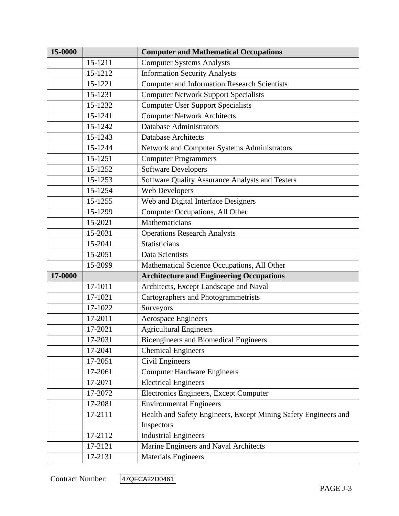| 15-0000 |         | <b>Computer and Mathematical Occupations</b>                    |
|---------|---------|-----------------------------------------------------------------|
|         | 15-1211 | <b>Computer Systems Analysts</b>                                |
|         | 15-1212 | <b>Information Security Analysts</b>                            |
|         | 15-1221 | Computer and Information Research Scientists                    |
|         | 15-1231 | <b>Computer Network Support Specialists</b>                     |
|         | 15-1232 | <b>Computer User Support Specialists</b>                        |
|         | 15-1241 | <b>Computer Network Architects</b>                              |
|         | 15-1242 | <b>Database Administrators</b>                                  |
|         | 15-1243 | <b>Database Architects</b>                                      |
|         | 15-1244 | Network and Computer Systems Administrators                     |
|         | 15-1251 | <b>Computer Programmers</b>                                     |
|         | 15-1252 | <b>Software Developers</b>                                      |
|         | 15-1253 | Software Quality Assurance Analysts and Testers                 |
|         | 15-1254 | Web Developers                                                  |
|         | 15-1255 | Web and Digital Interface Designers                             |
|         | 15-1299 | Computer Occupations, All Other                                 |
|         | 15-2021 | Mathematicians                                                  |
|         | 15-2031 | <b>Operations Research Analysts</b>                             |
|         | 15-2041 | Statisticians                                                   |
|         | 15-2051 | Data Scientists                                                 |
|         | 15-2099 | Mathematical Science Occupations, All Other                     |
| 17-0000 |         | <b>Architecture and Engineering Occupations</b>                 |
|         | 17-1011 | Architects, Except Landscape and Naval                          |
|         | 17-1021 | Cartographers and Photogrammetrists                             |
|         | 17-1022 | Surveyors                                                       |
|         | 17-2011 | <b>Aerospace Engineers</b>                                      |
|         | 17-2021 | <b>Agricultural Engineers</b>                                   |
|         | 17-2031 | <b>Bioengineers and Biomedical Engineers</b>                    |
|         | 17-2041 | <b>Chemical Engineers</b>                                       |
|         | 17-2051 | Civil Engineers                                                 |
|         | 17-2061 | <b>Computer Hardware Engineers</b>                              |
|         | 17-2071 | <b>Electrical Engineers</b>                                     |
|         | 17-2072 | Electronics Engineers, Except Computer                          |
|         | 17-2081 | <b>Environmental Engineers</b>                                  |
|         | 17-2111 | Health and Safety Engineers, Except Mining Safety Engineers and |
|         |         | Inspectors                                                      |
|         | 17-2112 | <b>Industrial Engineers</b>                                     |
|         | 17-2121 | Marine Engineers and Naval Architects                           |
|         | 17-2131 | <b>Materials Engineers</b>                                      |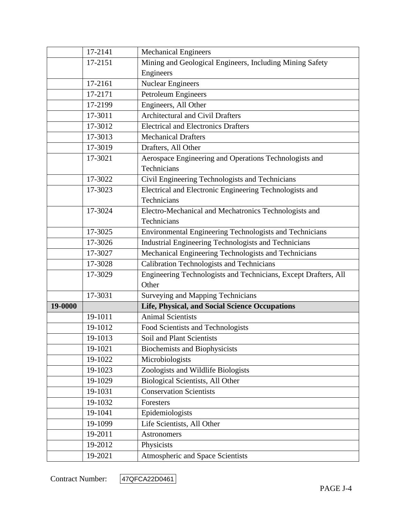|         | 17-2141 | <b>Mechanical Engineers</b>                                     |
|---------|---------|-----------------------------------------------------------------|
|         | 17-2151 | Mining and Geological Engineers, Including Mining Safety        |
|         |         | Engineers                                                       |
|         | 17-2161 | <b>Nuclear Engineers</b>                                        |
|         | 17-2171 | Petroleum Engineers                                             |
|         | 17-2199 | Engineers, All Other                                            |
|         | 17-3011 | <b>Architectural and Civil Drafters</b>                         |
|         | 17-3012 | <b>Electrical and Electronics Drafters</b>                      |
|         | 17-3013 | <b>Mechanical Drafters</b>                                      |
|         | 17-3019 | Drafters, All Other                                             |
|         | 17-3021 | Aerospace Engineering and Operations Technologists and          |
|         |         | Technicians                                                     |
|         | 17-3022 | Civil Engineering Technologists and Technicians                 |
|         | 17-3023 | Electrical and Electronic Engineering Technologists and         |
|         |         | Technicians                                                     |
|         | 17-3024 | Electro-Mechanical and Mechatronics Technologists and           |
|         |         | Technicians                                                     |
|         | 17-3025 | Environmental Engineering Technologists and Technicians         |
|         | 17-3026 | Industrial Engineering Technologists and Technicians            |
|         | 17-3027 | Mechanical Engineering Technologists and Technicians            |
|         | 17-3028 | <b>Calibration Technologists and Technicians</b>                |
|         | 17-3029 | Engineering Technologists and Technicians, Except Drafters, All |
|         |         | Other                                                           |
|         | 17-3031 | Surveying and Mapping Technicians                               |
| 19-0000 |         | Life, Physical, and Social Science Occupations                  |
|         | 19-1011 | <b>Animal Scientists</b>                                        |
|         | 19-1012 | Food Scientists and Technologists                               |
|         | 19-1013 | Soil and Plant Scientists                                       |
|         | 19-1021 | <b>Biochemists and Biophysicists</b>                            |
|         | 19-1022 | Microbiologists                                                 |
|         | 19-1023 | Zoologists and Wildlife Biologists                              |
|         | 19-1029 | Biological Scientists, All Other                                |
|         | 19-1031 | <b>Conservation Scientists</b>                                  |
|         | 19-1032 | Foresters                                                       |
|         | 19-1041 | Epidemiologists                                                 |
|         | 19-1099 | Life Scientists, All Other                                      |
|         | 19-2011 | Astronomers                                                     |
|         | 19-2012 | Physicists                                                      |
|         | 19-2021 | Atmospheric and Space Scientists                                |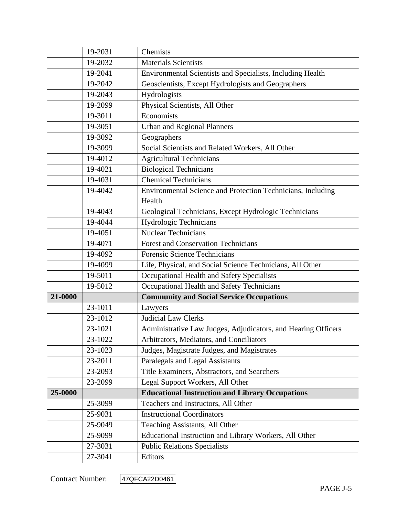|         | 19-2031 | Chemists                                                      |
|---------|---------|---------------------------------------------------------------|
|         | 19-2032 | <b>Materials Scientists</b>                                   |
|         | 19-2041 | Environmental Scientists and Specialists, Including Health    |
|         | 19-2042 | Geoscientists, Except Hydrologists and Geographers            |
|         | 19-2043 | Hydrologists                                                  |
|         | 19-2099 | Physical Scientists, All Other                                |
|         | 19-3011 | Economists                                                    |
|         | 19-3051 | <b>Urban and Regional Planners</b>                            |
|         | 19-3092 | Geographers                                                   |
|         | 19-3099 | Social Scientists and Related Workers, All Other              |
|         | 19-4012 | <b>Agricultural Technicians</b>                               |
|         | 19-4021 | <b>Biological Technicians</b>                                 |
|         | 19-4031 | <b>Chemical Technicians</b>                                   |
|         | 19-4042 | Environmental Science and Protection Technicians, Including   |
|         |         | Health                                                        |
|         | 19-4043 | Geological Technicians, Except Hydrologic Technicians         |
|         | 19-4044 | Hydrologic Technicians                                        |
|         | 19-4051 | <b>Nuclear Technicians</b>                                    |
|         | 19-4071 | <b>Forest and Conservation Technicians</b>                    |
|         | 19-4092 | <b>Forensic Science Technicians</b>                           |
|         | 19-4099 | Life, Physical, and Social Science Technicians, All Other     |
|         | 19-5011 | Occupational Health and Safety Specialists                    |
|         | 19-5012 | Occupational Health and Safety Technicians                    |
| 21-0000 |         | <b>Community and Social Service Occupations</b>               |
|         | 23-1011 | Lawyers                                                       |
|         | 23-1012 | <b>Judicial Law Clerks</b>                                    |
|         | 23-1021 | Administrative Law Judges, Adjudicators, and Hearing Officers |
|         | 23-1022 | Arbitrators, Mediators, and Conciliators                      |
|         | 23-1023 | Judges, Magistrate Judges, and Magistrates                    |
|         | 23-2011 | Paralegals and Legal Assistants                               |
|         | 23-2093 | Title Examiners, Abstractors, and Searchers                   |
|         | 23-2099 | Legal Support Workers, All Other                              |
| 25-0000 |         | <b>Educational Instruction and Library Occupations</b>        |
|         | 25-3099 | Teachers and Instructors, All Other                           |
|         | 25-9031 | <b>Instructional Coordinators</b>                             |
|         | 25-9049 | Teaching Assistants, All Other                                |
|         | 25-9099 | Educational Instruction and Library Workers, All Other        |
|         | 27-3031 | <b>Public Relations Specialists</b>                           |
|         | 27-3041 | Editors                                                       |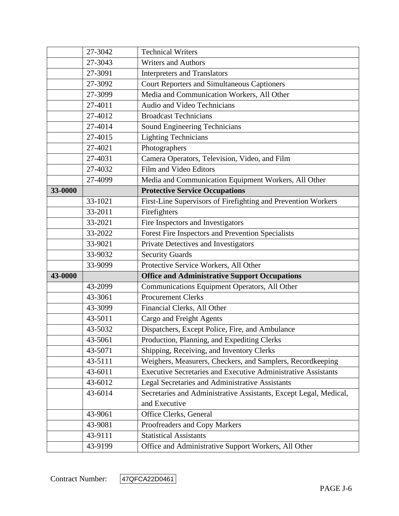|         | 27-3042 | <b>Technical Writers</b>                                             |
|---------|---------|----------------------------------------------------------------------|
|         | 27-3043 | <b>Writers and Authors</b>                                           |
|         | 27-3091 | <b>Interpreters and Translators</b>                                  |
|         | 27-3092 | <b>Court Reporters and Simultaneous Captioners</b>                   |
|         | 27-3099 | Media and Communication Workers, All Other                           |
|         | 27-4011 | Audio and Video Technicians                                          |
|         | 27-4012 | <b>Broadcast Technicians</b>                                         |
|         | 27-4014 | Sound Engineering Technicians                                        |
|         | 27-4015 | <b>Lighting Technicians</b>                                          |
|         | 27-4021 | Photographers                                                        |
|         | 27-4031 | Camera Operators, Television, Video, and Film                        |
|         | 27-4032 | Film and Video Editors                                               |
|         | 27-4099 | Media and Communication Equipment Workers, All Other                 |
| 33-0000 |         | <b>Protective Service Occupations</b>                                |
|         | 33-1021 | First-Line Supervisors of Firefighting and Prevention Workers        |
|         | 33-2011 | Firefighters                                                         |
|         | 33-2021 | Fire Inspectors and Investigators                                    |
|         | 33-2022 | Forest Fire Inspectors and Prevention Specialists                    |
|         | 33-9021 | Private Detectives and Investigators                                 |
|         | 33-9032 | <b>Security Guards</b>                                               |
|         | 33-9099 | Protective Service Workers, All Other                                |
| 43-0000 |         | <b>Office and Administrative Support Occupations</b>                 |
|         | 43-2099 | Communications Equipment Operators, All Other                        |
|         | 43-3061 | <b>Procurement Clerks</b>                                            |
|         | 43-3099 | Financial Clerks, All Other                                          |
|         | 43-5011 | Cargo and Freight Agents                                             |
|         | 43-5032 | Dispatchers, Except Police, Fire, and Ambulance                      |
|         | 43-5061 | Production, Planning, and Expediting Clerks                          |
|         | 43-5071 | Shipping, Receiving, and Inventory Clerks                            |
|         | 43-5111 | Weighers, Measurers, Checkers, and Samplers, Recordkeeping           |
|         | 43-6011 | <b>Executive Secretaries and Executive Administrative Assistants</b> |
|         | 43-6012 | Legal Secretaries and Administrative Assistants                      |
|         | 43-6014 | Secretaries and Administrative Assistants, Except Legal, Medical,    |
|         |         | and Executive                                                        |
|         | 43-9061 | Office Clerks, General                                               |
|         | 43-9081 | Proofreaders and Copy Markers                                        |
|         | 43-9111 | <b>Statistical Assistants</b>                                        |
|         |         |                                                                      |

Contract Number: 47QFCA22D0461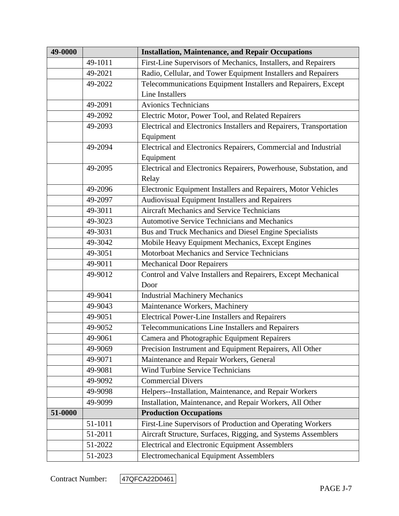| 49-0000 |         | <b>Installation, Maintenance, and Repair Occupations</b>            |
|---------|---------|---------------------------------------------------------------------|
|         | 49-1011 | First-Line Supervisors of Mechanics, Installers, and Repairers      |
|         | 49-2021 | Radio, Cellular, and Tower Equipment Installers and Repairers       |
|         | 49-2022 | Telecommunications Equipment Installers and Repairers, Except       |
|         |         | <b>Line Installers</b>                                              |
|         | 49-2091 | <b>Avionics Technicians</b>                                         |
|         | 49-2092 | Electric Motor, Power Tool, and Related Repairers                   |
|         | 49-2093 | Electrical and Electronics Installers and Repairers, Transportation |
|         |         | Equipment                                                           |
|         | 49-2094 | Electrical and Electronics Repairers, Commercial and Industrial     |
|         |         | Equipment                                                           |
|         | 49-2095 | Electrical and Electronics Repairers, Powerhouse, Substation, and   |
|         |         | Relay                                                               |
|         | 49-2096 | Electronic Equipment Installers and Repairers, Motor Vehicles       |
|         | 49-2097 | Audiovisual Equipment Installers and Repairers                      |
|         | 49-3011 | <b>Aircraft Mechanics and Service Technicians</b>                   |
|         | 49-3023 | <b>Automotive Service Technicians and Mechanics</b>                 |
|         | 49-3031 | Bus and Truck Mechanics and Diesel Engine Specialists               |
|         | 49-3042 | Mobile Heavy Equipment Mechanics, Except Engines                    |
|         | 49-3051 | Motorboat Mechanics and Service Technicians                         |
|         | 49-9011 | <b>Mechanical Door Repairers</b>                                    |
|         | 49-9012 | Control and Valve Installers and Repairers, Except Mechanical       |
|         |         | Door                                                                |
|         | 49-9041 | <b>Industrial Machinery Mechanics</b>                               |
|         | 49-9043 | Maintenance Workers, Machinery                                      |
|         | 49-9051 | <b>Electrical Power-Line Installers and Repairers</b>               |
|         | 49-9052 | Telecommunications Line Installers and Repairers                    |
|         | 49-9061 | Camera and Photographic Equipment Repairers                         |
|         | 49-9069 | Precision Instrument and Equipment Repairers, All Other             |
|         | 49-9071 | Maintenance and Repair Workers, General                             |
|         | 49-9081 | <b>Wind Turbine Service Technicians</b>                             |
|         | 49-9092 | <b>Commercial Divers</b>                                            |
|         | 49-9098 | Helpers--Installation, Maintenance, and Repair Workers              |
|         | 49-9099 | Installation, Maintenance, and Repair Workers, All Other            |
| 51-0000 |         | <b>Production Occupations</b>                                       |
|         | 51-1011 | First-Line Supervisors of Production and Operating Workers          |
|         | 51-2011 | Aircraft Structure, Surfaces, Rigging, and Systems Assemblers       |
|         | 51-2022 | <b>Electrical and Electronic Equipment Assemblers</b>               |
|         | 51-2023 | <b>Electromechanical Equipment Assemblers</b>                       |

Contract Number: 47QFCA22D0461